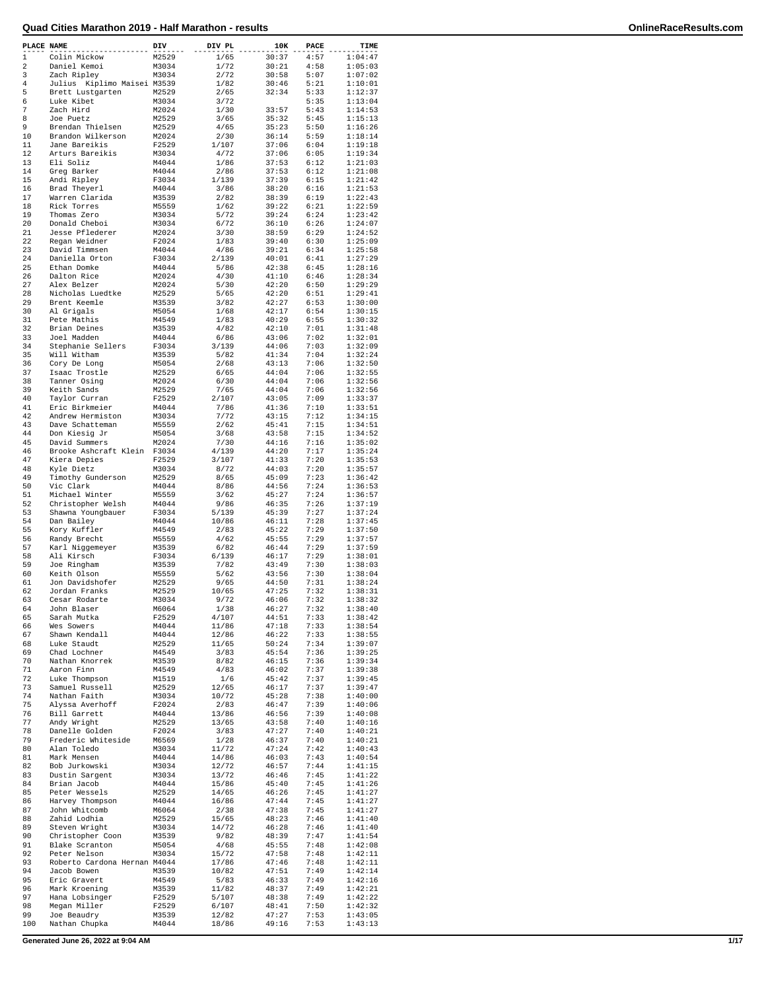| PLACE NAME  |                                 | DIV            | DIV PL         | 10K            | PACE         | TIME               |
|-------------|---------------------------------|----------------|----------------|----------------|--------------|--------------------|
| $\mathbf 1$ | Colin Mickow                    | M2529          | 1/65           | 30:37          | 4:57         | 1:04:47            |
| 2           | Daniel Kemoi                    | M3034          | 1/72           | 30:21          | 4:58         | 1:05:03            |
| 3           | Zach Ripley                     | M3034          | 2/72           | 30:58          | 5:07         | 1:07:02            |
| 4<br>5      | Julius<br>Kiplimo Maisei M3539  | M2529          | 1/82           | 30:46<br>32:34 | 5:21         | 1:10:01<br>1:12:37 |
| 6           | Brett Lustgarten<br>Luke Kibet  | M3034          | 2/65<br>3/72   |                | 5:33<br>5:35 | 1:13:04            |
| 7           | Zach Hird                       | M2024          | 1/30           | 33:57          | 5:43         | 1:14:53            |
| 8           | Joe Puetz                       | M2529          | 3/65           | 35:32          | 5:45         | 1:15:13            |
| 9           | Brendan Thielsen                | M2529          | 4/65           | 35:23          | 5:50         | 1:16:26            |
| 10          | Brandon Wilkerson               | M2024          | 2/30           | 36:14          | 5:59         | 1:18:14            |
| 11          | Jane Bareikis                   | F2529          | 1/107          | 37:06          | 6:04         | 1:19:18            |
| 12          | Arturs Bareikis                 | M3034          | 4/72           | 37:06          | 6:05         | 1:19:34            |
| 13          | Eli Soliz                       | M4044          | 1/86           | 37:53          | 6:12         | 1:21:03            |
| 14          | Greg Barker                     | M4044          | 2/86           | 37:53          | 6:12         | 1:21:08            |
| 15          | Andi Ripley                     | F3034          | 1/139          | 37:39          | 6:15         | 1:21:42            |
| 16          | Brad Theyerl                    | M4044          | 3/86           | 38:20          | 6:16         | 1:21:53            |
| 17          | Warren Clarida                  | M3539          | 2/82           | 38:39          | 6:19         | 1:22:43            |
| 18          | Rick Torres                     | M5559          | 1/62           | 39:22          | 6:21         | 1:22:59            |
| 19          | Thomas Zero                     | M3034          | 5/72           | 39:24          | 6:24         | 1:23:42            |
| 20          | Donald Cheboi                   | M3034          | 6/72           | 36:10          | 6:26         | 1:24:07            |
| 21          | Jesse Pflederer                 | M2024          | 3/30           | 38:59          | 6:29         | 1:24:52            |
| 22<br>23    | Regan Weidner                   | F2024<br>M4044 | 1/83           | 39:40<br>39:21 | 6:30<br>6:34 | 1:25:09            |
| 24          | David Timmsen<br>Daniella Orton | F3034          | 4/86<br>2/139  | 40:01          | 6:41         | 1:25:58<br>1:27:29 |
| 25          | Ethan Domke                     | M4044          | 5/86           | 42:38          | 6:45         | 1:28:16            |
| 26          | Dalton Rice                     | M2024          | 4/30           | 41:10          | 6:46         | 1:28:34            |
| 27          | Alex Belzer                     | M2024          | 5/30           | 42:20          | 6:50         | 1:29:29            |
| 28          | Nicholas Luedtke                | M2529          | 5/65           | 42:20          | 6:51         | 1:29:41            |
| 29          | Brent Keemle                    | M3539          | 3/82           | 42:27          | 6:53         | 1:30:00            |
| 30          | Al Grigals                      | M5054          | 1/68           | 42:17          | 6:54         | 1:30:15            |
| 31          | Pete Mathis                     | M4549          | 1/83           | 40:29          | 6:55         | 1:30:32            |
| 32          | Brian Deines                    | M3539          | 4/82           | 42:10          | 7:01         | 1:31:48            |
| 33          | Joel Madden                     | M4044          | 6/86           | 43:06          | 7:02         | 1:32:01            |
| 34          | Stephanie Sellers               | F3034          | 3/139          | 44:06          | 7:03         | 1:32:09            |
| 35          | Will Witham                     | M3539          | 5/82           | 41:34          | 7:04         | 1:32:24            |
| 36          | Cory De Long                    | M5054          | 2/68           | 43:13          | 7:06         | 1:32:50            |
| 37          | Isaac Trostle                   | M2529          | 6/65           | 44:04          | 7:06         | 1:32:55            |
| 38          | Tanner Osing                    | M2024          | 6/30           | 44:04          | 7:06         | 1:32:56            |
| 39          | Keith Sands                     | M2529          | 7/65           | 44:04          | 7:06         | 1:32:56            |
| 40          | Taylor Curran                   | F2529          | 2/107          | 43:05          | 7:09         | 1:33:37            |
| 41          | Eric Birkmeier                  | M4044          | 7/86           | 41:36          | 7:10         | 1:33:51            |
| 42          | Andrew Hermiston                | M3034          | 7/72           | 43:15          | 7:12         | 1:34:15            |
| 43          | Dave Schatteman                 | M5559          | 2/62           | 45:41          | 7:15         | 1:34:51            |
| 44          | Don Kiesig Jr                   | M5054          | 3/68           | 43:58          | 7:15         | 1:34:52            |
| 45          | David Summers                   | M2024          | 7/30           | 44:16          | 7:16         | 1:35:02            |
| 46          | Brooke Ashcraft Klein F3034     |                | 4/139          | 44:20          | 7:17         | 1:35:24            |
| 47          | Kiera Depies                    | F2529          | 3/107          | 41:33          | 7:20         | 1:35:53            |
| 48<br>49    | Kyle Dietz                      | M3034          | 8/72           | 44:03          | 7:20<br>7:23 | 1:35:57            |
| 50          | Timothy Gunderson<br>Vic Clark  | M2529<br>M4044 | 8/65<br>8/86   | 45:09<br>44:56 | 7:24         | 1:36:42<br>1:36:53 |
| 51          | Michael Winter                  | M5559          | 3/62           | 45:27          | 7:24         | 1:36:57            |
| 52          | Christopher Welsh               | M4044          | 9/86           | 46:35          | 7:26         | 1:37:19            |
| 53          | Shawna Youngbauer               | F3034          | 5/139          | 45:39          | 7:27         | 1:37:24            |
| 54          | Dan Bailey                      | M4044          | 10/86          | 46:11          | 7:28         | 1:37:45            |
| 55          | Kory Kuffler                    | M4549          | 2/83           | 45:22          | 7:29         | 1:37:50            |
| 56          | Randy Brecht                    | M5559          | 4/62           | 45:55          | 7:29         | 1:37:57            |
| 57          | Karl Niggemeyer                 | M3539          | 6/82           | 46:44          | 7:29         | 1:37:59            |
| 58          | Ali Kirsch                      | F3034          | 6/139          | 46:17          | 7:29         | 1:38:01            |
| 59          | Joe Ringham                     | M3539          | 7/82           | 43:49          | 7:30         | 1:38:03            |
| 60          | Keith Olson                     | M5559          | 5/62           | 43:56          | 7:30         | 1:38:04            |
| 61          | Jon Davidshofer                 | M2529          | 9/65           | 44:50          | 7:31         | 1:38:24            |
| 62          | Jordan Franks                   | M2529          | 10/65          | 47:25          | 7:32         | 1:38:31            |
| 63          | Cesar Rodarte                   | M3034          | 9/72           | 46:06          | 7:32         | 1:38:32            |
| 64          | John Blaser                     | M6064          | 1/38           | 46:27          | 7:32         | 1:38:40            |
| 65          | Sarah Mutka                     | F2529          | 4/107          | 44:51          | 7:33         | 1:38:42            |
| 66          | Wes Sowers                      | M4044          | 11/86          | 47:18          | 7:33         | 1:38:54            |
| 67          | Shawn Kendall                   | M4044          | 12/86          | 46:22          | 7:33         | 1:38:55            |
| 68<br>69    | Luke Staudt<br>Chad Lochner     | M2529<br>M4549 | 11/65<br>3/83  | 50:24<br>45:54 | 7:34<br>7:36 | 1:39:07<br>1:39:25 |
| 70          | Nathan Knorrek                  | M3539          | 8/82           | 46:15          | 7:36         | 1:39:34            |
| 71          | Aaron Finn                      | M4549          | 4/83           | 46:02          | 7:37         | 1:39:38            |
| 72          | Luke Thompson                   | M1519          | 1/6            | 45:42          | 7:37         | 1:39:45            |
| 73          | Samuel Russell                  | M2529          | 12/65          | 46:17          | 7:37         | 1:39:47            |
| 74          | Nathan Faith                    | M3034          | 10/72          | 45:28          | 7:38         | 1:40:00            |
| 75          | Alyssa Averhoff                 | F2024          | 2/83           | 46:47          | 7:39         | 1:40:06            |
| 76          | Bill Garrett                    | M4044          | 13/86          | 46:56          | 7:39         | 1:40:08            |
| 77          | Andy Wright                     | M2529          | 13/65          | 43:58          | 7:40         | 1:40:16            |
| 78          | Danelle Golden                  | F2024          | 3/83           | 47:27          | 7:40         | 1:40:21            |
| 79          | Frederic Whiteside              | M6569          | 1/28           | 46:37          | 7:40         | 1:40:21            |
| 80          | Alan Toledo                     | M3034          | 11/72          | 47:24          | 7:42         | 1:40:43            |
| 81          | Mark Mensen                     | M4044          | 14/86          | 46:03          | 7:43         | 1:40:54            |
| 82          | Bob Jurkowski                   | M3034          | 12/72          | 46:57          | 7:44         | 1:41:15            |
| 83          | Dustin Sargent                  | M3034          | 13/72          | 46:46          | 7:45         | 1:41:22            |
| 84          | Brian Jacob                     | M4044          | 15/86          | 45:40          | 7:45         | 1:41:26            |
| 85          | Peter Wessels                   | M2529          | 14/65          | 46:26          | 7:45         | 1:41:27            |
| 86<br>87    | Harvey Thompson                 | M4044          | 16/86          | 47:44          | 7:45<br>7:45 | 1:41:27            |
| 88          | John Whitcomb<br>Zahid Lodhia   | M6064          | 2/38           | 47:38          | 7:46         | 1:41:27            |
| 89          | Steven Wright                   | M2529<br>M3034 | 15/65<br>14/72 | 48:23<br>46:28 | 7:46         | 1:41:40<br>1:41:40 |
| 90          | Christopher Coon                | M3539          | 9/82           | 48:39          | 7:47         | 1:41:54            |
| 91          | Blake Scranton                  | M5054          | 4/68           | 45:55          | 7:48         | 1:42:08            |
| 92          | Peter Nelson                    | M3034          | 15/72          | 47:58          | 7:48         | 1:42:11            |
| 93          | Roberto Cardona Hernan M4044    |                | 17/86          | 47:46          | 7:48         | 1:42:11            |
| 94          | Jacob Bowen                     | M3539          | 10/82          | 47:51          | 7:49         | 1:42:14            |
| 95          | Eric Gravert                    | M4549          | 5/83           | 46:33          | 7:49         | 1:42:16            |
| 96          | Mark Kroening                   | M3539          | 11/82          | 48:37          | 7:49         | 1:42:21            |
| 97          | Hana Lobsinger                  | F2529          | 5/107          | 48:38          | 7:49         | 1:42:22            |
| 98          | Megan Miller                    | F2529          | 6/107          | 48:41          | 7:50         | 1:42:32            |
| 99          | Joe Beaudry                     | M3539          | 12/82          | 47:27          | 7:53         | 1:43:05            |
| 100         | Nathan Chupka                   | M4044          | 18/86          | 49:16          | 7:53         | 1:43:13            |

**Generated June 26, 2022 at 9:04 AM 1/17**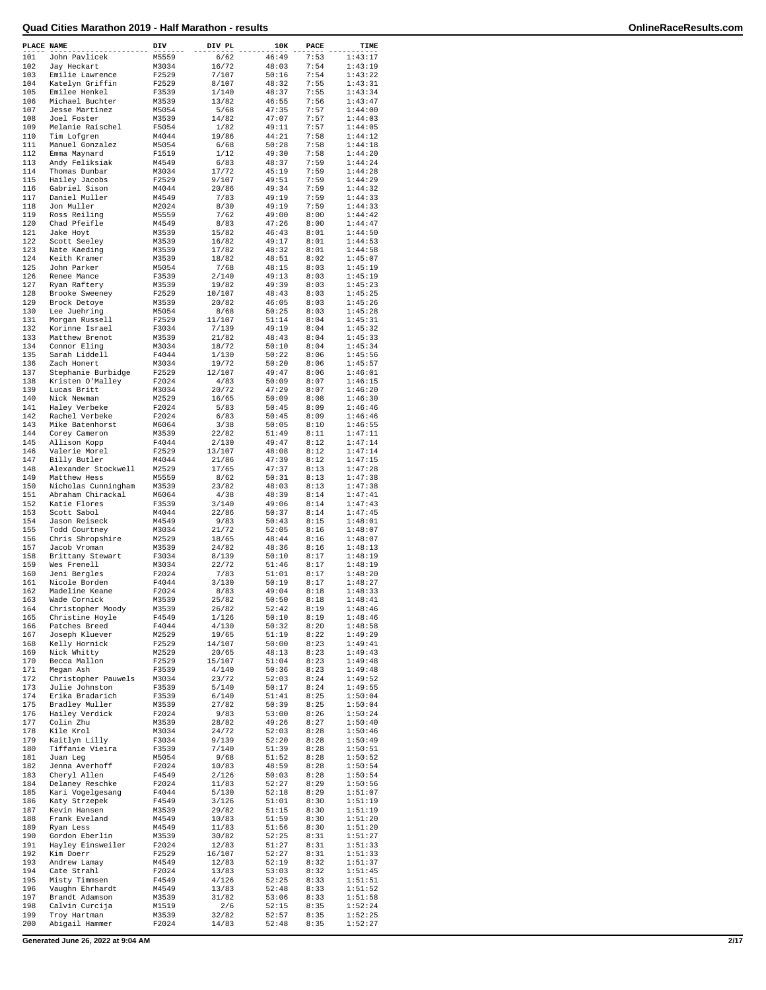| PLACE NAME |                                      | DIV            | DIV PL         | 10K            | PACE         | TIME               |
|------------|--------------------------------------|----------------|----------------|----------------|--------------|--------------------|
| 101        | John Pavlicek                        | M5559          | 6/62           | 46:49          | 7:53         | 1:43:17            |
| 102        | Jay Heckart                          | M3034          | 16/72          | 48:03          | 7:54         | 1:43:19            |
| 103<br>104 | Emilie Lawrence<br>Katelyn Griffin   | F2529<br>F2529 | 7/107<br>8/107 | 50:16<br>48:32 | 7:54<br>7:55 | 1:43:22<br>1:43:31 |
| 105        | Emilee Henkel                        | F3539          | 1/140          | 48:37          | 7:55         | 1:43:34            |
| 106        | Michael Buchter                      | M3539          | 13/82          | 46:55          | 7:56         | 1:43:47            |
| 107        | Jesse Martinez                       | M5054          | 5/68           | 47:35          | 7:57         | 1:44:00            |
| 108        | Joel Foster                          | M3539          | 14/82          | 47:07          | 7:57         | 1:44:03            |
| 109        | Melanie Raischel                     | F5054          | 1/82           | 49:11          | 7:57         | 1:44:05            |
| 110        | Tim Lofgren                          | M4044          | 19/86          | 44:21          | 7:58         | 1:44:12            |
| 111<br>112 | Manuel Gonzalez                      | M5054          | 6/68           | 50:28          | 7:58         | 1:44:18            |
| 113        | Emma Maynard<br>Andy Feliksiak       | F1519<br>M4549 | 1/12<br>6/83   | 49:30<br>48:37 | 7:58<br>7:59 | 1:44:20<br>1:44:24 |
| 114        | Thomas Dunbar                        | M3034          | 17/72          | 45:19          | 7:59         | 1:44:28            |
| 115        | Hailey Jacobs                        | F2529          | 9/107          | 49:51          | 7:59         | 1:44:29            |
| 116        | Gabriel Sison                        | M4044          | 20/86          | 49:34          | 7:59         | 1:44:32            |
| 117        | Daniel Muller                        | M4549          | 7/83           | 49:19          | 7:59         | 1:44:33            |
| 118        | Jon Muller                           | M2024          | 8/30           | 49:19          | 7:59         | 1:44:33            |
| 119        | Ross Reiling                         | M5559          | 7/62           | 49:00          | 8:00         | 1:44:42            |
| 120<br>121 | Chad Pfeifle                         | M4549          | 8/83<br>15/82  | 47:26<br>46:43 | 8:00<br>8:01 | 1:44:47<br>1:44:50 |
| 122        | Jake Hoyt<br>Scott Seeley            | M3539<br>M3539 | 16/82          | 49:17          | 8:01         | 1:44:53            |
| 123        | Nate Kaeding                         | M3539          | 17/82          | 48:32          | 8:01         | 1:44:58            |
| 124        | Keith Kramer                         | M3539          | 18/82          | 48:51          | 8:02         | 1:45:07            |
| 125        | John Parker                          | M5054          | 7/68           | 48:15          | 8:03         | 1:45:19            |
| 126        | Renee Mance                          | F3539          | 2/140          | 49:13          | 8:03         | 1:45:19            |
| 127        | Ryan Raftery                         | M3539          | 19/82          | 49:39          | 8:03         | 1:45:23            |
| 128        | Brooke Sweeney                       | F2529          | 10/107         | 48:43          | 8:03         | 1:45:25            |
| 129<br>130 | Brock Detoye<br>Lee Juehring         | M3539<br>M5054 | 20/82<br>8/68  | 46:05<br>50:25 | 8:03<br>8:03 | 1:45:26<br>1:45:28 |
| 131        | Morgan Russell                       | F2529          | 11/107         | 51:14          | 8:04         | 1:45:31            |
| 132        | Korinne Israel                       | F3034          | 7/139          | 49:19          | 8:04         | 1:45:32            |
| 133        | Matthew Brenot                       | M3539          | 21/82          | 48:43          | 8:04         | 1:45:33            |
| 134        | Connor Eling                         | M3034          | 18/72          | 50:10          | 8:04         | 1:45:34            |
| 135        | Sarah Liddell                        | F4044          | 1/130          | 50:22          | 8:06         | 1:45:56            |
| 136        | Zach Honert                          | M3034          | 19/72          | 50:20          | 8:06         | 1:45:57            |
| 137        | Stephanie Burbidge                   | F2529          | 12/107         | 49:47          | 8:06         | 1:46:01            |
| 138<br>139 | Kristen O'Mallev<br>Lucas Britt      | F2024          | 4/83<br>20/72  | 50:09<br>47:29 | 8:07<br>8:07 | 1:46:15            |
| 140        | Nick Newman                          | M3034<br>M2529 | 16/65          | 50:09          | 8:08         | 1:46:20<br>1:46:30 |
| 141        | Haley Verbeke                        | F2024          | 5/83           | 50:45          | 8:09         | 1:46:46            |
| 142        | Rachel Verbeke                       | F2024          | 6/83           | 50:45          | 8:09         | 1:46:46            |
| 143        | Mike Batenhorst                      | M6064          | 3/38           | 50:05          | 8:10         | 1:46:55            |
| 144        | Corey Cameron                        | M3539          | 22/82          | 51:49          | 8:11         | 1:47:11            |
| 145        | Allison Kopp                         | F4044          | 2/130          | 49:47          | 8:12         | 1:47:14            |
| 146        | Valerie Morel                        | F2529          | 13/107         | 48:08          | 8:12         | 1:47:14            |
| 147<br>148 | Billy Butler<br>Alexander Stockwell  | M4044<br>M2529 | 21/86<br>17/65 | 47:39<br>47:37 | 8:12<br>8:13 | 1:47:15<br>1:47:28 |
| 149        | Matthew Hess                         | M5559          | 8/62           | 50:31          | 8:13         | 1:47:38            |
| 150        | Nicholas Cunningham                  | M3539          | 23/82          | 48:03          | 8:13         | 1:47:38            |
| 151        | Abraham Chirackal                    | M6064          | 4/38           | 48:39          | 8:14         | 1:47:41            |
| 152        | Katie Flores                         | F3539          | 3/140          | 49:06          | 8:14         | 1:47:43            |
| 153        | Scott Sabol                          | M4044          | 22/86          | 50:37          | 8:14         | 1:47:45            |
| 154        | Jason Reiseck                        | M4549          | 9/83           | 50:43          | 8:15         | 1:48:01            |
| 155<br>156 | Todd Courtney<br>Chris Shropshire    | M3034<br>M2529 | 21/72<br>18/65 | 52:05<br>48:44 | 8:16<br>8:16 | 1:48:07<br>1:48:07 |
| 157        | Jacob Vroman                         | M3539          | 24/82          | 48:36          | 8:16         | 1:48:13            |
| 158        | Brittany Stewart                     | F3034          | 8/139          | 50:10          | 8:17         | 1:48:19            |
| 159        | Wes Frenell                          | M3034          | 22/72          | 51:46          | 8:17         | 1:48:19            |
| 160        | Jeni Bergles                         | F2024          | 7/83           | 51:01          | 8:17         | 1:48:20            |
| 161        | Nicole Borden                        | F4044          | 3/130          | 50:19          | 8:17         | 1:48:27            |
| 162        | Madeline Keane                       | F2024          | 8/83           | 49:04          | 8:18         | 1:48:33            |
| 163<br>164 | Wade Cornick                         | M3539          | 25/82          | 50:50          | 8:18         | 1:48:41            |
| 165        | Christopher Moody<br>Christine Hoyle | M3539<br>F4549 | 26/82<br>1/126 | 52:42<br>50:10 | 8:19<br>8:19 | 1:48:46<br>1:48:46 |
| 166        | Patches Breed                        | F4044          | 4/130          | 50:32          | 8:20         | 1:48:58            |
| 167        | Joseph Kluever                       | M2529          | 19/65          | 51:19          | 8:22         | 1:49:29            |
| 168        | Kelly Hornick                        | F2529          | 14/107         | 50:00          | 8:23         | 1:49:41            |
| 169        | Nick Whitty                          | M2529          | 20/65          | 48:13          | 8:23         | 1:49:43            |
| 170        | Becca Mallon                         | F2529          | 15/107         | 51:04          | 8:23         | 1:49:48            |
| 171<br>172 | Megan Ash<br>Christopher Pauwels     | F3539<br>M3034 | 4/140<br>23/72 | 50:36<br>52:03 | 8:23<br>8:24 | 1:49:48<br>1:49:52 |
| 173        | Julie Johnston                       | F3539          | 5/140          | 50:17          | 8:24         | 1:49:55            |
| 174        | Erika Bradarich                      | F3539          | 6/140          | 51:41          | 8:25         | 1:50:04            |
| 175        | Bradley Muller                       | M3539          | 27/82          | 50:39          | 8:25         | 1:50:04            |
| 176        | Hailey Verdick                       | F2024          | 9/83           | 53:00          | 8:26         | 1:50:24            |
| 177        | Colin Zhu                            | M3539          | 28/82          | 49:26          | 8:27         | 1:50:40            |
| 178        | Kile Krol                            | M3034          | 24/72          | 52:03          | 8:28         | 1:50:46            |
| 179        | Kaitlyn Lilly                        | F3034          | 9/139          | 52:20          | 8:28         | 1:50:49            |
| 180<br>181 | Tiffanie Vieira<br>Juan Leg          | F3539<br>M5054 | 7/140<br>9/68  | 51:39<br>51:52 | 8:28<br>8:28 | 1:50:51<br>1:50:52 |
| 182        | Jenna Averhoff                       | F2024          | 10/83          | 48:59          | 8:28         | 1:50:54            |
| 183        | Cheryl Allen                         | F4549          | 2/126          | 50:03          | 8:28         | 1:50:54            |
| 184        | Delaney Reschke                      | F2024          | 11/83          | 52:27          | 8:29         | 1:50:56            |
| 185        | Kari Vogelgesang                     | F4044          | 5/130          | 52:18          | 8:29         | 1:51:07            |
| 186        | Katy Strzepek                        | F4549          | 3/126          | 51:01          | 8:30         | 1:51:19            |
| 187        | Kevin Hansen                         | M3539          | 29/82          | 51:15          | 8:30         | 1:51:19            |
| 188<br>189 | Frank Eveland<br>Ryan Less           | M4549<br>M4549 | 10/83<br>11/83 | 51:59<br>51:56 | 8:30<br>8:30 | 1:51:20<br>1:51:20 |
| 190        | Gordon Eberlin                       | M3539          | 30/82          | 52:25          | 8:31         | 1:51:27            |
| 191        | Hayley Einsweiler                    | F2024          | 12/83          | 51:27          | 8:31         | 1:51:33            |
| 192        | Kim Doerr                            | F2529          | 16/107         | 52:27          | 8:31         | 1:51:33            |
| 193        | Andrew Lamay                         | M4549          | 12/83          | 52:19          | 8:32         | 1:51:37            |
| 194        | Cate Strahl                          | F2024          | 13/83          | 53:03          | 8:32         | 1:51:45            |
| 195        | Misty Timmsen                        | F4549          | 4/126          | 52:25          | 8:33         | 1:51:51            |
| 196<br>197 | Vaughn Ehrhardt<br>Brandt Adamson    | M4549<br>M3539 | 13/83<br>31/82 | 52:48<br>53:06 | 8:33<br>8:33 | 1:51:52<br>1:51:58 |
| 198        | Calvin Curcija                       | M1519          | 2/6            | 52:15          | 8:35         | 1:52:24            |
| 199        | Troy Hartman                         | M3539          | 32/82          | 52:57          | 8:35         | 1:52:25            |
| 200        | Abigail Hammer                       | F2024          | 14/83          | 52:48          | 8:35         | 1:52:27            |
|            |                                      |                |                |                |              |                    |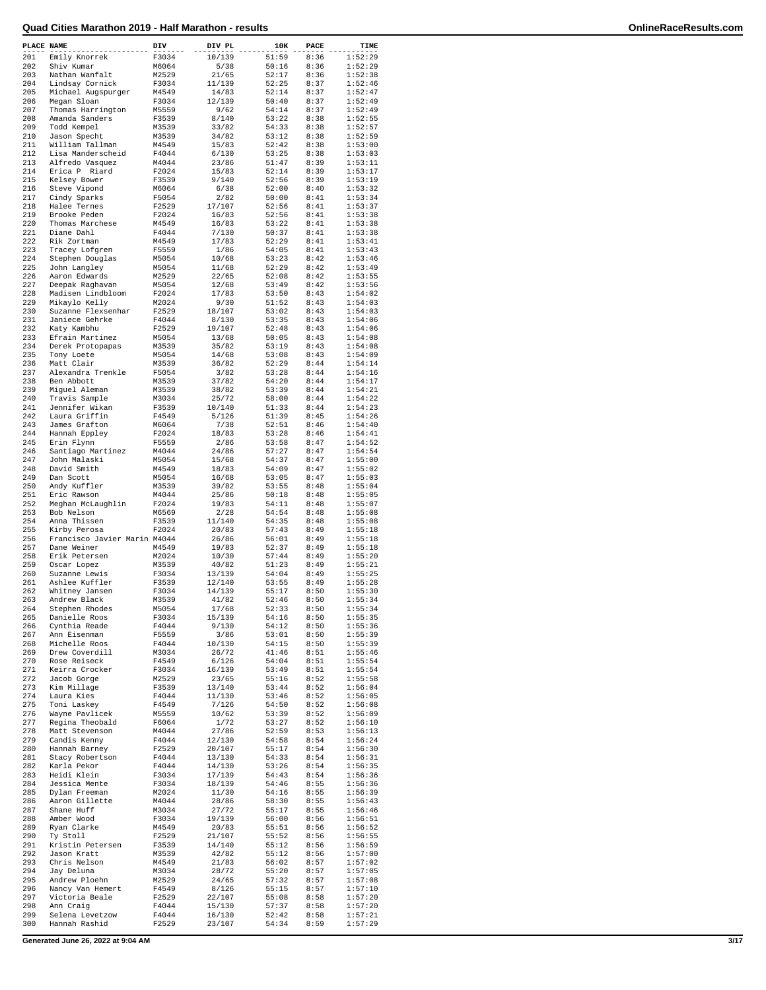| PLACE NAME |                                      | DIV            | DIV PL          | 10K            | PACE         | TIME               |
|------------|--------------------------------------|----------------|-----------------|----------------|--------------|--------------------|
| 201        | Emily Knorrek                        | F3034          | 10/139          | 51:59          | 8:36         | 1:52:29            |
| 202        | Shiv Kumar                           | M6064          | 5/38            | 50:16          | 8:36         | 1:52:29            |
| 203        | Nathan Wanfalt                       | M2529          | 21/65           | 52:17          | 8:36         | 1:52:38            |
| 204        | Lindsay Cornick                      | F3034          | 11/139          | 52:25          | 8:37         | 1:52:46            |
| 205        | Michael Augspurger                   | M4549          | 14/83           | 52:14          | 8:37         | 1:52:47            |
| 206        | Megan Sloan                          | F3034          | 12/139          | 50:40          | 8:37         | 1:52:49            |
| 207        | Thomas Harrington                    | M5559          | 9/62            | 54:14          | 8:37         | 1:52:49            |
| 208        | Amanda Sanders                       | F3539          | 8/140           | 53:22          | 8:38         | 1:52:55            |
| 209        | Todd Kempel                          | M3539          | 33/82           | 54:33          | 8:38         | 1:52:57            |
| 210        | Jason Specht                         | M3539          | 34/82           | 53:12          | 8:38         | 1:52:59            |
| 211<br>212 | William Tallman<br>Lisa Manderscheid | M4549<br>F4044 | 15/83<br>6/130  | 52:42<br>53:25 | 8:38<br>8:38 | 1:53:00<br>1:53:03 |
| 213        |                                      | M4044          | 23/86           | 51:47          | 8:39         | 1:53:11            |
| 214        | Alfredo Vasquez<br>Erica P Riard     | F2024          | 15/83           | 52:14          | 8:39         | 1:53:17            |
| 215        | Kelsey Bower                         | F3539          | 9/140           | 52:56          | 8:39         | 1:53:19            |
| 216        | Steve Vipond                         | M6064          | 6/38            | 52:00          | 8:40         | 1:53:32            |
| 217        | Cindy Sparks                         | F5054          | 2/82            | 50:00          | 8:41         | 1:53:34            |
| 218        | Halee Ternes                         | F2529          | 17/107          | 52:56          | 8:41         | 1:53:37            |
| 219        | Brooke Peden                         | F2024          | 16/83           | 52:56          | 8:41         | 1:53:38            |
| 220        | Thomas Marchese                      | M4549          | 16/83           | 53:22          | 8:41         | 1:53:38            |
| 221        | Diane Dahl                           | F4044          | 7/130           | 50:37          | 8:41         | 1:53:38            |
| 222        | Rik Zortman                          | M4549          | 17/83           | 52:29          | 8:41         | 1:53:41            |
| 223        | Tracey Lofgren                       | F5559          | 1/86            | 54:05          | 8:41         | 1:53:43            |
| 224        | Stephen Douglas                      | M5054          | 10/68           | 53:23          | 8:42         | 1:53:46            |
| 225        | John Langley                         | M5054          | 11/68           | 52:29          | 8:42         | 1:53:49            |
| 226        | Aaron Edwards                        | M2529          | 22/65           | 52:08          | 8:42         | 1:53:55            |
| 227        | Deepak Raghavan<br>Madisen Lindbloom | M5054          | 12/68           | 53:49          | 8:42         | 1:53:56            |
| 228<br>229 |                                      | F2024          | 17/83<br>9/30   | 53:50          | 8:43         | 1:54:02<br>1:54:03 |
| 230        | Mikaylo Kelly<br>Suzanne Flexsenhar  | M2024<br>F2529 | 18/107          | 51:52<br>53:02 | 8:43<br>8:43 | 1:54:03            |
| 231        | Janiece Gehrke                       | F4044          | 8/130           | 53:35          | 8:43         | 1:54:06            |
| 232        | Katy Kambhu                          | F2529          | 19/107          | 52:48          | 8:43         | 1:54:06            |
| 233        | Efrain Martinez                      | M5054          | 13/68           | 50:05          | 8:43         | 1:54:08            |
| 234        | Derek Protopapas                     | M3539          | 35/82           | 53:19          | 8:43         | 1:54:08            |
| 235        | Tony Loete                           | M5054          | 14/68           | 53:08          | 8:43         | 1:54:09            |
| 236        | Matt Clair                           | M3539          | 36/82           | 52:29          | 8:44         | 1:54:14            |
| 237        | Alexandra Trenkle                    | F5054          | 3/82            | 53:28          | 8:44         | 1:54:16            |
| 238        | Ben Abbott                           | M3539          | 37/82           | 54:20          | 8:44         | 1:54:17            |
| 239        | Miguel Aleman                        | M3539          | 38/82           | 53:39          | 8:44         | 1:54:21            |
| 240        | Travis Sample                        | M3034          | 25/72           | 58:00          | 8:44         | 1:54:22            |
| 241        | Jennifer Wikan                       | F3539          | 10/140          | 51:33          | 8:44         | 1:54:23            |
| 242        | Laura Griffin                        | F4549          | 5/126           | 51:39          | 8:45         | 1:54:26            |
| 243        | James Grafton                        | M6064          | 7/38            | 52:51          | 8:46         | 1:54:40            |
| 244        | Hannah Eppley                        | F2024          | 18/83           | 53:28          | 8:46         | 1:54:41            |
| 245        | Erin Flynn                           | F5559          | 2/86            | 53:58          | 8:47         | 1:54:52            |
| 246        | Santiago Martinez                    | M4044          | 24/86           | 57:27          | 8:47         | 1:54:54            |
| 247<br>248 | John Malaski<br>David Smith          | M5054<br>M4549 | 15/68<br>18/83  | 54:37<br>54:09 | 8:47<br>8:47 | 1:55:00<br>1:55:02 |
| 249        | Dan Scott                            | M5054          | 16/68           | 53:05          | 8:47         | 1:55:03            |
| 250        | Andy Kuffler                         | M3539          | 39/82           | 53:55          | 8:48         | 1:55:04            |
| 251        | Eric Rawson                          | M4044          | 25/86           | 50:18          | 8:48         | 1:55:05            |
| 252        | Meghan McLaughlin                    | F2024          | 19/83           | 54:11          | 8:48         | 1:55:07            |
| 253        | Bob Nelson                           | M6569          | 2/28            | 54:54          | 8:48         | 1:55:08            |
| 254        | Anna Thissen                         | F3539          | 11/140          | 54:35          | 8:48         | 1:55:08            |
| 255        | Kirby Perosa                         | F2024          | 20/83           | 57:43          | 8:49         | 1:55:18            |
| 256        | Francisco Javier Marin M4044         |                | 26/86           | 56:01          | 8:49         | 1:55:18            |
| 257        | Dane Weiner                          | M4549          | 19/83           | 52:37          | 8:49         | 1:55:18            |
| 258        | Erik Petersen                        | M2024          | 10/30           | 57:44          | 8:49         | 1:55:20            |
| 259        | Oscar Lopez                          | M3539          | 40/82           | 51:23          | 8:49         | 1:55:21            |
| 260        | Suzanne Lewis                        | F3034          | 13/139          | 54:04          | 8:49         | 1:55:25            |
| 261        | Ashlee Kuffler                       | F3539          | 12/140          | 53:55          | 8:49         | 1:55:28            |
| 262<br>263 | Whitney Jansen<br>Andrew Black       | F3034<br>M3539 | 14/139<br>41/82 | 55:17<br>52:46 | 8:50<br>8:50 | 1:55:30<br>1:55:34 |
| 264        | Stephen Rhodes                       | M5054          | 17/68           | 52:33          | 8:50         | 1:55:34            |
| 265        | Danielle Roos                        | F3034          | 15/139          | 54:16          | 8:50         | 1:55:35            |
| 266        | Cynthia Reade                        | F4044          | 9/130           | 54:12          | 8:50         | 1:55:36            |
| 267        | Ann Eisenman                         | F5559          | 3/86            | 53:01          | 8:50         | 1:55:39            |
| 268        | Michelle Roos                        | F4044          | 10/130          | 54:15          | 8:50         | 1:55:39            |
| 269        | Drew Coverdill                       | M3034          | 26/72           | 41:46          | 8:51         | 1:55:46            |
| 270        | Rose Reiseck                         | F4549          | 6/126           | 54:04          | 8:51         | 1:55:54            |
| 271        | Keirra Crocker                       | F3034          | 16/139          | 53:49          | 8:51         | 1:55:54            |
| 272        | Jacob Gorge                          | M2529          | 23/65           | 55:16          | 8:52         | 1:55:58            |
| 273        | Kim Millage                          | F3539          | 13/140          | 53:44          | 8:52         | 1:56:04            |
| 274        | Laura Kies                           | F4044          | 11/130          | 53:46          | 8:52         | 1:56:05            |
| 275<br>276 | Toni Laskey<br>Wayne Pavlicek        | F4549          | 7/126           | 54:50          | 8:52<br>8:52 | 1:56:08            |
| 277        |                                      | M5559<br>F6064 | 10/62           | 53:39<br>53:27 | 8:52         | 1:56:09<br>1:56:10 |
| 278        | Regina Theobald<br>Matt Stevenson    | M4044          | 1/72<br>27/86   | 52:59          | 8:53         | 1:56:13            |
| 279        | Candis Kenny                         | F4044          | 12/130          | 54:58          | 8:54         | 1:56:24            |
| 280        | Hannah Barney                        | F2529          | 20/107          | 55:17          | 8:54         | 1:56:30            |
| 281        | Stacy Robertson                      | F4044          | 13/130          | 54:33          | 8:54         | 1:56:31            |
| 282        | Karla Pekor                          | F4044          | 14/130          | 53:26          | 8:54         | 1:56:35            |
| 283        | Heidi Klein                          | F3034          | 17/139          | 54:43          | 8:54         | 1:56:36            |
| 284        | Jessica Mente                        | F3034          | 18/139          | 54:46          | 8:55         | 1:56:36            |
| 285        | Dylan Freeman                        | M2024          | 11/30           | 54:16          | 8:55         | 1:56:39            |
| 286        | Aaron Gillette                       | M4044          | 28/86           | 58:30          | 8:55         | 1:56:43            |
| 287        | Shane Huff                           | M3034          | 27/72           | 55:17          | 8:55         | 1:56:46            |
| 288        | Amber Wood                           | F3034          | 19/139          | 56:00          | 8:56         | 1:56:51            |
| 289        | Ryan Clarke                          | M4549          | 20/83           | 55:51          | 8:56         | 1:56:52            |
| 290        | Ty Stoll                             | F2529          | 21/107          | 55:52          | 8:56         | 1:56:55            |
| 291<br>292 | Kristin Petersen<br>Jason Kratt      | F3539<br>M3539 | 14/140          | 55:12<br>55:12 | 8:56<br>8:56 | 1:56:59<br>1:57:00 |
| 293        | Chris Nelson                         | M4549          | 42/82<br>21/83  | 56:02          | 8:57         | 1:57:02            |
| 294        | Jay Deluna                           | M3034          | 28/72           | 55:20          | 8:57         | 1:57:05            |
| 295        | Andrew Ploehn                        | M2529          | 24/65           | 57:32          | 8:57         | 1:57:08            |
| 296        | Nancy Van Hemert                     | F4549          | 8/126           | 55:15          | 8:57         | 1:57:10            |
| 297        | Victoria Beale                       | F2529          | 22/107          | 55:08          | 8:58         | 1:57:20            |
| 298        | Ann Craig                            | F4044          | 15/130          | 57:37          | 8:58         | 1:57:20            |
| 299        | Selena Levetzow                      | F4044          | 16/130          | 52:42          | 8:58         | 1:57:21            |
| 300        | Hannah Rashid                        | F2529          | 23/107          | 54:34          | 8:59         | 1:57:29            |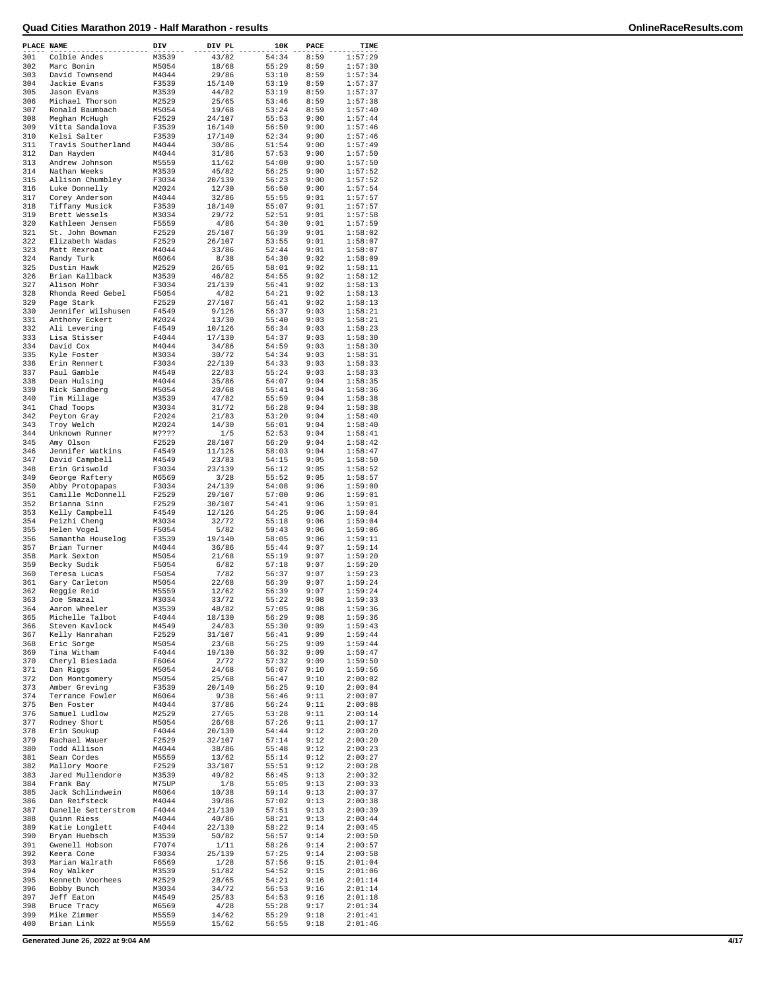| PLACE NAME |                                      | DIV            | DIV PL           | 10K            | PACE         | TIME               |
|------------|--------------------------------------|----------------|------------------|----------------|--------------|--------------------|
| 301        | Colbie Andes                         | M3539          | 43/82            | 54:34          | 8:59         | 1:57:29            |
| 302        | Marc Bonin                           | M5054          | 18/68            | 55:29          | 8:59         | 1:57:30            |
| 303        | David Townsend                       | M4044          | 29/86            | 53:10          | 8:59         | 1:57:34            |
| 304<br>305 | Jackie Evans                         | F3539          | 15/140<br>44/82  | 53:19<br>53:19 | 8:59<br>8:59 | 1:57:37<br>1:57:37 |
| 306        | Jason Evans<br>Michael Thorson       | M3539<br>M2529 | 25/65            | 53:46          | 8:59         | 1:57:38            |
| 307        | Ronald Baumbach                      | M5054          | 19/68            | 53:24          | 8:59         | 1:57:40            |
| 308        | Meghan McHugh                        | F2529          | 24/107           | 55:53          | 9:00         | 1:57:44            |
| 309        | Vitta Sandalova                      | F3539          | 16/140           | 56:50          | 9:00         | 1:57:46            |
| 310        | Kelsi Salter                         | F3539          | 17/140           | 52:34          | 9:00         | 1:57:46            |
| 311        | Travis Southerland                   | M4044          | 30/86            | 51:54          | 9:00         | 1:57:49            |
| 312        | Dan Hayden                           | M4044          | 31/86            | 57:53          | 9:00         | 1:57:50            |
| 313        | Andrew Johnson                       | M5559          | 11/62            | 54:00          | 9:00         | 1:57:50            |
| 314<br>315 | Nathan Weeks                         | M3539<br>F3034 | 45/82<br>20/139  | 56:25<br>56:23 | 9:00<br>9:00 | 1:57:52<br>1:57:52 |
| 316        | Allison Chumbley<br>Luke Donnelly    | M2024          | 12/30            | 56:50          | 9:00         | 1:57:54            |
| 317        | Corey Anderson                       | M4044          | 32/86            | 55:55          | 9:01         | 1:57:57            |
| 318        | Tiffany Musick                       | F3539          | 18/140           | 55:07          | 9:01         | 1:57:57            |
| 319        | Brett Wessels                        | M3034          | 29/72            | 52:51          | 9:01         | 1:57:58            |
| 320        | Kathleen Jensen                      | F5559          | 4/86             | 54:30          | 9:01         | 1:57:59            |
| 321        | St. John Bowman                      | F2529          | 25/107           | 56:39          | 9:01         | 1:58:02            |
| 322        | Elizabeth Wadas                      | F2529          | 26/107           | 53:55          | 9:01         | 1:58:07            |
| 323        | Matt Rexroat                         | M4044          | 33/86            | 52:44          | 9:01         | 1:58:07            |
| 324        | Randy Turk                           | M6064          | 8/38             | 54:30          | 9:02         | 1:58:09            |
| 325        | Dustin Hawk                          | M2529          | 26/65            | 58:01          | 9:02         | 1:58:11            |
| 326        | Brian Kallback                       | M3539          | 46/82            | 54:55          | 9:02         | 1:58:12            |
| 327<br>328 | Alison Mohr<br>Rhonda Reed Gebel     | F3034<br>F5054 | 21/139<br>4/82   | 56:41<br>54:21 | 9:02<br>9:02 | 1:58:13<br>1:58:13 |
| 329        | Page Stark                           | F2529          | 27/107           | 56:41          | 9:02         | 1:58:13            |
| 330        | Jennifer Wilshusen                   | F4549          | 9/126            | 56:37          | 9:03         | 1:58:21            |
| 331        | Anthony Eckert                       | M2024          | 13/30            | 55:40          | 9:03         | 1:58:21            |
| 332        | Ali Levering                         | F4549          | 10/126           | 56:34          | 9:03         | 1:58:23            |
| 333        | Lisa Stisser                         | F4044          | 17/130           | 54:37          | 9:03         | 1:58:30            |
| 334        | David Cox                            | M4044          | 34/86            | 54:59          | 9:03         | 1:58:30            |
| 335        | Kyle Foster                          | M3034          | 30/72            | 54:34          | 9:03         | 1:58:31            |
| 336        | Erin Rennert                         | F3034          | 22/139           | 54:33          | 9:03         | 1:58:33            |
| 337        | Paul Gamble                          | M4549          | 22/83            | 55:24          | 9:03         | 1:58:33            |
| 338        | Dean Hulsing                         | M4044          | 35/86            | 54:07<br>55:41 | 9:04         | 1:58:35            |
| 339<br>340 | Rick Sandberg<br>Tim Millage         | M5054<br>M3539 | 20/68<br>47/82   | 55:59          | 9:04<br>9:04 | 1:58:36<br>1:58:38 |
| 341        | Chad Toops                           | M3034          | 31/72            | 56:28          | 9:04         | 1:58:38            |
| 342        | Peyton Gray                          | F2024          | 21/83            | 53:20          | 9:04         | 1:58:40            |
| 343        | Troy Welch                           | M2024          | 14/30            | 56:01          | 9:04         | 1:58:40            |
| 344        | Unknown Runner                       | M????          | 1/5              | 52:53          | 9:04         | 1:58:41            |
| 345        | Amy Olson                            | F2529          | 28/107           | 56:29          | 9:04         | 1:58:42            |
| 346        | Jennifer Watkins                     | F4549          | 11/126           | 58:03          | 9:04         | 1:58:47            |
| 347        | David Campbell                       | M4549          | 23/83            | 54:15          | 9:05         | 1:58:50            |
| 348        | Erin Griswold                        | F3034          | 23/139           | 56:12          | 9:05         | 1:58:52            |
| 349        | George Raftery                       | M6569          | 3/28             | 55:52          | 9:05         | 1:58:57            |
| 350<br>351 | Abby Protopapas<br>Camille McDonnell | F3034<br>F2529 | 24/139<br>29/107 | 54:08<br>57:00 | 9:06<br>9:06 | 1:59:00<br>1:59:01 |
| 352        | Brianna Sinn                         | F2529          | 30/107           | 54:41          | 9:06         | 1:59:01            |
| 353        | Kelly Campbell                       | F4549          | 12/126           | 54:25          | 9:06         | 1:59:04            |
| 354        | Peizhi Cheng                         | M3034          | 32/72            | 55:18          | 9:06         | 1:59:04            |
| 355        | Helen Vogel                          | F5054          | 5/82             | 59:43          | 9:06         | 1:59:06            |
| 356        | Samantha Houselog                    | F3539          | 19/140           | 58:05          | 9:06         | 1:59:11            |
| 357        | Brian Turner                         | M4044          | 36/86            | 55:44          | 9:07         | 1:59:14            |
| 358        | Mark Sexton                          | M5054          | 21/68            | 55:19          | 9:07         | 1:59:20            |
| 359        | Becky Sudik                          | F5054          | 6/82             | 57:18          | 9:07         | 1:59:20            |
| 360        | Teresa Lucas                         | F5054          | 7/82             | 56:37          | 9:07         | 1:59:23            |
| 361<br>362 | Gary Carleton                        | M5054<br>M5559 | 22/68<br>12/62   | 56:39<br>56:39 | 9:07<br>9:07 | 1:59:24<br>1:59:24 |
| 363        | Reggie Reid<br>Joe Smazal            | M3034          | 33/72            | 55:22          | 9:08         | 1:59:33            |
| 364        | Aaron Wheeler                        | M3539          | 48/82            | 57:05          | 9:08         | 1:59:36            |
| 365        | Michelle Talbot                      | F4044          | 18/130           | 56:29          | 9:08         | 1:59:36            |
| 366        | Steven Kavlock                       | M4549          | 24/83            | 55:30          | 9:09         | 1:59:43            |
| 367        | Kelly Hanrahan                       | F2529          | 31/107           | 56:41          | 9:09         | 1:59:44            |
| 368        | Eric Sorge                           | M5054          | 23/68            | 56:25          | 9:09         | 1:59:44            |
| 369        | Tina Witham                          | F4044          | 19/130           | 56:32          | 9:09         | 1:59:47            |
| 370        | Cheryl Biesiada                      | F6064          | 2/72             | 57:32          | 9:09         | 1:59:50            |
| 371<br>372 | Dan Riggs<br>Don Montgomery          | M5054<br>M5054 | 24/68<br>25/68   | 56:07<br>56:47 | 9:10<br>9:10 | 1:59:56<br>2:00:02 |
| 373        | Amber Greving                        | F3539          | 20/140           | 56:25          | 9:10         | 2:00:04            |
| 374        | Terrance Fowler                      | M6064          | 9/38             | 56:46          | 9:11         | 2:00:07            |
| 375        | Ben Foster                           | M4044          | 37/86            | 56:24          | 9:11         | 2:00:08            |
| 376        | Samuel Ludlow                        | M2529          | 27/65            | 53:28          | 9:11         | 2:00:14            |
| 377        | Rodney Short                         | M5054          | 26/68            | 57:26          | 9:11         | 2:00:17            |
| 378        | Erin Soukup                          | F4044          | 20/130           | 54:44          | 9:12         | 2:00:20            |
| 379        | Rachael Wauer                        | F2529          | 32/107           | 57:14          | 9:12         | 2:00:20            |
| 380        | Todd Allison                         | M4044          | 38/86            | 55:48          | 9:12         | 2:00:23            |
| 381        | Sean Cordes                          | M5559          | 13/62            | 55:14          | 9:12         | 2:00:27            |
| 382        | Mallory Moore                        | F2529          | 33/107           | 55:51          | 9:12         | 2:00:28            |
| 383<br>384 | Jared Mullendore<br>Frank Bay        | M3539<br>M75UP | 49/82<br>1/8     | 56:45<br>55:05 | 9:13<br>9:13 | 2:00:32<br>2:00:33 |
| 385        | Jack Schlindwein                     | M6064          | 10/38            | 59:14          | 9:13         | 2:00:37            |
| 386        | Dan Reifsteck                        | M4044          | 39/86            | 57:02          | 9:13         | 2:00:38            |
| 387        | Danelle Setterstrom                  | F4044          | 21/130           | 57:51          | 9:13         | 2:00:39            |
| 388        | Quinn Riess                          | M4044          | 40/86            | 58:21          | 9:13         | 2:00:44            |
| 389        | Katie Longlett                       | F4044          | 22/130           | 58:22          | 9:14         | 2:00:45            |
| 390        | Bryan Huebsch                        | M3539          | 50/82            | 56:57          | 9:14         | 2:00:50            |
| 391        | Gwenell Hobson                       | F7074          | 1/11             | 58:26          | 9:14         | 2:00:57            |
| 392        | Keera Cone                           | F3034          | 25/139           | 57:25          | 9:14         | 2:00:58            |
| 393        | Marian Walrath                       | F6569          | 1/28             | 57:56          | 9:15         | 2:01:04            |
| 394        | Roy Walker                           | M3539          | 51/82            | 54:52          | 9:15         | 2:01:06            |
| 395<br>396 | Kenneth Voorhees<br>Bobby Bunch      | M2529<br>M3034 | 28/65<br>34/72   | 54:21<br>56:53 | 9:16<br>9:16 | 2:01:14<br>2:01:14 |
| 397        | Jeff Eaton                           | M4549          | 25/83            | 54:53          | 9:16         | 2:01:18            |
| 398        | Bruce Tracy                          | M6569          | 4/28             | 55:28          | 9:17         | 2:01:34            |
| 399        | Mike Zimmer                          | M5559          | 14/62            | 55:29          | 9:18         | 2:01:41            |
| 400        | Brian Link                           | M5559          | 15/62            | 56:55          | 9:18         | 2:01:46            |

**Generated June 26, 2022 at 9:04 AM 4/17**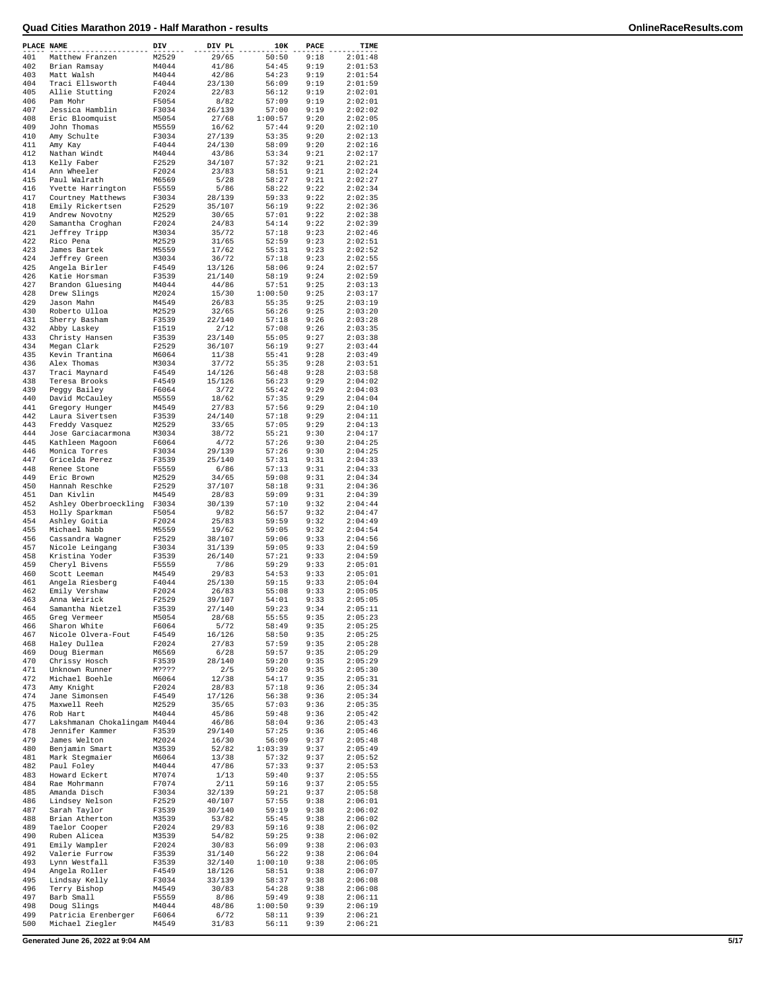| PLACE NAME |                              | DIV   | DIV PL | 10K     | PACE         | TIME               |
|------------|------------------------------|-------|--------|---------|--------------|--------------------|
| 401        | Matthew Franzen              | M2529 | 29/65  | 50:50   | 9:18         | 2:01:48            |
| 402        | Brian Ramsay                 | M4044 | 41/86  | 54:45   | 9:19         | 2:01:53            |
| 403        | Matt Walsh                   | M4044 | 42/86  | 54:23   | 9:19         | 2:01:54            |
| 404        | Traci Ellsworth              | F4044 | 23/130 | 56:09   | 9:19         | 2:01:59            |
| 405        | Allie Stutting               | F2024 | 22/83  | 56:12   | 9:19         | 2:02:01            |
| 406        | Pam Mohr                     | F5054 | 8/82   | 57:09   | 9:19         | 2:02:01            |
| 407        | Jessica Hamblin              | F3034 | 26/139 | 57:00   | 9:19         | 2:02:02            |
| 408        | Eric Bloomquist              | M5054 | 27/68  | 1:00:57 | 9:20         | 2:02:05            |
| 409        | John Thomas                  | M5559 | 16/62  | 57:44   | 9:20         | 2:02:10            |
| 410        | Amy Schulte                  | F3034 | 27/139 | 53:35   | 9:20         | 2:02:13            |
| 411        | Amy Kay                      | F4044 | 24/130 | 58:09   | 9:20         | 2:02:16            |
| 412        | Nathan Windt                 | M4044 | 43/86  | 53:34   | 9:21         | 2:02:17            |
| 413        | Kelly Faber                  | F2529 | 34/107 | 57:32   | 9:21         | 2:02:21            |
| 414        | Ann Wheeler                  | F2024 | 23/83  | 58:51   | 9:21         | 2:02:24            |
| 415        | Paul Walrath                 | M6569 | 5/28   | 58:27   | 9:21         | 2:02:27            |
| 416        | Yvette Harrington            | F5559 | 5/86   | 58:22   | 9:22         | 2:02:34            |
| 417        | Courtney Matthews            | F3034 | 28/139 | 59:33   | 9:22         | 2:02:35            |
| 418        | Emily Rickertsen             | F2529 | 35/107 | 56:19   | 9:22         | 2:02:36            |
| 419        | Andrew Novotny               | M2529 | 30/65  | 57:01   | 9:22         | 2:02:38            |
| 420        | Samantha Croghan             | F2024 | 24/83  | 54:14   | 9:22         | 2:02:39            |
| 421        | Jeffrey Tripp                | M3034 | 35/72  | 57:18   | 9:23         | 2:02:46            |
| 422        | Rico Pena                    | M2529 | 31/65  | 52:59   | 9:23         | 2:02:51            |
| 423        | James Bartek                 | M5559 | 17/62  | 55:31   | 9:23         | 2:02:52            |
| 424        | Jeffrey Green                | M3034 | 36/72  | 57:18   | 9:23         | 2:02:55            |
| 425        | Angela Birler                | F4549 | 13/126 | 58:06   | 9:24         | 2:02:57            |
| 426        | Katie Horsman                | F3539 | 21/140 | 58:19   | 9:24         | 2:02:59            |
| 427        | Brandon Gluesing             | M4044 | 44/86  | 57:51   | 9:25         | 2:03:13            |
| 428        | Drew Slings                  | M2024 | 15/30  | 1:00:50 | 9:25         | 2:03:17            |
| 429        | Jason Mahn                   | M4549 | 26/83  | 55:35   | 9:25         | 2:03:19            |
| 430        | Roberto Ulloa                | M2529 | 32/65  | 56:26   | 9:25         | 2:03:20            |
| 431        | Sherry Basham                | F3539 | 22/140 | 57:18   | 9:26         | 2:03:28            |
| 432        | Abby Laskey                  | F1519 | 2/12   | 57:08   | 9:26         | 2:03:35            |
| 433        | Christy Hansen               | F3539 | 23/140 | 55:05   | 9:27         | 2:03:38            |
| 434        | Megan Clark                  | F2529 | 36/107 | 56:19   | 9:27         | 2:03:44            |
| 435        | Kevin Trantina               | M6064 | 11/38  | 55:41   | 9:28         | 2:03:49            |
| 436        | Alex Thomas                  | M3034 | 37/72  | 55:35   | 9:28         | 2:03:51            |
| 437        | Traci Maynard                | F4549 | 14/126 | 56:48   | 9:28         | 2:03:58            |
| 438        | Teresa Brooks                | F4549 | 15/126 | 56:23   | 9:29         | 2:04:02            |
| 439        | Peggy Bailey                 | F6064 | 3/72   | 55:42   | 9:29         | 2:04:03            |
| 440        | David McCauley               | M5559 | 18/62  | 57:35   | 9:29         | 2:04:04            |
| 441        | Gregory Hunger               | M4549 | 27/83  | 57:56   | 9:29         | 2:04:10            |
| 442        | Laura Sivertsen              | F3539 | 24/140 | 57:18   | 9:29         | 2:04:11            |
| 443        | Freddy Vasquez               | M2529 | 33/65  | 57:05   | 9:29         | 2:04:13            |
| 444        | Jose Garciacarmona           | M3034 | 38/72  | 55:21   | 9:30         | 2:04:17            |
| 445        | Kathleen Magoon              | F6064 | 4/72   | 57:26   | 9:30         | 2:04:25            |
| 446        | Monica Torres                | F3034 | 29/139 | 57:26   | 9:30         | 2:04:25            |
| 447        | Gricelda Perez               | F3539 | 25/140 | 57:31   | 9:31         | 2:04:33            |
| 448        | Renee Stone                  | F5559 | 6/86   | 57:13   | 9:31         | 2:04:33            |
| 449        | Eric Brown                   | M2529 | 34/65  | 59:08   | 9:31         | 2:04:34            |
| 450        | Hannah Reschke               | F2529 | 37/107 | 58:18   | 9:31         | 2:04:36            |
| 451        | Dan Kivlin                   | M4549 | 28/83  | 59:09   | 9:31         | 2:04:39            |
| 452        | Ashley Oberbroeckling        | F3034 | 30/139 | 57:10   | 9:32         | 2:04:44            |
| 453        | Holly Sparkman               | F5054 | 9/82   | 56:57   | 9:32         | 2:04:47            |
| 454        | Ashley Goitia                | F2024 | 25/83  | 59:59   | 9:32         | 2:04:49            |
| 455        | Michael Nabb                 | M5559 | 19/62  | 59:05   | 9:32         | 2:04:54            |
| 456        | Cassandra Wagner             | F2529 | 38/107 | 59:06   | 9:33         | 2:04:56            |
| 457        | Nicole Leingang              | F3034 | 31/139 | 59:05   | 9:33         | 2:04:59            |
| 458        | Kristina Yoder               | F3539 | 26/140 | 57:21   | 9:33         | 2:04:59            |
| 459        | Cheryl Bivens                | F5559 | 7/86   | 59:29   | 9:33         | 2:05:01            |
| 460        | Scott Leeman                 | M4549 | 29/83  | 54:53   | 9:33         | 2:05:01            |
| 461        | Angela Riesberg              | F4044 | 25/130 | 59:15   | 9:33         | 2:05:04            |
| 462        | Emily Vershaw                | F2024 | 26/83  | 55:08   | 9:33         | 2:05:05            |
| 463        | Anna Weirick                 | F2529 | 39/107 | 54:01   | 9:33         | 2:05:05            |
| 464        | Samantha Nietzel             | F3539 | 27/140 | 59:23   | 9:34         | 2:05:11            |
| 465        | Greg Vermeer                 | M5054 | 28/68  | 55:55   | 9:35         | 2:05:23            |
| 466        | Sharon White                 | F6064 | 5/72   | 58:49   | 9:35         | 2:05:25            |
| 467        | Nicole Olvera-Fout           | F4549 | 16/126 | 58:50   | 9:35         | 2:05:25            |
| 468        | Haley Dullea                 | F2024 | 27/83  | 57:59   | 9:35         | 2:05:28            |
| 469        | Doug Bierman                 | M6569 | 6/28   | 59:57   | 9:35         | 2:05:29            |
| 470        | Chrissy Hosch                | F3539 | 28/140 | 59:20   | 9:35         | 2:05:29            |
| 471        | Unknown Runner               | M???? | 2/5    | 59:20   | 9:35         | 2:05:30            |
| 472        | Michael Boehle               | M6064 | 12/38  | 54:17   | 9:35         | 2:05:31            |
| 473        | Amy Knight                   | F2024 | 28/83  | 57:18   | 9:36         | 2:05:34            |
| 474        | Jane Simonsen                | F4549 | 17/126 | 56:38   | 9:36         | 2:05:34            |
| 475        | Maxwell Reeh                 | M2529 | 35/65  | 57:03   | 9:36         | 2:05:35            |
| 476        | Rob Hart                     | M4044 | 45/86  | 59:48   | 9:36         | 2:05:42            |
| 477        |                              |       |        |         |              |                    |
| 478        | Lakshmanan Chokalingam M4044 |       | 46/86  | 58:04   | 9:36<br>9:36 | 2:05:43<br>2:05:46 |
| 479        | Jennifer Kammer              | F3539 | 29/140 | 57:25   | 9:37         |                    |
|            | James Welton                 | M2024 | 16/30  | 56:09   |              | 2:05:48<br>2:05:49 |
| 480<br>481 | Benjamin Smart               | M3539 | 52/82  | 1:03:39 | 9:37<br>9:37 | 2:05:52            |
|            | Mark Stegmaier               | M6064 | 13/38  | 57:32   |              |                    |
| 482        | Paul Foley                   | M4044 | 47/86  | 57:33   | 9:37         | 2:05:53            |
| 483        | Howard Eckert                | M7074 | 1/13   | 59:40   | 9:37         | 2:05:55            |
| 484        | Rae Mohrmann                 | F7074 | 2/11   | 59:16   | 9:37         | 2:05:55            |
| 485        | Amanda Disch                 | F3034 | 32/139 | 59:21   | 9:37         | 2:05:58            |
| 486        | Lindsey Nelson               | F2529 | 40/107 | 57:55   | 9:38         | 2:06:01            |
| 487        | Sarah Taylor                 | F3539 | 30/140 | 59:19   | 9:38         | 2:06:02            |
| 488        | Brian Atherton               | M3539 | 53/82  | 55:45   | 9:38         | 2:06:02            |
| 489        | Taelor Cooper                | F2024 | 29/83  | 59:16   | 9:38         | 2:06:02            |
| 490        | Ruben Alicea                 | M3539 | 54/82  | 59:25   | 9:38         | 2:06:02            |
| 491        | Emily Wampler                | F2024 | 30/83  | 56:09   | 9:38         | 2:06:03            |
| 492<br>493 | Valerie Furrow               | F3539 | 31/140 | 56:22   | 9:38         | 2:06:04            |
|            | Lynn Westfall                | F3539 | 32/140 | 1:00:10 | 9:38         | 2:06:05            |
| 494        | Angela Roller                | F4549 | 18/126 | 58:51   | 9:38         | 2:06:07            |
| 495        | Lindsay Kelly                | F3034 | 33/139 | 58:37   | 9:38         | 2:06:08            |
| 496        | Terry Bishop                 | M4549 | 30/83  | 54:28   | 9:38         | 2:06:08            |
| 497        | Barb Small                   | F5559 | 8/86   | 59:49   | 9:38         | 2:06:11            |
| 498<br>499 | Doug Slings                  | M4044 | 48/86  | 1:00:50 | 9:39<br>9:39 | 2:06:19            |
|            | Patricia Erenberger          | F6064 | 6/72   | 58:11   |              | 2:06:21            |
| 500        | Michael Ziegler              | M4549 | 31/83  | 56:11   | 9:39         | 2:06:21            |

**Generated June 26, 2022 at 9:04 AM 5/17**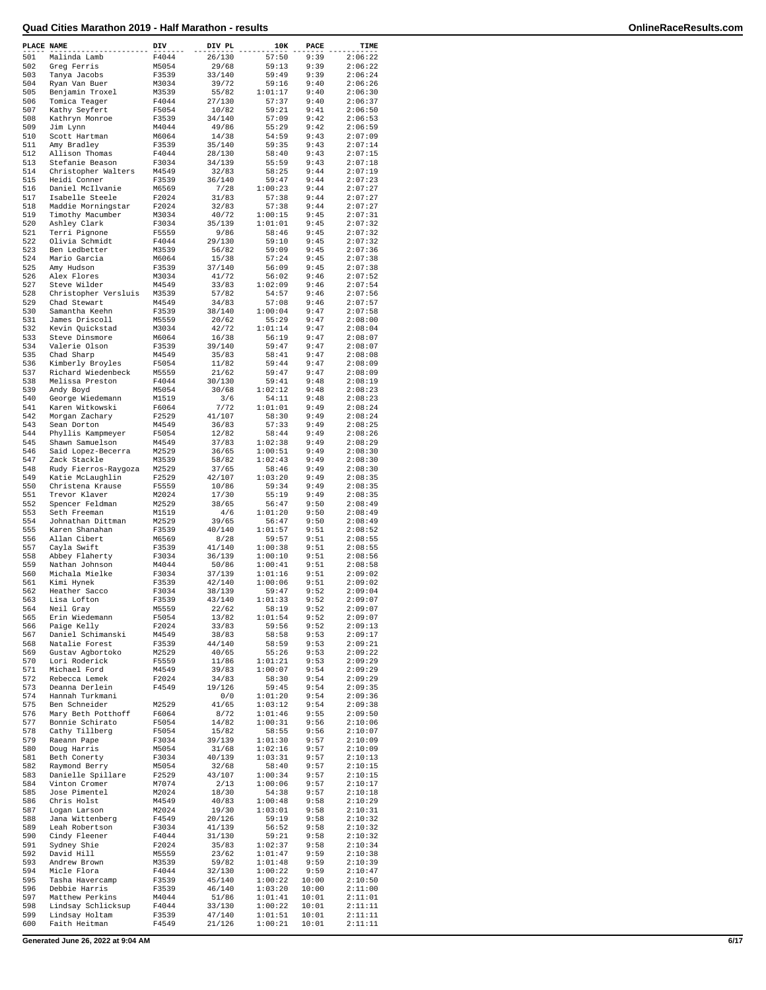| PLACE NAME |                      | DIV   | DIV PL | 10K     | PACE  | TIME               |
|------------|----------------------|-------|--------|---------|-------|--------------------|
| 501        | Malinda Lamb         | F4044 | 26/130 | 57:50   | 9:39  | 2:06:22            |
| 502        | Greg Ferris          | M5054 | 29/68  | 59:13   | 9:39  | 2:06:22            |
| 503        | Tanya Jacobs         | F3539 | 33/140 | 59:49   | 9:39  | 2:06:24            |
| 504        | Ryan Van Buer        | M3034 | 39/72  | 59:16   | 9:40  | 2:06:26            |
| 505        | Benjamin Troxel      | M3539 | 55/82  | 1:01:17 | 9:40  | 2:06:30            |
| 506        | Tomica Teager        | F4044 | 27/130 | 57:37   | 9:40  | 2:06:37            |
| 507        | Kathy Seyfert        | F5054 | 10/82  | 59:21   | 9:41  | 2:06:50            |
| 508        | Kathryn Monroe       | F3539 | 34/140 | 57:09   | 9:42  | 2:06:53            |
| 509        | Jim Lynn             | M4044 | 49/86  | 55:29   | 9:42  | 2:06:59            |
| 510        | Scott Hartman        | M6064 | 14/38  | 54:59   | 9:43  | 2:07:09            |
| 511        | Amy Bradley          | F3539 | 35/140 | 59:35   | 9:43  | 2:07:14            |
| 512        | Allison Thomas       | F4044 | 28/130 | 58:40   | 9:43  | 2:07:15            |
| 513        | Stefanie Beason      | F3034 | 34/139 | 55:59   | 9:43  | 2:07:18            |
| 514        | Christopher Walters  | M4549 | 32/83  | 58:25   | 9:44  | 2:07:19            |
| 515        | Heidi Conner         | F3539 | 36/140 | 59:47   | 9:44  | 2:07:23            |
| 516        | Daniel McIlvanie     |       | 7/28   | 1:00:23 | 9:44  | 2:07:27            |
| 517        |                      | M6569 |        |         |       |                    |
|            | Isabelle Steele      | F2024 | 31/83  | 57:38   | 9:44  | 2:07:27<br>2:07:27 |
| 518        | Maddie Morningstar   | F2024 | 32/83  | 57:38   | 9:44  |                    |
| 519        | Timothy Macumber     | M3034 | 40/72  | 1:00:15 | 9:45  | 2:07:31            |
| 520        | Ashley Clark         | F3034 | 35/139 | 1:01:01 | 9:45  | 2:07:32            |
| 521        | Terri Pignone        | F5559 | 9/86   | 58:46   | 9:45  | 2:07:32            |
| 522        | Olivia Schmidt       | F4044 | 29/130 | 59:10   | 9:45  | 2:07:32            |
| 523        | Ben Ledbetter        | M3539 | 56/82  | 59:09   | 9:45  | 2:07:36            |
| 524        | Mario Garcia         | M6064 | 15/38  | 57:24   | 9:45  | 2:07:38            |
| 525        | Amy Hudson           | F3539 | 37/140 | 56:09   | 9:45  | 2:07:38            |
| 526        | Alex Flores          | M3034 | 41/72  | 56:02   | 9:46  | 2:07:52            |
| 527        | Steve Wilder         | M4549 | 33/83  | 1:02:09 | 9:46  | 2:07:54            |
| 528        | Christopher Versluis | M3539 | 57/82  | 54:57   | 9:46  | 2:07:56            |
| 529        | Chad Stewart         | M4549 | 34/83  | 57:08   | 9:46  | 2:07:57            |
| 530        | Samantha Keehn       | F3539 | 38/140 | 1:00:04 | 9:47  | 2:07:58            |
| 531        | James Driscoll       | M5559 | 20/62  | 55:29   | 9:47  | 2:08:00            |
| 532        | Kevin Quickstad      | M3034 | 42/72  | 1:01:14 | 9:47  | 2:08:04            |
| 533        | Steve Dinsmore       | M6064 | 16/38  | 56:19   | 9:47  | 2:08:07            |
| 534        | Valerie Olson        |       |        | 59:47   | 9:47  |                    |
|            |                      | F3539 | 39/140 |         |       | 2:08:07            |
| 535        | Chad Sharp           | M4549 | 35/83  | 58:41   | 9:47  | 2:08:08            |
| 536        | Kimberly Broyles     | F5054 | 11/82  | 59:44   | 9:47  | 2:08:09            |
| 537        | Richard Wiedenbeck   | M5559 | 21/62  | 59:47   | 9:47  | 2:08:09            |
| 538        | Melissa Preston      | F4044 | 30/130 | 59:41   | 9:48  | 2:08:19            |
| 539        | Andy Boyd            | M5054 | 30/68  | 1:02:12 | 9:48  | 2:08:23            |
| 540        | George Wiedemann     | M1519 | 3/6    | 54:11   | 9:48  | 2:08:23            |
| 541        | Karen Witkowski      | F6064 | 7/72   | 1:01:01 | 9:49  | 2:08:24            |
| 542        | Morgan Zachary       | F2529 | 41/107 | 58:30   | 9:49  | 2:08:24            |
| 543        | Sean Dorton          | M4549 | 36/83  | 57:33   | 9:49  | 2:08:25            |
| 544        | Phyllis Kampmeyer    | F5054 | 12/82  | 58:44   | 9:49  | 2:08:26            |
| 545        | Shawn Samuelson      | M4549 | 37/83  | 1:02:38 | 9:49  | 2:08:29            |
| 546        | Said Lopez-Becerra   | M2529 | 36/65  | 1:00:51 | 9:49  | 2:08:30            |
| 547        | Zack Stackle         | M3539 | 58/82  | 1:02:43 | 9:49  | 2:08:30            |
| 548        | Rudy Fierros-Raygoza | M2529 | 37/65  | 58:46   | 9:49  | 2:08:30            |
| 549        | Katie McLaughlin     | F2529 | 42/107 | 1:03:20 | 9:49  | 2:08:35            |
| 550        | Christena Krause     | F5559 | 10/86  | 59:34   | 9:49  | 2:08:35            |
| 551        | Trevor Klaver        | M2024 | 17/30  | 55:19   | 9:49  | 2:08:35            |
| 552        | Spencer Feldman      | M2529 | 38/65  | 56:47   | 9:50  | 2:08:49            |
| 553        | Seth Freeman         | M1519 | 4/6    | 1:01:20 | 9:50  | 2:08:49            |
| 554        | Johnathan Dittman    | M2529 | 39/65  | 56:47   | 9:50  | 2:08:49            |
|            |                      |       |        |         | 9:51  |                    |
| 555        | Karen Shanahan       | F3539 | 40/140 | 1:01:57 |       | 2:08:52            |
| 556        | Allan Cibert         | M6569 | 8/28   | 59:57   | 9:51  | 2:08:55            |
| 557        | Cayla Swift          | F3539 | 41/140 | 1:00:38 | 9:51  | 2:08:55            |
| 558        | Abbey Flaherty       | F3034 | 36/139 | 1:00:10 | 9:51  | 2:08:56            |
| 559        | Nathan Johnson       | M4044 | 50/86  | 1:00:41 | 9:51  | 2:08:58            |
| 560        | Michala Mielke       | F3034 | 37/139 | 1:01:16 | 9:51  | 2:09:02            |
| 561        | Kimi Hynek           | F3539 | 42/140 | 1:00:06 | 9:51  | 2:09:02            |
| 562        | Heather Sacco        | F3034 | 38/139 | 59:47   | 9:52  | 2:09:04            |
| 563        | Lisa Lofton          | F3539 | 43/140 | 1:01:33 | 9:52  | 2:09:07            |
| 564        | Neil Gray            | M5559 | 22/62  | 58:19   | 9:52  | 2:09:07            |
| 565        | Erin Wiedemann       | F5054 | 13/82  | 1:01:54 | 9:52  | 2:09:07            |
| 566        | Paige Kelly          | F2024 | 33/83  | 59:56   | 9:52  | 2:09:13            |
| 567        | Daniel Schimanski    | M4549 | 38/83  | 58:58   | 9:53  | 2:09:17            |
| 568        | Natalie Forest       | F3539 | 44/140 | 58:59   | 9:53  | 2:09:21            |
| 569        | Gustav Agbortoko     | M2529 | 40/65  | 55:26   | 9:53  | 2:09:22            |
| 570        | Lori Roderick        | F5559 | 11/86  | 1:01:21 | 9:53  | 2:09:29            |
| 571        | Michael Ford         | M4549 | 39/83  | 1:00:07 | 9:54  | 2:09:29            |
| 572        | Rebecca Lemek        | F2024 | 34/83  | 58:30   | 9:54  | 2:09:29            |
| 573        | Deanna Derlein       | F4549 | 19/126 | 59:45   | 9:54  | 2:09:35            |
| 574        | Hannah Turkmani      |       | 0/0    | 1:01:20 | 9:54  | 2:09:36            |
| 575        | Ben Schneider        | M2529 | 41/65  | 1:03:12 | 9:54  | 2:09:38            |
| 576        | Mary Beth Potthoff   | F6064 | 8/72   | 1:01:46 | 9:55  | 2:09:50            |
| 577        | Bonnie Schirato      | F5054 | 14/82  | 1:00:31 | 9:56  | 2:10:06            |
| 578        | Cathy Tillberg       | F5054 | 15/82  | 58:55   | 9:56  | 2:10:07            |
| 579        | Raeann Pape          | F3034 | 39/139 | 1:01:30 | 9:57  | 2:10:09            |
| 580        | Doug Harris          | M5054 | 31/68  | 1:02:16 | 9:57  | 2:10:09            |
| 581        | Beth Conerty         | F3034 | 40/139 | 1:03:31 | 9:57  | 2:10:13            |
| 582        | Raymond Berry        | M5054 | 32/68  | 58:40   | 9:57  | 2:10:15            |
| 583        | Danielle Spillare    | F2529 | 43/107 | 1:00:34 | 9:57  | 2:10:15            |
| 584        |                      |       |        | 1:00:06 | 9:57  |                    |
|            | Vinton Cromer        | M7074 | 2/13   |         |       | 2:10:17            |
| 585        | Jose Pimentel        | M2024 | 18/30  | 54:38   | 9:57  | 2:10:18            |
| 586        | Chris Holst          | M4549 | 40/83  | 1:00:48 | 9:58  | 2:10:29            |
| 587        | Logan Larson         | M2024 | 19/30  | 1:03:01 | 9:58  | 2:10:31            |
| 588        | Jana Wittenberg      | F4549 | 20/126 | 59:19   | 9:58  | 2:10:32            |
| 589        | Leah Robertson       | F3034 | 41/139 | 56:52   | 9:58  | 2:10:32            |
| 590        | Cindy Fleener        | F4044 | 31/130 | 59:21   | 9:58  | 2:10:32            |
| 591        | Sydney Shie          | F2024 | 35/83  | 1:02:37 | 9:58  | 2:10:34            |
| 592        | David Hill           | M5559 | 23/62  | 1:01:47 | 9:59  | 2:10:38            |
| 593        | Andrew Brown         | M3539 | 59/82  | 1:01:48 | 9:59  | 2:10:39            |
| 594        | Micle Flora          | F4044 | 32/130 | 1:00:22 | 9:59  | 2:10:47            |
| 595        | Tasha Havercamp      | F3539 | 45/140 | 1:00:22 | 10:00 | 2:10:50            |
| 596        | Debbie Harris        | F3539 | 46/140 | 1:03:20 | 10:00 | 2:11:00            |
| 597        | Matthew Perkins      | M4044 | 51/86  | 1:01:41 | 10:01 | 2:11:01            |
| 598        | Lindsay Schlicksup   | F4044 | 33/130 | 1:00:22 | 10:01 | 2:11:11            |
| 599        | Lindsay Holtam       | F3539 | 47/140 | 1:01:51 | 10:01 | 2:11:11            |
| 600        | Faith Heitman        | F4549 | 21/126 | 1:00:21 | 10:01 | 2:11:11            |
|            |                      |       |        |         |       |                    |

**Generated June 26, 2022 at 9:04 AM 6/17**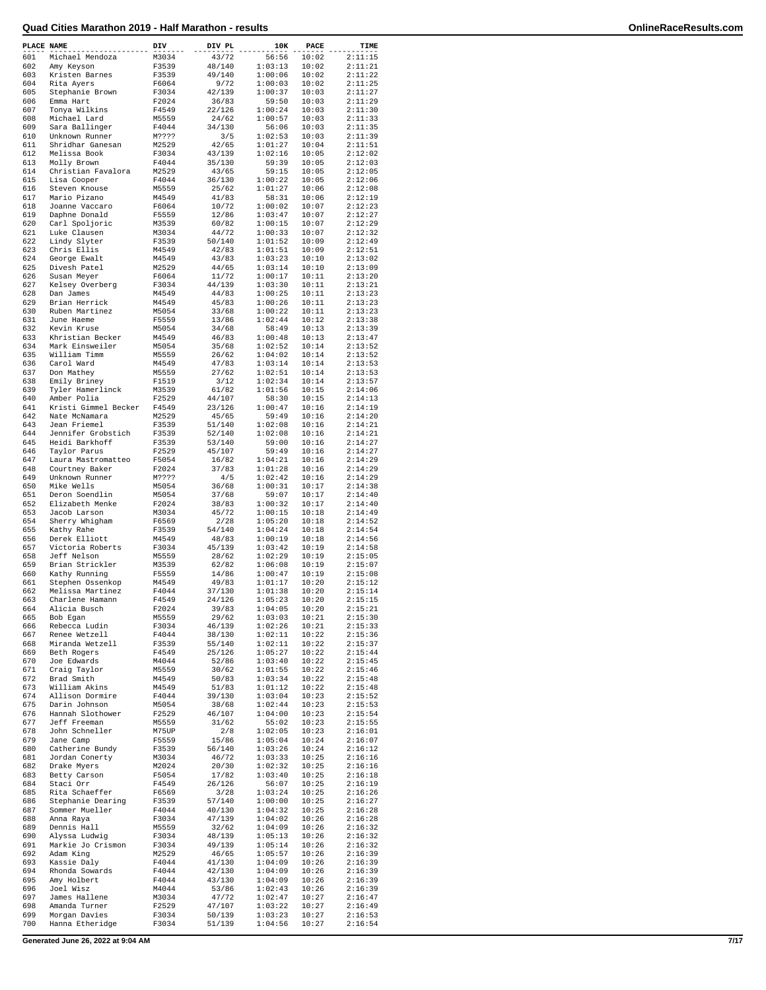| PLACE NAME |                                   | DIV            | DIV PL          | 10K                | PACE           | TIME               |
|------------|-----------------------------------|----------------|-----------------|--------------------|----------------|--------------------|
| 601        | Michael Mendoza                   | M3034          | 43/72           | 56:56              | 10:02          | 2:11:15            |
| 602        | Amy Keyson                        | F3539          | 48/140          | 1:03:13            | 10:02          | 2:11:21            |
| 603        | Kristen Barnes                    | F3539          | 49/140          | 1:00:06            | 10:02          | 2:11:22            |
| 604        | Rita Ayers                        | F6064          | 9/72            | 1:00:03            | 10:02          | 2:11:25            |
| 605        | Stephanie Brown                   | F3034          | 42/139          | 1:00:37            | 10:03          | 2:11:27            |
| 606        | Emma Hart                         | F2024          | 36/83           | 59:50              | 10:03          | 2:11:29            |
| 607        | Tonya Wilkins                     | F4549          | 22/126          | 1:00:24            | 10:03          | 2:11:30            |
| 608        | Michael Lard                      | M5559          | 24/62           | 1:00:57            | 10:03          | 2:11:33            |
| 609        | Sara Ballinger                    | F4044          | 34/130          | 56:06              | 10:03          | 2:11:35            |
| 610        | Unknown Runner                    | M????          | 3/5             | 1:02:53            | 10:03          | 2:11:39            |
| 611        | Shridhar Ganesan                  | M2529          | 42/65           | 1:01:27            | 10:04          | 2:11:51            |
| 612        | Melissa Book                      | F3034          | 43/139          | 1:02:16            | 10:05          | 2:12:02            |
| 613        | Molly Brown                       | F4044          | 35/130          | 59:39              | 10:05          | 2:12:03            |
| 614        | Christian Favalora                | M2529          | 43/65           | 59:15              | 10:05          | 2:12:05            |
| 615        | Lisa Cooper                       | F4044          | 36/130          | 1:00:22            | 10:05          | 2:12:06            |
| 616        | Steven Knouse                     | M5559          | 25/62           | 1:01:27            | 10:06          | 2:12:08            |
| 617        | Mario Pizano                      | M4549          | 41/83           | 58:31              | 10:06          | 2:12:19            |
| 618        | Joanne Vaccaro                    | F6064          | 10/72           | 1:00:02<br>1:03:47 | 10:07<br>10:07 | 2:12:23            |
| 619        | Daphne Donald                     | F5559          | 12/86           |                    |                | 2:12:27            |
| 620<br>621 | Carl Spoljoric<br>Luke Clausen    | M3539          | 60/82<br>44/72  | 1:00:15<br>1:00:33 | 10:07          | 2:12:29<br>2:12:32 |
| 622        |                                   | M3034<br>F3539 | 50/140          | 1:01:52            | 10:07<br>10:09 | 2:12:49            |
| 623        | Lindy Slyter<br>Chris Ellis       | M4549          | 42/83           | 1:01:51            | 10:09          | 2:12:51            |
| 624        | George Ewalt                      | M4549          | 43/83           | 1:03:23            | 10:10          | 2:13:02            |
| 625        | Divesh Patel                      | M2529          | 44/65           | 1:03:14            | 10:10          | 2:13:09            |
| 626        | Susan Meyer                       | F6064          | 11/72           | 1:00:17            | 10:11          | 2:13:20            |
| 627        | Kelsey Overberg                   | F3034          | 44/139          | 1:03:30            | 10:11          | 2:13:21            |
| 628        | Dan James                         | M4549          | 44/83           | 1:00:25            | 10:11          | 2:13:23            |
| 629        | Brian Herrick                     | M4549          | 45/83           | 1:00:26            | 10:11          | 2:13:23            |
| 630        | Ruben Martinez                    | M5054          | 33/68           | 1:00:22            | 10:11          | 2:13:23            |
| 631        | June Haeme                        | F5559          | 13/86           | 1:02:44            | 10:12          | 2:13:38            |
| 632        | Kevin Kruse                       | M5054          | 34/68           | 58:49              | 10:13          | 2:13:39            |
| 633        | Khristian Becker                  | M4549          | 46/83           | 1:00:48            | 10:13          | 2:13:47            |
| 634        | Mark Einsweiler                   | M5054          | 35/68           | 1:02:52            | 10:14          | 2:13:52            |
| 635        | William Timm                      | M5559          | 26/62           | 1:04:02            | 10:14          | 2:13:52            |
| 636        | Carol Ward                        | M4549          | 47/83           | 1:03:14            | 10:14          | 2:13:53            |
| 637        | Don Mathey                        | M5559          | 27/62           | 1:02:51            | 10:14          | 2:13:53            |
| 638        | Emily Briney                      | F1519          | 3/12            | 1:02:34            | 10:14          | 2:13:57            |
| 639        | Tyler Hamerlinck                  | M3539          | 61/82           | 1:01:56            | 10:15          | 2:14:06            |
| 640        | Amber Polia                       | F2529          | 44/107          | 58:30              | 10:15          | 2:14:13            |
| 641        | Kristi Gimmel Becker              | F4549          | 23/126          | 1:00:47            | 10:16          | 2:14:19            |
| 642        | Nate McNamara                     | M2529          | 45/65           | 59:49              | 10:16          | 2:14:20            |
| 643        | Jean Friemel                      | F3539          | 51/140          | 1:02:08            | 10:16          | 2:14:21            |
| 644        | Jennifer Grobstich                | F3539          | 52/140          | 1:02:08            | 10:16          | 2:14:21            |
| 645        | Heidi Barkhoff                    | F3539          | 53/140          | 59:00              | 10:16          | 2:14:27            |
| 646        | Taylor Parus                      | F2529          | 45/107          | 59:49              | 10:16          | 2:14:27            |
| 647        | Laura Mastromatteo                | F5054          | 16/82           | 1:04:21            | 10:16          | 2:14:29            |
| 648        | Courtney Baker                    | F2024          | 37/83           | 1:01:28            | 10:16          | 2:14:29            |
| 649        | Unknown Runner                    | M????          | 4/5             | 1:02:42            | 10:16          | 2:14:29            |
| 650        | Mike Wells                        | M5054          | 36/68           | 1:00:31            | 10:17          | 2:14:38            |
| 651        | Deron Soendlin                    | M5054          | 37/68           | 59:07              | 10:17          | 2:14:40            |
| 652        | Elizabeth Menke                   | F2024          | 38/83           | 1:00:32            | 10:17          | 2:14:40            |
| 653        | Jacob Larson                      | M3034          | 45/72           | 1:00:15            | 10:18          | 2:14:49            |
| 654        | Sherry Whigham                    | F6569          | 2/28            | 1:05:20            | 10:18          | 2:14:52            |
| 655        | Kathy Rahe                        | F3539          | 54/140          | 1:04:24            | 10:18          | 2:14:54<br>2:14:56 |
| 656<br>657 | Derek Elliott<br>Victoria Roberts | M4549          | 48/83<br>45/139 | 1:00:19<br>1:03:42 | 10:18          | 2:14:58            |
| 658        | Jeff Nelson                       | F3034<br>M5559 | 28/62           | 1:02:29            | 10:19<br>10:19 | 2:15:05            |
| 659        | Brian Strickler                   | M3539          | 62/82           | 1:06:08            | 10:19          | 2:15:07            |
| 660        | Kathy Running                     | F5559          | 14/86           | 1:00:47            | 10:19          | 2:15:08            |
| 661        | Stephen Ossenkop                  | M4549          | 49/83           | 1:01:17            | 10:20          | 2:15:12            |
| 662        | Melissa Martinez                  | F4044          | 37/130          | 1:01:38            | 10:20          | 2:15:14            |
| 663        | Charlene Hamann                   | F4549          | 24/126          | 1:05:23            | 10:20          | 2:15:15            |
| 664        | Alicia Busch                      | F2024          | 39/83           | 1:04:05            | 10:20          | 2:15:21            |
| 665        | Bob Eqan                          | M5559          | 29/62           | 1:03:03            | 10:21          | 2:15:30            |
| 666        | Rebecca Ludin                     | F3034          | 46/139          | 1:02:26            | 10:21          | 2:15:33            |
| 667        | Renee Wetzell                     | F4044          | 38/130          | 1:02:11            | 10:22          | 2:15:36            |
| 668        | Miranda Wetzell                   | F3539          | 55/140          | 1:02:11            | 10:22          | 2:15:37            |
| 669        | Beth Rogers                       | F4549          | 25/126          | 1:05:27            | 10:22          | 2:15:44            |
| 670        | Joe Edwards                       | M4044          | 52/86           | 1:03:40            | 10:22          | 2:15:45            |
| 671        | Craig Taylor                      | M5559          | 30/62           | 1:01:55            | 10:22          | 2:15:46            |
| 672        | Brad Smith                        | M4549          | 50/83           | 1:03:34            | 10:22          | 2:15:48            |
| 673        | William Akins                     | M4549          | 51/83           | 1:01:12            | 10:22          | 2:15:48            |
| 674        | Allison Dormire                   | F4044          | 39/130          | 1:03:04            | 10:23          | 2:15:52            |
| 675        | Darin Johnson                     | M5054          | 38/68           | 1:02:44            | 10:23          | 2:15:53            |
| 676        | Hannah Slothower                  | F2529          | 46/107          | 1:04:00            | 10:23          | 2:15:54            |
| 677        | Jeff Freeman                      | M5559          | 31/62           | 55:02              | 10:23          | 2:15:55            |
| 678        | John Schneller                    | M75UP          | 2/8             | 1:02:05            | 10:23          | 2:16:01            |
| 679        | Jane Camp                         | F5559          | 15/86           | 1:05:04            | 10:24          | 2:16:07            |
| 680        | Catherine Bundy                   | F3539          | 56/140          | 1:03:26            | 10:24          | 2:16:12            |
| 681        | Jordan Conerty                    | M3034          | 46/72           | 1:03:33            | 10:25          | 2:16:16            |
| 682        | Drake Myers                       | M2024          | 20/30           | 1:02:32            | 10:25          | 2:16:16            |
| 683<br>684 | Betty Carson<br>Staci Orr         | F5054<br>F4549 | 17/82           | 1:03:40            | 10:25<br>10:25 | 2:16:18            |
| 685        | Rita Schaeffer                    | F6569          | 26/126<br>3/28  | 56:07<br>1:03:24   | 10:25          | 2:16:19<br>2:16:26 |
| 686        | Stephanie Dearing                 | F3539          | 57/140          | 1:00:00            | 10:25          | 2:16:27            |
| 687        | Sommer Mueller                    | F4044          | 40/130          | 1:04:32            | 10:25          | 2:16:28            |
| 688        | Anna Raya                         | F3034          | 47/139          | 1:04:02            | 10:26          | 2:16:28            |
| 689        | Dennis Hall                       | M5559          | 32/62           | 1:04:09            | 10:26          | 2:16:32            |
| 690        | Alyssa Ludwig                     | F3034          | 48/139          | 1:05:13            | 10:26          | 2:16:32            |
| 691        | Markie Jo Crismon                 | F3034          | 49/139          | 1:05:14            | 10:26          | 2:16:32            |
| 692        | Adam King                         | M2529          | 46/65           | 1:05:57            | 10:26          | 2:16:39            |
| 693        | Kassie Daly                       | F4044          | 41/130          | 1:04:09            | 10:26          | 2:16:39            |
| 694        | Rhonda Sowards                    | F4044          | 42/130          | 1:04:09            | 10:26          | 2:16:39            |
| 695        | Amy Holbert                       | F4044          | 43/130          | 1:04:09            | 10:26          | 2:16:39            |
| 696        | Joel Wisz                         | M4044          | 53/86           | 1:02:43            | 10:26          | 2:16:39            |
| 697        | James Hallene                     | M3034          | 47/72           | 1:02:47            | 10:27          | 2:16:47            |
| 698        | Amanda Turner                     | F2529          | 47/107          | 1:03:22            | 10:27          | 2:16:49            |
| 699        | Morgan Davies                     | F3034          | 50/139          | 1:03:23            | 10:27          | 2:16:53            |
| 700        | Hanna Etheridge                   | F3034          | 51/139          | 1:04:56            | 10:27          | 2:16:54            |

**Generated June 26, 2022 at 9:04 AM 7/17**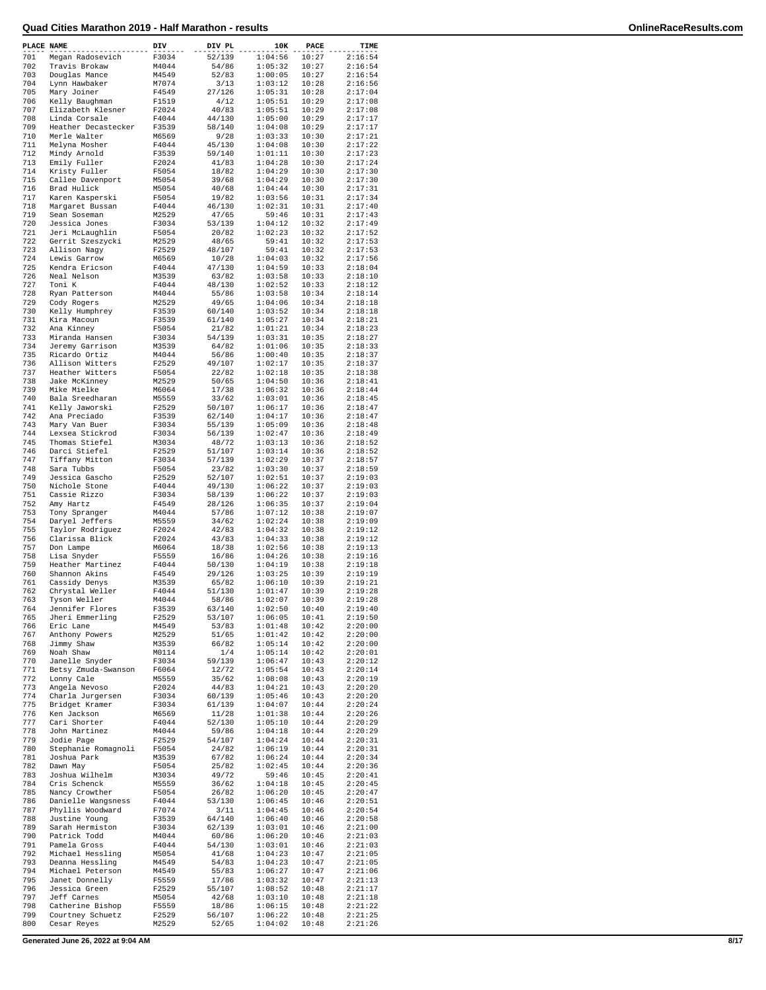| PLACE NAME |                                       | DIV            | DIV PL           | 10K                | PACE           | TIME               |
|------------|---------------------------------------|----------------|------------------|--------------------|----------------|--------------------|
| 701        | Megan Radosevich                      | F3034          | 52/139           | 1:04:56            | 10:27          | 2:16:54            |
| 702        | Travis Brokaw                         | M4044          | 54/86            | 1:05:32            | 10:27          | 2:16:54            |
| 703        | Douglas Mance                         | M4549          | 52/83            | 1:00:05            | 10:27          | 2:16:54            |
| 704<br>705 | Lynn Hawbaker                         | M7074<br>F4549 | 3/13             | 1:03:12<br>1:05:31 | 10:28<br>10:28 | 2:16:56<br>2:17:04 |
| 706        | Mary Joiner<br>Kelly Baughman         | F1519          | 27/126<br>4/12   | 1:05:51            | 10:29          | 2:17:08            |
| 707        | Elizabeth Klesner                     | F2024          | 40/83            | 1:05:51            | 10:29          | 2:17:08            |
| 708        | Linda Corsale                         | F4044          | 44/130           | 1:05:00            | 10:29          | 2:17:17            |
| 709        | Heather Decastecker                   | F3539          | 58/140           | 1:04:08            | 10:29          | 2:17:17            |
| 710        | Merle Walter                          | M6569          | 9/28             | 1:03:33            | 10:30          | 2:17:21            |
| 711        | Melyna Mosher                         | F4044          | 45/130           | 1:04:08            | 10:30          | 2:17:22            |
| 712        | Mindy Arnold                          | F3539          | 59/140           | 1:01:11            | 10:30          | 2:17:23            |
| 713        | Emily Fuller                          | F2024          | 41/83            | 1:04:28            | 10:30          | 2:17:24            |
| 714        | Kristy Fuller                         | F5054          | 18/82            | 1:04:29            | 10:30          | 2:17:30            |
| 715        | Callee Davenport                      | M5054          | 39/68            | 1:04:29            | 10:30          | 2:17:30            |
| 716<br>717 | Brad Hulick<br>Karen Kasperski        | M5054<br>F5054 | 40/68<br>19/82   | 1:04:44<br>1:03:56 | 10:30<br>10:31 | 2:17:31<br>2:17:34 |
| 718        | Margaret Bussan                       | F4044          | 46/130           | 1:02:31            | 10:31          | 2:17:40            |
| 719        | Sean Soseman                          | M2529          | 47/65            | 59:46              | 10:31          | 2:17:43            |
| 720        | Jessica Jones                         | F3034          | 53/139           | 1:04:12            | 10:32          | 2:17:49            |
| 721        | Jeri McLaughlin                       | F5054          | 20/82            | 1:02:23            | 10:32          | 2:17:52            |
| 722        | Gerrit Szeszycki                      | M2529          | 48/65            | 59:41              | 10:32          | 2:17:53            |
| 723        | Allison Nagy                          | F2529          | 48/107           | 59:41              | 10:32          | 2:17:53            |
| 724        | Lewis Garrow                          | M6569          | 10/28            | 1:04:03            | 10:32          | 2:17:56            |
| 725        | Kendra Ericson                        | F4044          | 47/130           | 1:04:59            | 10:33          | 2:18:04            |
| 726        | Neal Nelson                           | M3539          | 63/82            | 1:03:58            | 10:33          | 2:18:10            |
| 727<br>728 | Toni K<br>Ryan Patterson              | F4044<br>M4044 | 48/130<br>55/86  | 1:02:52<br>1:03:58 | 10:33<br>10:34 | 2:18:12            |
| 729        | Cody Rogers                           | M2529          | 49/65            | 1:04:06            | 10:34          | 2:18:14<br>2:18:18 |
| 730        | Kelly Humphrey                        | F3539          | 60/140           | 1:03:52            | 10:34          | 2:18:18            |
| 731        | Kira Macoun                           | F3539          | 61/140           | 1:05:27            | 10:34          | 2:18:21            |
| 732        | Ana Kinney                            | F5054          | 21/82            | 1:01:21            | 10:34          | 2:18:23            |
| 733        | Miranda Hansen                        | F3034          | 54/139           | 1:03:31            | 10:35          | 2:18:27            |
| 734        | Jeremy Garrison                       | M3539          | 64/82            | 1:01:06            | 10:35          | 2:18:33            |
| 735        | Ricardo Ortiz                         | M4044          | 56/86            | 1:00:40            | 10:35          | 2:18:37            |
| 736        | Allison Witters                       | F2529          | 49/107           | 1:02:17            | 10:35          | 2:18:37            |
| 737        | Heather Witters                       | F5054          | 22/82            | 1:02:18            | 10:35          | 2:18:38            |
| 738<br>739 | Jake McKinney<br>Mike Mielke          | M2529          | 50/65            | 1:04:50            | 10:36<br>10:36 | 2:18:41<br>2:18:44 |
| 740        | Bala Sreedharan                       | M6064<br>M5559 | 17/38<br>33/62   | 1:06:32<br>1:03:01 | 10:36          | 2:18:45            |
| 741        | Kelly Jaworski                        | F2529          | 50/107           | 1:06:17            | 10:36          | 2:18:47            |
| 742        | Ana Preciado                          | F3539          | 62/140           | 1:04:17            | 10:36          | 2:18:47            |
| 743        | Mary Van Buer                         | F3034          | 55/139           | 1:05:09            | 10:36          | 2:18:48            |
| 744        | Lexsea Stickrod                       | F3034          | 56/139           | 1:02:47            | 10:36          | 2:18:49            |
| 745        | Thomas Stiefel                        | M3034          | 48/72            | 1:03:13            | 10:36          | 2:18:52            |
| 746        | Darci Stiefel                         | F2529          | 51/107           | 1:03:14            | 10:36          | 2:18:52            |
| 747        | Tiffany Mitton                        | F3034          | 57/139           | 1:02:29            | 10:37          | 2:18:57            |
| 748        | Sara Tubbs                            | F5054          | 23/82            | 1:03:30            | 10:37          | 2:18:59            |
| 749        | Jessica Gascho                        | F2529          | 52/107           | 1:02:51            | 10:37          | 2:19:03            |
| 750<br>751 | Nichole Stone<br>Cassie Rizzo         | F4044<br>F3034 | 49/130<br>58/139 | 1:06:22<br>1:06:22 | 10:37<br>10:37 | 2:19:03<br>2:19:03 |
| 752        | Amy Hartz                             | F4549          | 28/126           | 1:06:35            | 10:37          | 2:19:04            |
| 753        | Tony Spranger                         | M4044          | 57/86            | 1:07:12            | 10:38          | 2:19:07            |
| 754        | Daryel Jeffers                        | M5559          | 34/62            | 1:02:24            | 10:38          | 2:19:09            |
| 755        | Taylor Rodriguez                      | F2024          | 42/83            | 1:04:32            | 10:38          | 2:19:12            |
| 756        | Clarissa Blick                        | F2024          | 43/83            | 1:04:33            | 10:38          | 2:19:12            |
| 757        | Don Lampe                             | M6064          | 18/38            | 1:02:56            | 10:38          | 2:19:13            |
| 758        | Lisa Snyder                           | F5559          | 16/86            | 1:04:26            | 10:38          | 2:19:16            |
| 759        | Heather Martinez                      | F4044          | 50/130           | 1:04:19            | 10:38          | 2:19:18            |
| 760        | Shannon Akins                         | F4549          | 29/126           | 1:03:25            | 10:39          | 2:19:19            |
| 761<br>762 | Cassidy Denys<br>Chrystal Weller      | M3539<br>F4044 | 65/82<br>51/130  | 1:06:10<br>1:01:47 | 10:39<br>10:39 | 2:19:21<br>2:19:28 |
| 763        | Tyson Weller                          | M4044          | 58/86            | 1:02:07            | 10:39          | 2:19:28            |
| 764        | Jennifer Flores                       | F3539          | 63/140           | 1:02:50            | 10:40          | 2:19:40            |
| 765        | Jheri Emmerling                       | F2529          | 53/107           | 1:06:05            | 10:41          | 2:19:50            |
| 766        | Eric Lane                             | M4549          | 53/83            | 1:01:48            | 10:42          | 2:20:00            |
| 767        | Anthony Powers                        | M2529          | 51/65            | 1:01:42            | 10:42          | 2:20:00            |
| 768        | Jimmy Shaw                            | M3539          | 66/82            | 1:05:14            | 10:42          | 2:20:00            |
| 769        | Noah Shaw                             | M0114          | 1/4              | 1:05:14            | 10:42          | 2:20:01            |
| 770<br>771 | Janelle Snyder<br>Betsy Zmuda-Swanson | F3034          | 59/139           | 1:06:47            | 10:43          | 2:20:12            |
| 772        | Lonny Cale                            | F6064<br>M5559 | 12/72<br>35/62   | 1:05:54<br>1:08:08 | 10:43<br>10:43 | 2:20:14<br>2:20:19 |
| 773        | Angela Nevoso                         | F2024          | 44/83            | 1:04:21            | 10:43          | 2:20:20            |
| 774        | Charla Jurgersen                      | F3034          | 60/139           | 1:05:46            | 10:43          | 2:20:20            |
| 775        | Bridget Kramer                        | F3034          | 61/139           | 1:04:07            | 10:44          | 2:20:24            |
| 776        | Ken Jackson                           | M6569          | 11/28            | 1:01:38            | 10:44          | 2:20:26            |
| 777        | Cari Shorter                          | F4044          | 52/130           | 1:05:10            | 10:44          | 2:20:29            |
| 778        | John Martinez                         | M4044          | 59/86            | 1:04:18            | 10:44          | 2:20:29            |
| 779        | Jodie Page                            | F2529          | 54/107           | 1:04:24            | 10:44          | 2:20:31            |
| 780        | Stephanie Romagnoli                   | F5054          | 24/82            | 1:06:19            | 10:44          | 2:20:31            |
| 781        | Joshua Park                           | M3539          | 67/82            | 1:06:24            | 10:44          | 2:20:34            |
| 782<br>783 | Dawn May<br>Joshua Wilhelm            | F5054<br>M3034 | 25/82<br>49/72   | 1:02:45<br>59:46   | 10:44<br>10:45 | 2:20:36<br>2:20:41 |
| 784        | Cris Schenck                          | M5559          | 36/62            | 1:04:18            | 10:45          | 2:20:45            |
| 785        | Nancy Crowther                        | F5054          | 26/82            | 1:06:20            | 10:45          | 2:20:47            |
| 786        | Danielle Wangsness                    | F4044          | 53/130           | 1:06:45            | 10:46          | 2:20:51            |
| 787        | Phyllis Woodward                      | F7074          | 3/11             | 1:04:45            | 10:46          | 2:20:54            |
| 788        | Justine Young                         | F3539          | 64/140           | 1:06:40            | 10:46          | 2:20:58            |
| 789        | Sarah Hermiston                       | F3034          | 62/139           | 1:03:01            | 10:46          | 2:21:00            |
| 790        | Patrick Todd                          | M4044          | 60/86            | 1:06:20            | 10:46          | 2:21:03            |
| 791        | Pamela Gross                          | F4044          | 54/130           | 1:03:01            | 10:46          | 2:21:03            |
| 792        | Michael Hessling                      | M5054          | 41/68            | 1:04:23            | 10:47          | 2:21:05            |
| 793        | Deanna Hessling                       | M4549          | 54/83            | 1:04:23            | 10:47          | 2:21:05            |
| 794<br>795 | Michael Peterson<br>Janet Donnelly    | M4549<br>F5559 | 55/83<br>17/86   | 1:06:27<br>1:03:32 | 10:47<br>10:47 | 2:21:06<br>2:21:13 |
| 796        | Jessica Green                         | F2529          | 55/107           | 1:08:52            | 10:48          | 2:21:17            |
| 797        | Jeff Carnes                           | M5054          | 42/68            | 1:03:10            | 10:48          | 2:21:18            |
| 798        | Catherine Bishop                      | F5559          | 18/86            | 1:06:15            | 10:48          | 2:21:22            |
| 799        | Courtney Schuetz                      | F2529          | 56/107           | 1:06:22            | 10:48          | 2:21:25            |
| 800        | Cesar Reyes                           | M2529          | 52/65            | 1:04:02            | 10:48          | 2:21:26            |
|            |                                       |                |                  |                    |                |                    |

**Generated June 26, 2022 at 9:04 AM 8/17**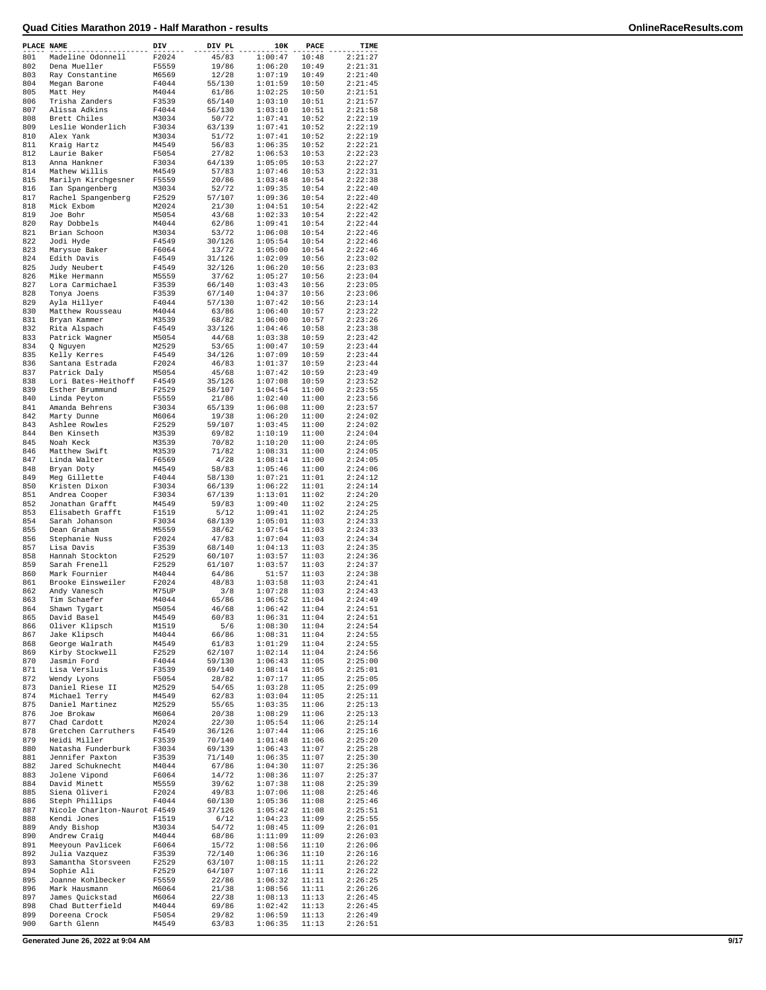| PLACE NAME |                               | DIV   | DIV PL | 10K     | PACE  | TIME               |
|------------|-------------------------------|-------|--------|---------|-------|--------------------|
| 801        | Madeline Odonnell             | F2024 | 45/83  | 1:00:47 | 10:48 | 2:21:27            |
| 802        | Dena Mueller                  | F5559 | 19/86  | 1:06:20 | 10:49 | 2:21:31            |
| 803        | Ray Constantine               | M6569 | 12/28  | 1:07:19 | 10:49 | 2:21:40            |
| 804        | Megan Barone                  | F4044 | 55/130 | 1:01:59 | 10:50 | 2:21:45            |
| 805        | Matt Hey                      | M4044 | 61/86  | 1:02:25 | 10:50 | 2:21:51            |
| 806        | Trisha Zanders                | F3539 | 65/140 | 1:03:10 | 10:51 | 2:21:57            |
| 807        | Alissa Adkins                 | F4044 | 56/130 | 1:03:10 | 10:51 | 2:21:58            |
| 808        | Brett Chiles                  | M3034 | 50/72  | 1:07:41 | 10:52 | 2:22:19            |
| 809        | Leslie Wonderlich             | F3034 | 63/139 | 1:07:41 | 10:52 | 2:22:19            |
| 810        | Alex Yank                     | M3034 | 51/72  | 1:07:41 | 10:52 | 2:22:19            |
| 811        | Kraig Hartz                   | M4549 | 56/83  | 1:06:35 | 10:52 | 2:22:21            |
| 812        | Laurie Baker                  | F5054 | 27/82  | 1:06:53 | 10:53 | 2:22:23            |
| 813        | Anna Hankner                  | F3034 | 64/139 | 1:05:05 | 10:53 | 2:22:27            |
| 814        | Mathew Willis                 | M4549 | 57/83  | 1:07:46 | 10:53 | 2:22:31            |
| 815        | Marilyn Kirchgesner           | F5559 | 20/86  | 1:03:48 | 10:54 | 2:22:38            |
| 816        | Ian Spangenberg               | M3034 | 52/72  | 1:09:35 | 10:54 | 2:22:40            |
| 817        | Rachel Spangenberg            | F2529 | 57/107 | 1:09:36 | 10:54 | 2:22:40            |
| 818        | Mick Exbom                    | M2024 | 21/30  | 1:04:51 | 10:54 | 2:22:42            |
| 819        | Joe Bohr                      | M5054 | 43/68  | 1:02:33 | 10:54 | 2:22:42            |
| 820        |                               | M4044 |        |         | 10:54 | 2:22:44            |
| 821        | Ray Dobbels                   |       | 62/86  | 1:09:41 | 10:54 |                    |
| 822        | Brian Schoon                  | M3034 | 53/72  | 1:06:08 |       | 2:22:46<br>2:22:46 |
| 823        | Jodi Hyde                     | F4549 | 30/126 | 1:05:54 | 10:54 |                    |
|            | Marysue Baker                 | F6064 | 13/72  | 1:05:00 | 10:54 | 2:22:46            |
| 824        | Edith Davis                   | F4549 | 31/126 | 1:02:09 | 10:56 | 2:23:02            |
| 825        | Judy Neubert                  | F4549 | 32/126 | 1:06:20 | 10:56 | 2:23:03            |
| 826        | Mike Hermann                  | M5559 | 37/62  | 1:05:27 | 10:56 | 2:23:04            |
| 827        | Lora Carmichael               | F3539 | 66/140 | 1:03:43 | 10:56 | 2:23:05            |
| 828        | Tonya Joens                   | F3539 | 67/140 | 1:04:37 | 10:56 | 2:23:06            |
| 829        | Ayla Hillyer                  | F4044 | 57/130 | 1:07:42 | 10:56 | 2:23:14            |
| 830        | Matthew Rousseau              | M4044 | 63/86  | 1:06:40 | 10:57 | 2:23:22            |
| 831        | Bryan Kammer                  | M3539 | 68/82  | 1:06:00 | 10:57 | 2:23:26            |
| 832        | Rita Alspach                  | F4549 | 33/126 | 1:04:46 | 10:58 | 2:23:38            |
| 833        | Patrick Wagner                | M5054 | 44/68  | 1:03:38 | 10:59 | 2:23:42            |
| 834        | Q Nguyen                      | M2529 | 53/65  | 1:00:47 | 10:59 | 2:23:44            |
| 835        | Kelly Kerres                  | F4549 | 34/126 | 1:07:09 | 10:59 | 2:23:44            |
| 836        | Santana Estrada               | F2024 | 46/83  | 1:01:37 | 10:59 | 2:23:44            |
| 837        | Patrick Daly                  | M5054 | 45/68  | 1:07:42 | 10:59 | 2:23:49            |
| 838        | Lori Bates-Heithoff           | F4549 | 35/126 | 1:07:08 | 10:59 | 2:23:52            |
| 839        | Esther Brummund               | F2529 | 58/107 | 1:04:54 | 11:00 | 2:23:55            |
| 840        | Linda Peyton                  | F5559 | 21/86  | 1:02:40 | 11:00 | 2:23:56            |
| 841        | Amanda Behrens                | F3034 | 65/139 | 1:06:08 | 11:00 | 2:23:57            |
| 842        | Marty Dunne                   | M6064 | 19/38  | 1:06:20 | 11:00 | 2:24:02            |
| 843        | Ashlee Rowles                 | F2529 | 59/107 | 1:03:45 | 11:00 | 2:24:02            |
| 844        | Ben Kinseth                   | M3539 | 69/82  | 1:10:19 | 11:00 | 2:24:04            |
| 845        | Noah Keck                     | M3539 | 70/82  | 1:10:20 | 11:00 | 2:24:05            |
| 846        | Matthew Swift                 | M3539 | 71/82  | 1:08:31 | 11:00 | 2:24:05            |
| 847        | Linda Walter                  | F6569 | 4/28   | 1:08:14 | 11:00 | 2:24:05            |
| 848        | Bryan Doty                    | M4549 | 58/83  | 1:05:46 | 11:00 | 2:24:06            |
| 849        | Meg Gillette                  | F4044 | 58/130 | 1:07:21 | 11:01 | 2:24:12            |
| 850        | Kristen Dixon                 | F3034 | 66/139 | 1:06:22 | 11:01 | 2:24:14            |
| 851        | Andrea Cooper                 | F3034 | 67/139 | 1:13:01 | 11:02 | 2:24:20            |
| 852        | Jonathan Grafft               | M4549 | 59/83  | 1:09:40 | 11:02 | 2:24:25            |
| 853        | Elisabeth Grafft              | F1519 | 5/12   | 1:09:41 | 11:02 | 2:24:25            |
| 854        | Sarah Johanson                | F3034 | 68/139 | 1:05:01 | 11:03 | 2:24:33            |
| 855        | Dean Graham                   | M5559 | 38/62  | 1:07:54 | 11:03 | 2:24:33            |
| 856        |                               |       |        | 1:07:04 |       | 2:24:34            |
|            | Stephanie Nuss                | F2024 | 47/83  |         | 11:03 |                    |
| 857        | Lisa Davis<br>Hannah Stockton | F3539 | 68/140 | 1:04:13 | 11:03 | 2:24:35            |
| 858        |                               | F2529 | 60/107 | 1:03:57 | 11:03 | 2:24:36            |
| 859        | Sarah Frenell                 | F2529 | 61/107 | 1:03:57 | 11:03 | 2:24:37            |
| 860        | Mark Fournier                 | M4044 | 64/86  | 51:57   | 11:03 | 2:24:38            |
| 861        | Brooke Einsweiler             | F2024 | 48/83  | 1:03:58 | 11:03 | 2:24:41            |
| 862        | Andy Vanesch                  | M75UP | 3/8    | 1:07:28 | 11:03 | 2:24:43            |
| 863        | Tim Schaefer                  | M4044 | 65/86  | 1:06:52 | 11:04 | 2:24:49            |
| 864        | Shawn Tygart                  | M5054 | 46/68  | 1:06:42 | 11:04 | 2:24:51            |
| 865        | David Basel                   | M4549 | 60/83  | 1:06:31 | 11:04 | 2:24:51            |
| 866        | Oliver Klipsch                | M1519 | 5/6    | 1:08:30 | 11:04 | 2:24:54            |
| 867        | Jake Klipsch                  | M4044 | 66/86  | 1:08:31 | 11:04 | 2:24:55            |
| 868        | George Walrath                | M4549 | 61/83  | 1:01:29 | 11:04 | 2:24:55            |
| 869        | Kirby Stockwell               | F2529 | 62/107 | 1:02:14 | 11:04 | 2:24:56            |
| 870        | Jasmin Ford                   | F4044 | 59/130 | 1:06:43 | 11:05 | 2:25:00            |
| 871        | Lisa Versluis                 | F3539 | 69/140 | 1:08:14 | 11:05 | 2:25:01            |
| 872        | Wendy Lyons                   | F5054 | 28/82  | 1:07:17 | 11:05 | 2:25:05            |
| 873        | Daniel Riese II               | M2529 | 54/65  | 1:03:28 | 11:05 | 2:25:09            |
| 874        | Michael Terry                 | M4549 | 62/83  | 1:03:04 | 11:05 | 2:25:11            |
| 875        | Daniel Martinez               | M2529 | 55/65  | 1:03:35 | 11:06 | 2:25:13            |
| 876        | Joe Brokaw                    | M6064 | 20/38  | 1:08:29 | 11:06 | 2:25:13            |
| 877        | Chad Cardott                  | M2024 | 22/30  | 1:05:54 | 11:06 | 2:25:14            |
| 878        | Gretchen Carruthers           | F4549 | 36/126 | 1:07:44 | 11:06 | 2:25:16            |
| 879        | Heidi Miller                  | F3539 | 70/140 | 1:01:48 | 11:06 | 2:25:20            |
| 880        | Natasha Funderburk            | F3034 | 69/139 | 1:06:43 | 11:07 | 2:25:28            |
| 881        | Jennifer Paxton               | F3539 | 71/140 | 1:06:35 | 11:07 | 2:25:30            |
| 882        | Jared Schuknecht              | M4044 | 67/86  | 1:04:30 | 11:07 | 2:25:36            |
| 883        | Jolene Vipond                 | F6064 | 14/72  | 1:08:36 | 11:07 | 2:25:37            |
| 884        | David Minett                  | M5559 | 39/62  | 1:07:38 | 11:08 | 2:25:39            |
| 885        | Siena Oliveri                 | F2024 | 49/83  | 1:07:06 | 11:08 | 2:25:46            |
| 886        | Steph Phillips                | F4044 | 60/130 | 1:05:36 | 11:08 | 2:25:46            |
| 887        | Nicole Charlton-Naurot F4549  |       | 37/126 | 1:05:42 | 11:08 | 2:25:51            |
| 888        | Kendi Jones                   | F1519 | 6/12   | 1:04:23 | 11:09 | 2:25:55            |
| 889        | Andy Bishop                   | M3034 | 54/72  | 1:08:45 | 11:09 | 2:26:01            |
| 890        | Andrew Craig                  | M4044 | 68/86  | 1:11:09 | 11:09 | 2:26:03            |
| 891        | Meeyoun Pavlicek              | F6064 | 15/72  | 1:08:56 | 11:10 | 2:26:06            |
| 892        | Julia Vazquez                 | F3539 | 72/140 | 1:06:36 | 11:10 | 2:26:16            |
| 893        | Samantha Storsveen            | F2529 | 63/107 | 1:08:15 | 11:11 | 2:26:22            |
| 894        | Sophie Ali                    | F2529 | 64/107 | 1:07:16 | 11:11 | 2:26:22            |
| 895        | Joanne Kohlbecker             | F5559 | 22/86  | 1:06:32 | 11:11 | 2:26:25            |
| 896        | Mark Hausmann                 | M6064 | 21/38  | 1:08:56 | 11:11 | 2:26:26            |
| 897        | James Quickstad               | M6064 | 22/38  | 1:08:13 | 11:13 | 2:26:45            |
| 898        | Chad Butterfield              | M4044 | 69/86  | 1:02:42 | 11:13 | 2:26:45            |
| 899        | Doreena Crock                 | F5054 | 29/82  | 1:06:59 | 11:13 | 2:26:49            |
| 900        | Garth Glenn                   | M4549 | 63/83  | 1:06:35 | 11:13 | 2:26:51            |
|            |                               |       |        |         |       |                    |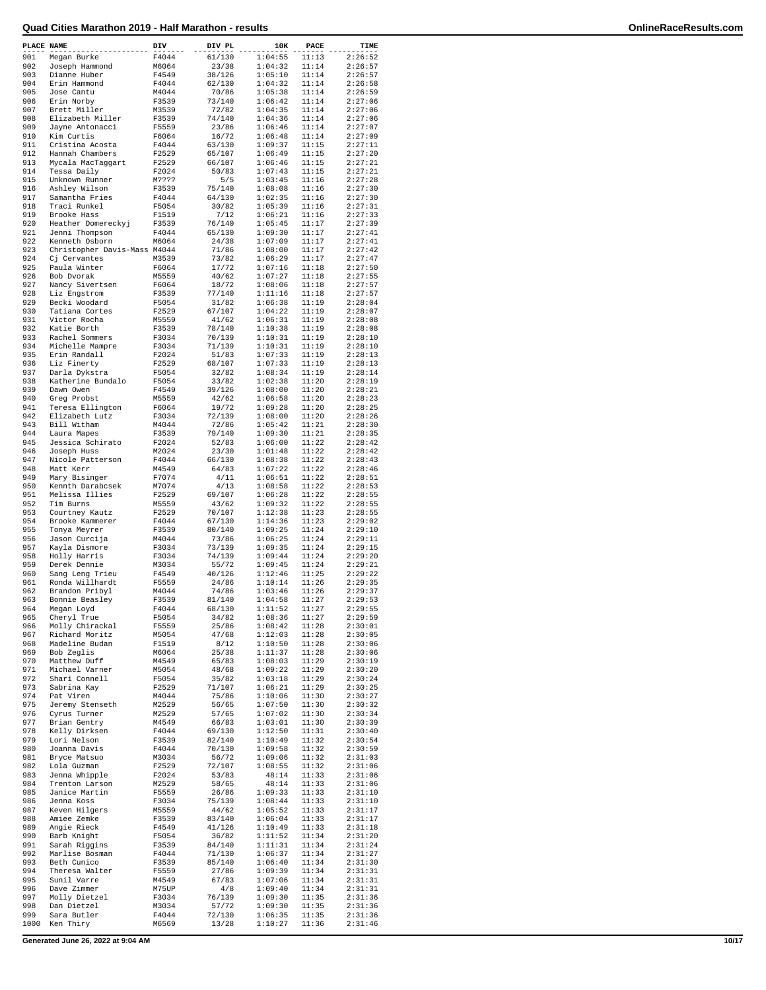| PLACE NAME |                              | DIV   | DIV PL | 10K     | PACE  | TIME               |
|------------|------------------------------|-------|--------|---------|-------|--------------------|
| 901        | Megan Burke                  | F4044 | 61/130 | 1:04:55 | 11:13 | 2:26:52            |
| 902        | Joseph Hammond               | M6064 | 23/38  | 1:04:32 | 11:14 | 2:26:57            |
| 903        | Dianne Huber                 | F4549 | 38/126 | 1:05:10 | 11:14 | 2:26:57            |
| 904        | Erin Hammond                 | F4044 | 62/130 | 1:04:32 | 11:14 | 2:26:58            |
| 905        | Jose Cantu                   | M4044 | 70/86  | 1:05:38 | 11:14 | 2:26:59            |
| 906        | Erin Norby                   | F3539 | 73/140 | 1:06:42 | 11:14 | 2:27:06            |
| 907        | Brett Miller                 | M3539 | 72/82  | 1:04:35 | 11:14 | 2:27:06            |
| 908        | Elizabeth Miller             | F3539 | 74/140 | 1:04:36 | 11:14 | 2:27:06            |
| 909        | Jayne Antonacci              | F5559 | 23/86  | 1:06:46 | 11:14 | 2:27:07            |
| 910        | Kim Curtis                   | F6064 | 16/72  | 1:06:48 | 11:14 | 2:27:09            |
| 911        | Cristina Acosta              | F4044 | 63/130 | 1:09:37 | 11:15 | 2:27:11            |
| 912        | Hannah Chambers              | F2529 | 65/107 | 1:06:49 | 11:15 | 2:27:20            |
| 913        | Mycala MacTaggart            | F2529 | 66/107 | 1:06:46 | 11:15 | 2:27:21            |
| 914        | Tessa Daily                  | F2024 | 50/83  | 1:07:43 | 11:15 | 2:27:21            |
| 915        | Unknown Runner               | M???? | 5/5    | 1:03:45 | 11:16 | 2:27:28            |
| 916        | Ashley Wilson                | F3539 | 75/140 | 1:08:08 | 11:16 | 2:27:30            |
| 917        | Samantha Fries               | F4044 | 64/130 | 1:02:35 | 11:16 | 2:27:30            |
| 918        | Traci Runkel                 | F5054 | 30/82  | 1:05:39 | 11:16 | 2:27:31            |
| 919        | Brooke Hass                  | F1519 | 7/12   | 1:06:21 | 11:16 | 2:27:33            |
| 920        |                              |       |        |         |       |                    |
| 921        | Heather Domereckyj           | F3539 | 76/140 | 1:05:45 | 11:17 | 2:27:39<br>2:27:41 |
|            | Jenni Thompson               | F4044 | 65/130 | 1:09:30 | 11:17 |                    |
| 922        | Kenneth Osborn               | M6064 | 24/38  | 1:07:09 | 11:17 | 2:27:41            |
| 923        | Christopher Davis-Mass M4044 |       | 71/86  | 1:08:00 | 11:17 | 2:27:42            |
| 924        | Cj Cervantes                 | M3539 | 73/82  | 1:06:29 | 11:17 | 2:27:47            |
| 925        | Paula Winter                 | F6064 | 17/72  | 1:07:16 | 11:18 | 2:27:50            |
| 926        | Bob Dvorak                   | M5559 | 40/62  | 1:07:27 | 11:18 | 2:27:55            |
| 927        | Nancy Sivertsen              | F6064 | 18/72  | 1:08:06 | 11:18 | 2:27:57            |
| 928        | Liz Engstrom                 | F3539 | 77/140 | 1:11:16 | 11:18 | 2:27:57            |
| 929        | Becki Woodard                | F5054 | 31/82  | 1:06:38 | 11:19 | 2:28:04            |
| 930        | Tatiana Cortes               | F2529 | 67/107 | 1:04:22 | 11:19 | 2:28:07            |
| 931        | Victor Rocha                 | M5559 | 41/62  | 1:06:31 | 11:19 | 2:28:08            |
| 932        | Katie Borth                  | F3539 | 78/140 | 1:10:38 | 11:19 | 2:28:08            |
| 933        | Rachel Sommers               | F3034 | 70/139 | 1:10:31 | 11:19 | 2:28:10            |
| 934        | Michelle Mampre              | F3034 | 71/139 | 1:10:31 | 11:19 | 2:28:10            |
| 935        | Erin Randall                 | F2024 | 51/83  | 1:07:33 | 11:19 | 2:28:13            |
| 936        | Liz Finerty                  | F2529 | 68/107 | 1:07:33 | 11:19 | 2:28:13            |
| 937        | Darla Dykstra                | F5054 | 32/82  | 1:08:34 | 11:19 | 2:28:14            |
| 938        | Katherine Bundalo            | F5054 | 33/82  | 1:02:38 | 11:20 | 2:28:19            |
| 939        | Dawn Owen                    | F4549 | 39/126 | 1:08:00 | 11:20 | 2:28:21            |
| 940        | Greg Probst                  | M5559 | 42/62  | 1:06:58 | 11:20 | 2:28:23            |
| 941        |                              |       |        |         |       |                    |
|            | Teresa Ellington             | F6064 | 19/72  | 1:09:28 | 11:20 | 2:28:25            |
| 942        | Elizabeth Lutz               | F3034 | 72/139 | 1:08:00 | 11:20 | 2:28:26            |
| 943        | Bill Witham                  | M4044 | 72/86  | 1:05:42 | 11:21 | 2:28:30            |
| 944        | Laura Mapes                  | F3539 | 79/140 | 1:09:30 | 11:21 | 2:28:35            |
| 945        | Jessica Schirato             | F2024 | 52/83  | 1:06:00 | 11:22 | 2:28:42            |
| 946        | Joseph Huss                  | M2024 | 23/30  | 1:01:48 | 11:22 | 2:28:42            |
| 947        | Nicole Patterson             | F4044 | 66/130 | 1:08:38 | 11:22 | 2:28:43            |
| 948        | Matt Kerr                    | M4549 | 64/83  | 1:07:22 | 11:22 | 2:28:46            |
| 949        | Mary Bisinger                | F7074 | 4/11   | 1:06:51 | 11:22 | 2:28:51            |
| 950        | Kennth Darabcsek             | M7074 | 4/13   | 1:08:58 | 11:22 | 2:28:53            |
| 951        | Melissa Illies               | F2529 | 69/107 | 1:06:28 | 11:22 | 2:28:55            |
| 952        | Tim Burns                    | M5559 | 43/62  | 1:09:32 | 11:22 | 2:28:55            |
| 953        | Courtney Kautz               | F2529 | 70/107 | 1:12:38 | 11:23 | 2:28:55            |
| 954        | Brooke Kammerer              | F4044 | 67/130 | 1:14:36 | 11:23 | 2:29:02            |
| 955        | Tonya Meyrer                 | F3539 | 80/140 | 1:09:25 | 11:24 | 2:29:10            |
| 956        | Jason Curcija                | M4044 | 73/86  | 1:06:25 | 11:24 | 2:29:11            |
| 957        | Kayla Dismore                | F3034 | 73/139 | 1:09:35 | 11:24 | 2:29:15            |
| 958        | Holly Harris                 | F3034 | 74/139 | 1:09:44 | 11:24 | 2:29:20            |
| 959        | Derek Dennie                 | M3034 | 55/72  | 1:09:45 | 11:24 | 2:29:21            |
| 960        | Sang Leng Trieu              | F4549 | 40/126 | 1:12:46 | 11:25 | 2:29:22            |
| 961        | Ronda Willhardt              | F5559 | 24/86  | 1:10:14 | 11:26 | 2:29:35            |
| 962        | Brandon Pribyl               | M4044 | 74/86  | 1:03:46 | 11:26 | 2:29:37            |
| 963        |                              | F3539 | 81/140 | 1:04:58 |       | 2:29:53            |
|            | Bonnie Beasley               |       |        |         | 11:27 |                    |
| 964        | Megan Loyd                   | F4044 | 68/130 | 1:11:52 | 11:27 | 2:29:55            |
| 965        | Cheryl True                  | F5054 | 34/82  | 1:08:36 | 11:27 | 2:29:59            |
| 966        | Molly Chirackal              | F5559 | 25/86  | 1:08:42 | 11:28 | 2:30:01            |
| 967        | Richard Moritz               | M5054 | 47/68  | 1:12:03 | 11:28 | 2:30:05            |
| 968        | Madeline Budan               | F1519 | 8/12   | 1:10:50 | 11:28 | 2:30:06            |
| 969        | Bob Zeglis                   | M6064 | 25/38  | 1:11:37 | 11:28 | 2:30:06            |
| 970        | Matthew Duff                 | M4549 | 65/83  | 1:08:03 | 11:29 | 2:30:19            |
| 971        | Michael Varner               | M5054 | 48/68  | 1:09:22 | 11:29 | 2:30:20            |
| 972        | Shari Connell                | F5054 | 35/82  | 1:03:18 | 11:29 | 2:30:24            |
| 973        | Sabrina Kay                  | F2529 | 71/107 | 1:06:21 | 11:29 | 2:30:25            |
| 974        | Pat Viren                    | M4044 | 75/86  | 1:10:06 | 11:30 | 2:30:27            |
| 975        | Jeremy Stenseth              | M2529 | 56/65  | 1:07:50 | 11:30 | 2:30:32            |
| 976        | Cyrus Turner                 | M2529 | 57/65  | 1:07:02 | 11:30 | 2:30:34            |
| 977        | Brian Gentry                 | M4549 | 66/83  | 1:03:01 | 11:30 | 2:30:39            |
| 978        | Kelly Dirksen                | F4044 | 69/130 | 1:12:50 | 11:31 | 2:30:40            |
| 979        | Lori Nelson                  | F3539 | 82/140 | 1:10:49 | 11:32 | 2:30:54            |
| 980        | Joanna Davis                 | F4044 | 70/130 | 1:09:58 | 11:32 | 2:30:59            |
| 981        | Bryce Matsuo                 | M3034 | 56/72  | 1:09:06 | 11:32 | 2:31:03            |
| 982        | Lola Guzman                  | F2529 | 72/107 | 1:08:55 | 11:32 | 2:31:06            |
| 983        | Jenna Whipple                | F2024 | 53/83  | 48:14   | 11:33 | 2:31:06            |
| 984        | Trenton Larson               | M2529 | 58/65  | 48:14   | 11:33 | 2:31:06            |
| 985        | Janice Martin                | F5559 | 26/86  | 1:09:33 | 11:33 | 2:31:10            |
| 986        | Jenna Koss                   | F3034 | 75/139 | 1:08:44 | 11:33 | 2:31:10            |
| 987        | Keven Hilgers                | M5559 | 44/62  | 1:05:52 | 11:33 | 2:31:17            |
| 988        | Amiee Zemke                  | F3539 | 83/140 | 1:06:04 | 11:33 | 2:31:17            |
| 989        | Angie Rieck                  | F4549 | 41/126 | 1:10:49 | 11:33 | 2:31:18            |
| 990        | Barb Knight                  | F5054 | 36/82  | 1:11:52 | 11:34 | 2:31:20            |
|            |                              |       |        |         |       |                    |
| 991        | Sarah Riggins                | F3539 | 84/140 | 1:11:31 | 11:34 | 2:31:24            |
| 992        | Marlise Bosman               | F4044 | 71/130 | 1:06:37 | 11:34 | 2:31:27            |
| 993        | Beth Cunico                  | F3539 | 85/140 | 1:06:40 | 11:34 | 2:31:30            |
| 994        | Theresa Walter               | F5559 | 27/86  | 1:09:39 | 11:34 | 2:31:31            |
| 995        | Sunil Varre                  | M4549 | 67/83  | 1:07:06 | 11:34 | 2:31:31            |
| 996        | Dave Zimmer                  | M75UP | 4/8    | 1:09:40 | 11:34 | 2:31:31            |
| 997        | Molly Dietzel                | F3034 | 76/139 | 1:09:30 | 11:35 | 2:31:36            |
| 998        | Dan Dietzel                  | M3034 | 57/72  | 1:09:30 | 11:35 | 2:31:36            |
| 999        | Sara Butler                  | F4044 | 72/130 | 1:06:35 | 11:35 | 2:31:36            |
| 1000       | Ken Thiry                    | M6569 | 13/28  | 1:10:27 | 11:36 | 2:31:46            |

**Generated June 26, 2022 at 9:04 AM 10/17**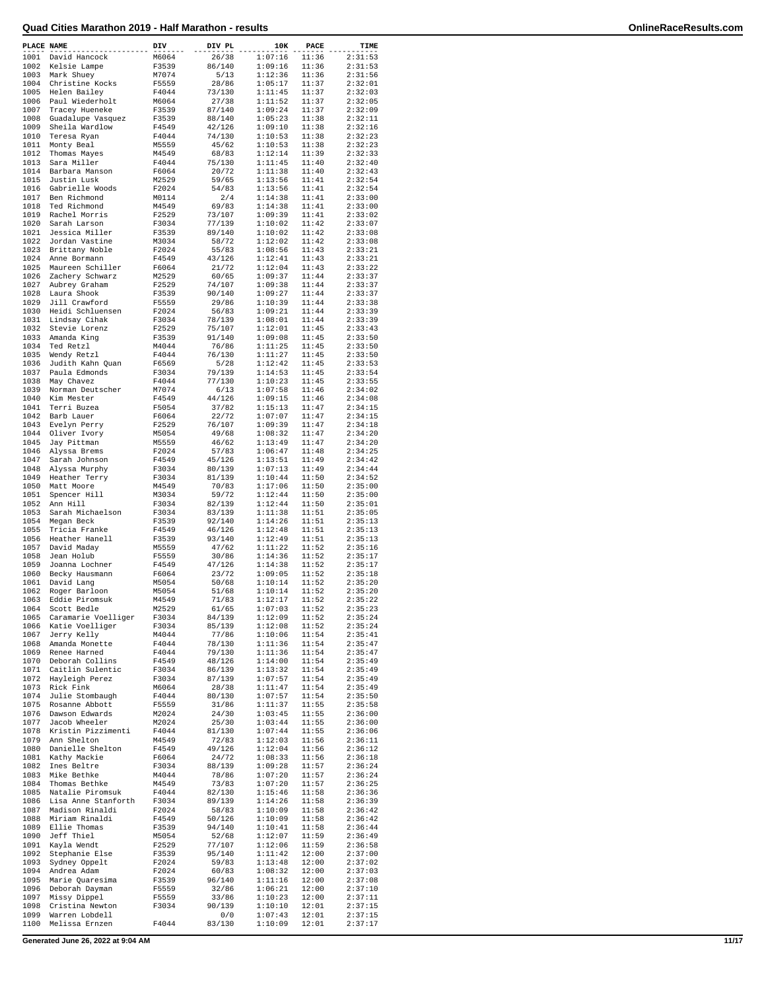| PLACE NAME   |                                   | DIV            | DIV PL           | 10K                | PACE           | TIME               |
|--------------|-----------------------------------|----------------|------------------|--------------------|----------------|--------------------|
| 1001         | David Hancock                     | M6064          | 26/38            | 1:07:16            | 11:36          | 2:31:53            |
| 1002         | Kelsie Lampe                      | F3539          | 86/140           | 1:09:16            | 11:36          | 2:31:53            |
| 1003         | Mark Shuey                        | M7074          | 5/13             | 1:12:36            | 11:36          | 2:31:56            |
| 1004<br>1005 | Christine Kocks                   | F5559<br>F4044 | 28/86            | 1:05:17<br>1:11:45 | 11:37          | 2:32:01            |
| 1006         | Helen Bailey<br>Paul Wiederholt   | M6064          | 73/130<br>27/38  | 1:11:52            | 11:37<br>11:37 | 2:32:03<br>2:32:05 |
| 1007         | Tracey Hueneke                    | F3539          | 87/140           | 1:09:24            | 11:37          | 2:32:09            |
| 1008         | Guadalupe Vasquez                 | F3539          | 88/140           | 1:05:23            | 11:38          | 2:32:11            |
| 1009         | Sheila Wardlow                    | F4549          | 42/126           | 1:09:10            | 11:38          | 2:32:16            |
| 1010         | Teresa Ryan                       | F4044          | 74/130           | 1:10:53            | 11:38          | 2:32:23            |
| 1011         | Monty Beal                        | M5559          | 45/62            | 1:10:53            | 11:38          | 2:32:23            |
| 1012         | Thomas Mayes                      | M4549          | 68/83            | 1:12:14            | 11:39          | 2:32:33            |
| 1013         | Sara Miller                       | F4044          | 75/130           | 1:11:45            | 11:40          | 2:32:40            |
| 1014         | Barbara Manson<br>Justin Lusk     | F6064          | 20/72            | 1:11:38            | 11:40          | 2:32:43            |
| 1015<br>1016 | Gabrielle Woods                   | M2529<br>F2024 | 59/65<br>54/83   | 1:13:56<br>1:13:56 | 11:41<br>11:41 | 2:32:54<br>2:32:54 |
| 1017         | Ben Richmond                      | M0114          | 2/4              | 1:14:38            | 11:41          | 2:33:00            |
| 1018         | Ted Richmond                      | M4549          | 69/83            | 1:14:38            | 11:41          | 2:33:00            |
| 1019         | Rachel Morris                     | F2529          | 73/107           | 1:09:39            | 11:41          | 2:33:02            |
| 1020         | Sarah Larson                      | F3034          | 77/139           | 1:10:02            | 11:42          | 2:33:07            |
| 1021         | Jessica Miller                    | F3539          | 89/140           | 1:10:02            | 11:42          | 2:33:08            |
| 1022         | Jordan Vastine                    | M3034          | 58/72            | 1:12:02            | 11:42          | 2:33:08            |
| 1023         | Brittany Noble                    | F2024          | 55/83            | 1:08:56            | 11:43          | 2:33:21            |
| 1024         | Anne Bormann                      | F4549          | 43/126           | 1:12:41            | 11:43          | 2:33:21            |
| 1025         | Maureen Schiller                  | F6064          | 21/72            | 1:12:04            | 11:43          | 2:33:22            |
| 1026         | Zachery Schwarz                   | M2529          | 60/65            | 1:09:37            | 11:44          | 2:33:37            |
| 1027<br>1028 | Aubrey Graham<br>Laura Shook      | F2529<br>F3539 | 74/107<br>90/140 | 1:09:38<br>1:09:27 | 11:44<br>11:44 | 2:33:37<br>2:33:37 |
| 1029         | Jill Crawford                     | F5559          | 29/86            | 1:10:39            | 11:44          | 2:33:38            |
| 1030         | Heidi Schluensen                  | F2024          | 56/83            | 1:09:21            | 11:44          | 2:33:39            |
| 1031         | Lindsay Cihak                     | F3034          | 78/139           | 1:08:01            | 11:44          | 2:33:39            |
| 1032         | Stevie Lorenz                     | F2529          | 75/107           | 1:12:01            | 11:45          | 2:33:43            |
| 1033         | Amanda King                       | F3539          | 91/140           | 1:09:08            | 11:45          | 2:33:50            |
| 1034         | Ted Retzl                         | M4044          | 76/86            | 1:11:25            | 11:45          | 2:33:50            |
| 1035         | Wendy Retzl                       | F4044          | 76/130           | 1:11:27            | 11:45          | 2:33:50            |
| 1036         | Judith Kahn Quan                  | F6569          | 5/28             | 1:12:42            | 11:45          | 2:33:53            |
| 1037         | Paula Edmonds                     | F3034          | 79/139           | 1:14:53            | 11:45          | 2:33:54            |
| 1038<br>1039 | May Chavez                        | F4044<br>M7074 | 77/130<br>6/13   | 1:10:23            | 11:45<br>11:46 | 2:33:55            |
| 1040         | Norman Deutscher<br>Kim Mester    | F4549          | 44/126           | 1:07:58<br>1:09:15 | 11:46          | 2:34:02<br>2:34:08 |
| 1041         | Terri Buzea                       | F5054          | 37/82            | 1:15:13            | 11:47          | 2:34:15            |
| 1042         | Barb Lauer                        | F6064          | 22/72            | 1:07:07            | 11:47          | 2:34:15            |
| 1043         | Evelyn Perry                      | F2529          | 76/107           | 1:09:39            | 11:47          | 2:34:18            |
| 1044         | Oliver Ivory                      | M5054          | 49/68            | 1:08:32            | 11:47          | 2:34:20            |
| 1045         | Jay Pittman                       | M5559          | 46/62            | 1:13:49            | 11:47          | 2:34:20            |
| 1046         | Alyssa Brems                      | F2024          | 57/83            | 1:06:47            | 11:48          | 2:34:25            |
| 1047         | Sarah Johnson                     | F4549          | 45/126           | 1:13:51            | 11:49          | 2:34:42            |
| 1048         | Alyssa Murphy                     | F3034          | 80/139           | 1:07:13            | 11:49          | 2:34:44            |
| 1049         | Heather Terry                     | F3034          | 81/139           | 1:10:44            | 11:50          | 2:34:52            |
| 1050<br>1051 | Matt Moore<br>Spencer Hill        | M4549<br>M3034 | 70/83<br>59/72   | 1:17:06<br>1:12:44 | 11:50<br>11:50 | 2:35:00<br>2:35:00 |
| 1052         | Ann Hill                          | F3034          | 82/139           | 1:12:44            | 11:50          | 2:35:01            |
| 1053         | Sarah Michaelson                  | F3034          | 83/139           | 1:11:38            | 11:51          | 2:35:05            |
| 1054         | Megan Beck                        | F3539          | 92/140           | 1:14:26            | 11:51          | 2:35:13            |
| 1055         | Tricia Franke                     | F4549          | 46/126           | 1:12:48            | 11:51          | 2:35:13            |
| 1056         | Heather Hanell                    | F3539          | 93/140           | 1:12:49            | 11:51          | 2:35:13            |
| 1057         | David Maday                       | M5559          | 47/62            | 1:11:22            | 11:52          | 2:35:16            |
| 1058         | Jean Holub                        | F5559          | 30/86            | 1:14:36            | 11:52          | 2:35:17            |
| 1059         | Joanna Lochner                    | F4549          | 47/126           | 1:14:38            | 11:52          | 2:35:17            |
| 1060<br>1061 | Becky Hausmann                    | F6064          | 23/72            | 1:09:05            | 11:52          | 2:35:18            |
| 1062         | David Lang<br>Roger Barloon       | M5054<br>M5054 | 50/68<br>51/68   | 1:10:14<br>1:10:14 | 11:52<br>11:52 | 2:35:20<br>2:35:20 |
| 1063         | Eddie Piromsuk                    | M4549          | 71/83            | 1:12:17            | 11:52          | 2:35:22            |
| 1064         | Scott Bedle                       | M2529          | 61/65            | 1:07:03            | 11:52          | 2:35:23            |
| 1065         | Caramarie Voelliger               | F3034          | 84/139           | 1:12:09            | 11:52          | 2:35:24            |
| 1066         | Katie Voelliger                   | F3034          | 85/139           | 1:12:08            | 11:52          | 2:35:24            |
| 1067         | Jerry Kelly                       | M4044          | 77/86            | 1:10:06            | 11:54          | 2:35:41            |
| 1068         | Amanda Monette                    | F4044          | 78/130           | 1:11:36            | 11:54          | 2:35:47            |
| 1069         | Renee Harned                      | F4044          | 79/130           | 1:11:36            | 11:54          | 2:35:47            |
| 1070         | Deborah Collins                   | F4549          | 48/126           | 1:14:00            | 11:54          | 2:35:49            |
| 1071<br>1072 | Caitlin Sulentic                  | F3034<br>F3034 | 86/139<br>87/139 | 1:13:32<br>1:07:57 | 11:54<br>11:54 | 2:35:49<br>2:35:49 |
| 1073         | Hayleigh Perez<br>Rick Fink       | M6064          | 28/38            | 1:11:47            | 11:54          | 2:35:49            |
| 1074         | Julie Stombaugh                   | F4044          | 80/130           | 1:07:57            | 11:54          | 2:35:50            |
| 1075         | Rosanne Abbott                    | F5559          | 31/86            | 1:11:37            | 11:55          | 2:35:58            |
| 1076         | Dawson Edwards                    | M2024          | 24/30            | 1:03:45            | 11:55          | 2:36:00            |
| 1077         | Jacob Wheeler                     | M2024          | 25/30            | 1:03:44            | 11:55          | 2:36:00            |
| 1078         | Kristin Pizzimenti                | F4044          | 81/130           | 1:07:44            | 11:55          | 2:36:06            |
| 1079         | Ann Shelton                       | M4549          | 72/83            | 1:12:03            | 11:56          | 2:36:11            |
| 1080         | Danielle Shelton                  | F4549          | 49/126           | 1:12:04            | 11:56          | 2:36:12            |
| 1081         | Kathy Mackie                      | F6064          | 24/72            | 1:08:33            | 11:56          | 2:36:18            |
| 1082         | Ines Beltre                       | F3034          | 88/139           | 1:09:28            | 11:57          | 2:36:24            |
| 1083<br>1084 | Mike Bethke<br>Thomas Bethke      | M4044<br>M4549 | 78/86<br>73/83   | 1:07:20<br>1:07:20 | 11:57<br>11:57 | 2:36:24<br>2:36:25 |
| 1085         | Natalie Piromsuk                  | F4044          | 82/130           | 1:15:46            | 11:58          | 2:36:36            |
| 1086         | Lisa Anne Stanforth               | F3034          | 89/139           | 1:14:26            | 11:58          | 2:36:39            |
| 1087         | Madison Rinaldi                   | F2024          | 58/83            | 1:10:09            | 11:58          | 2:36:42            |
| 1088         | Miriam Rinaldi                    | F4549          | 50/126           | 1:10:09            | 11:58          | 2:36:42            |
| 1089         | Ellie Thomas                      | F3539          | 94/140           | 1:10:41            | 11:58          | 2:36:44            |
| 1090         | Jeff Thiel                        | M5054          | 52/68            | 1:12:07            | 11:59          | 2:36:49            |
| 1091         | Kayla Wendt                       | F2529          | 77/107           | 1:12:06            | 11:59          | 2:36:58            |
| 1092         | Stephanie Else                    | F3539          | 95/140           | 1:11:42            | 12:00          | 2:37:00            |
| 1093         | Sydney Oppelt                     | F2024          | 59/83            | 1:13:48            | 12:00          | 2:37:02            |
| 1094         | Andrea Adam                       | F2024          | 60/83            | 1:08:32            | 12:00          | 2:37:03            |
| 1095<br>1096 | Marie Quaresima<br>Deborah Dayman | F3539<br>F5559 | 96/140<br>32/86  | 1:11:16<br>1:06:21 | 12:00<br>12:00 | 2:37:08<br>2:37:10 |
| 1097         | Missy Dippel                      | F5559          | 33/86            | 1:10:23            | 12:00          | 2:37:11            |
| 1098         | Cristina Newton                   | F3034          | 90/139           | 1:10:10            | 12:01          | 2:37:15            |
| 1099         | Warren Lobdell                    |                | 0/0              | 1:07:43            | 12:01          | 2:37:15            |
| 1100         | Melissa Ernzen                    | F4044          | 83/130           | 1:10:09            | 12:01          | 2:37:17            |
|              |                                   |                |                  |                    |                |                    |

**Generated June 26, 2022 at 9:04 AM 11/17**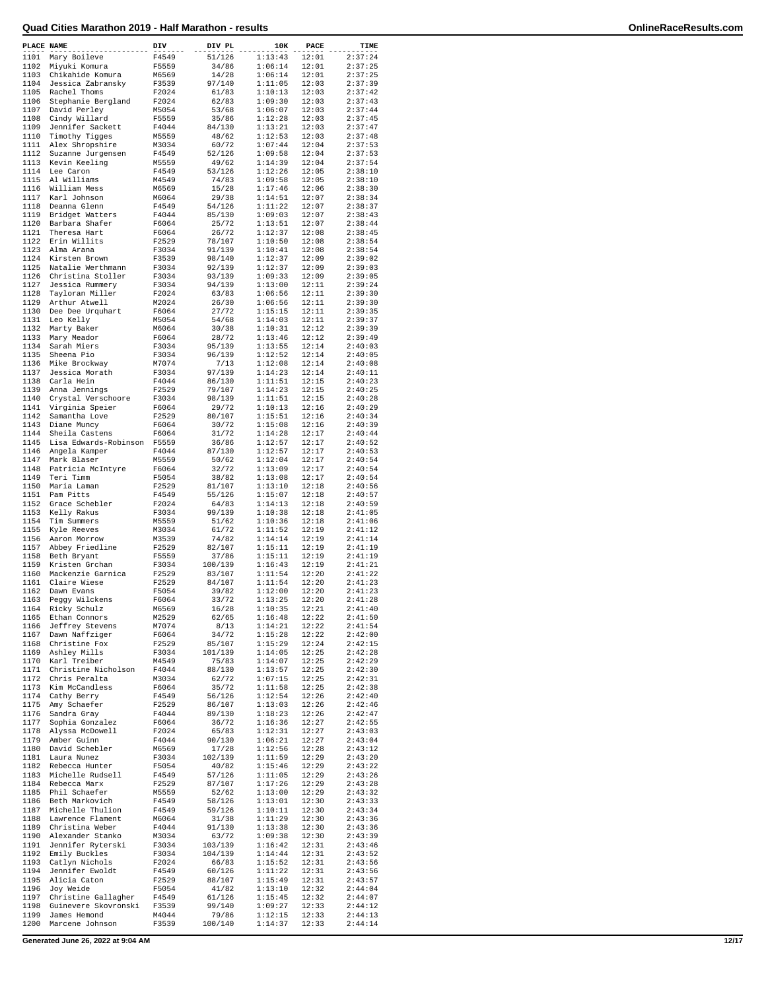| PLACE NAME |                       | DIV   | DIV PL  | 10K     | PACE  | TIME    |
|------------|-----------------------|-------|---------|---------|-------|---------|
| 1101       | Mary Boileve          | F4549 | 51/126  | 1:13:43 | 12:01 | 2:37:24 |
|            | 1102 Miyuki Komura    | F5559 | 34/86   | 1:06:14 | 12:01 | 2:37:25 |
| 1103       | Chikahide Komura      | M6569 | 14/28   | 1:06:14 | 12:01 | 2:37:25 |
| 1104       | Jessica Zabransky     | F3539 | 97/140  | 1:11:05 | 12:03 | 2:37:39 |
| 1105       | Rachel Thoms          | F2024 | 61/83   | 1:10:13 | 12:03 | 2:37:42 |
| 1106       | Stephanie Bergland    | F2024 | 62/83   | 1:09:30 | 12:03 | 2:37:43 |
| 1107       | David Perley          | M5054 | 53/68   | 1:06:07 | 12:03 | 2:37:44 |
| 1108       | Cindy Willard         | F5559 | 35/86   | 1:12:28 | 12:03 | 2:37:45 |
| 1109       | Jennifer Sackett      | F4044 | 84/130  | 1:13:21 | 12:03 | 2:37:47 |
| 1110       | Timothy Tigges        | M5559 | 48/62   | 1:12:53 | 12:03 | 2:37:48 |
| 1111       | Alex Shropshire       | M3034 | 60/72   | 1:07:44 | 12:04 | 2:37:53 |
| 1112       | Suzanne Jurgensen     | F4549 | 52/126  | 1:09:58 | 12:04 | 2:37:53 |
| 1113       | Kevin Keeling         | M5559 | 49/62   | 1:14:39 | 12:04 | 2:37:54 |
| 1114       | Lee Caron             | F4549 | 53/126  | 1:12:26 | 12:05 | 2:38:10 |
| 1115       | Al Williams           | M4549 | 74/83   | 1:09:58 | 12:05 | 2:38:10 |
| 1116       | William Mess          | M6569 | 15/28   | 1:17:46 | 12:06 | 2:38:30 |
| 1117       | Karl Johnson          | M6064 | 29/38   | 1:14:51 | 12:07 | 2:38:34 |
| 1118       | Deanna Glenn          | F4549 | 54/126  | 1:11:22 | 12:07 | 2:38:37 |
| 1119       | Bridget Watters       | F4044 | 85/130  | 1:09:03 | 12:07 | 2:38:43 |
| 1120       | Barbara Shafer        | F6064 | 25/72   | 1:13:51 | 12:07 | 2:38:44 |
| 1121       | Theresa Hart          | F6064 | 26/72   | 1:12:37 | 12:08 | 2:38:45 |
| 1122       | Erin Willits          | F2529 | 78/107  | 1:10:50 | 12:08 | 2:38:54 |
| 1123       | Alma Arana            | F3034 | 91/139  | 1:10:41 | 12:08 | 2:38:54 |
| 1124       | Kirsten Brown         | F3539 | 98/140  | 1:12:37 | 12:09 | 2:39:02 |
| 1125       | Natalie Werthmann     | F3034 | 92/139  | 1:12:37 | 12:09 | 2:39:03 |
| 1126       | Christina Stoller     | F3034 | 93/139  | 1:09:33 | 12:09 | 2:39:05 |
| 1127       | Jessica Rummery       | F3034 | 94/139  | 1:13:00 | 12:11 | 2:39:24 |
| 1128       | Tayloran Miller       | F2024 | 63/83   | 1:06:56 | 12:11 | 2:39:30 |
| 1129       | Arthur Atwell         | M2024 | 26/30   | 1:06:56 | 12:11 | 2:39:30 |
| 1130       | Dee Dee Urquhart      | F6064 | 27/72   | 1:15:15 | 12:11 | 2:39:35 |
| 1131       | Leo Kelly             | M5054 | 54/68   | 1:14:03 | 12:11 | 2:39:37 |
| 1132       | Marty Baker           | M6064 | 30/38   | 1:10:31 | 12:12 | 2:39:39 |
| 1133       | Mary Meador           | F6064 | 28/72   | 1:13:46 | 12:12 | 2:39:49 |
| 1134       | Sarah Miers           | F3034 | 95/139  | 1:13:55 | 12:14 | 2:40:03 |
| 1135       | Sheena Pio            | F3034 | 96/139  | 1:12:52 | 12:14 | 2:40:05 |
| 1136       | Mike Brockway         | M7074 | 7/13    | 1:12:08 | 12:14 | 2:40:08 |
| 1137       | Jessica Morath        | F3034 | 97/139  | 1:14:23 | 12:14 | 2:40:11 |
| 1138       | Carla Hein            | F4044 | 86/130  | 1:11:51 | 12:15 | 2:40:23 |
| 1139       | Anna Jennings         | F2529 | 79/107  | 1:14:23 | 12:15 | 2:40:25 |
| 1140       | Crystal Verschoore    | F3034 | 98/139  | 1:11:51 | 12:15 | 2:40:28 |
| 1141       | Virginia Speier       | F6064 | 29/72   | 1:10:13 | 12:16 | 2:40:29 |
| 1142       | Samantha Love         | F2529 | 80/107  | 1:15:51 | 12:16 | 2:40:34 |
| 1143       | Diane Muncy           | F6064 | 30/72   | 1:15:08 | 12:16 | 2:40:39 |
| 1144       | Sheila Castens        | F6064 | 31/72   | 1:14:28 | 12:17 | 2:40:44 |
| 1145       | Lisa Edwards-Robinson | F5559 | 36/86   | 1:12:57 | 12:17 | 2:40:52 |
| 1146       | Angela Kamper         | F4044 | 87/130  | 1:12:57 | 12:17 | 2:40:53 |
| 1147       | Mark Blaser           | M5559 | 50/62   | 1:12:04 | 12:17 | 2:40:54 |
| 1148       | Patricia McIntyre     | F6064 | 32/72   | 1:13:09 | 12:17 | 2:40:54 |
| 1149       | Teri Timm             | F5054 | 38/82   | 1:13:08 | 12:17 | 2:40:54 |
| 1150       | Maria Laman           | F2529 | 81/107  | 1:13:10 | 12:18 | 2:40:56 |
| 1151       | Pam Pitts             | F4549 | 55/126  | 1:15:07 | 12:18 | 2:40:57 |
| 1152       | Grace Schebler        | F2024 | 64/83   | 1:14:13 | 12:18 | 2:40:59 |
| 1153       | Kelly Rakus           | F3034 | 99/139  | 1:10:38 | 12:18 | 2:41:05 |
| 1154       | Tim Summers           | M5559 | 51/62   | 1:10:36 | 12:18 | 2:41:06 |
| 1155       | Kyle Reeves           | M3034 | 61/72   | 1:11:52 | 12:19 | 2:41:12 |
| 1156       | Aaron Morrow          | M3539 | 74/82   | 1:14:14 | 12:19 | 2:41:14 |
| 1157       | Abbey Friedline       | F2529 | 82/107  | 1:15:11 | 12:19 | 2:41:19 |
| 1158       | Beth Bryant           | F5559 | 37/86   | 1:15:11 | 12:19 | 2:41:19 |
| 1159       | Kristen Grchan        | F3034 | 100/139 | 1:16:43 | 12:19 | 2:41:21 |
| 1160       | Mackenzie Garnica     | F2529 | 83/107  | 1:11:54 | 12:20 | 2:41:22 |
| 1161       | Claire Wiese          | F2529 | 84/107  | 1:11:54 | 12:20 | 2:41:23 |
| 1162       | Dawn Evans            | F5054 | 39/82   | 1:12:00 | 12:20 | 2:41:23 |
| 1163       | Peggy Wilckens        | F6064 | 33/72   | 1:13:25 | 12:20 | 2:41:28 |
| 1164       | Ricky Schulz          | M6569 | 16/28   | 1:10:35 | 12:21 | 2:41:40 |
| 1165       | Ethan Connors         | M2529 | 62/65   | 1:16:48 | 12:22 | 2:41:50 |
| 1166       | Jeffrey Stevens       | M7074 | 8/13    | 1:14:21 | 12:22 | 2:41:54 |
| 1167       | Dawn Naffziger        | F6064 | 34/72   | 1:15:28 | 12:22 | 2:42:00 |
| 1168       | Christine Fox         | F2529 | 85/107  | 1:15:29 | 12:24 | 2:42:15 |
| 1169       | Ashley Mills          | F3034 | 101/139 | 1:14:05 | 12:25 | 2:42:28 |
| 1170       | Karl Treiber          | M4549 | 75/83   | 1:14:07 | 12:25 | 2:42:29 |
| 1171       | Christine Nicholson   | F4044 | 88/130  | 1:13:57 | 12:25 | 2:42:30 |
| 1172       | Chris Peralta         | M3034 | 62/72   | 1:07:15 | 12:25 | 2:42:31 |
| 1173       | Kim McCandless        | F6064 | 35/72   | 1:11:58 | 12:25 | 2:42:38 |
| 1174       | Cathy Berry           | F4549 | 56/126  | 1:12:54 | 12:26 | 2:42:40 |
| 1175       | Amy Schaefer          | F2529 | 86/107  | 1:13:03 | 12:26 | 2:42:46 |
| 1176       | Sandra Gray           | F4044 | 89/130  | 1:18:23 | 12:26 | 2:42:47 |
| 1177       | Sophia Gonzalez       | F6064 | 36/72   | 1:16:36 | 12:27 | 2:42:55 |
| 1178       | Alyssa McDowell       | F2024 | 65/83   | 1:12:31 | 12:27 | 2:43:03 |
| 1179       | Amber Guinn           | F4044 | 90/130  | 1:06:21 | 12:27 | 2:43:04 |
| 1180       | David Schebler        | M6569 | 17/28   | 1:12:56 | 12:28 | 2:43:12 |
| 1181       | Laura Nunez           | F3034 | 102/139 | 1:11:59 | 12:29 | 2:43:20 |
| 1182       | Rebecca Hunter        | F5054 | 40/82   | 1:15:46 | 12:29 | 2:43:22 |
| 1183       | Michelle Rudsell      | F4549 | 57/126  | 1:11:05 | 12:29 | 2:43:26 |
| 1184       | Rebecca Marx          | F2529 | 87/107  | 1:17:26 | 12:29 | 2:43:28 |
| 1185       | Phil Schaefer         | M5559 | 52/62   | 1:13:00 | 12:29 | 2:43:32 |
| 1186       | Beth Markovich        | F4549 | 58/126  | 1:13:01 | 12:30 | 2:43:33 |
| 1187       | Michelle Thulion      | F4549 | 59/126  | 1:10:11 | 12:30 | 2:43:34 |
| 1188       | Lawrence Flament      | M6064 | 31/38   | 1:11:29 | 12:30 | 2:43:36 |
| 1189       | Christina Weber       | F4044 | 91/130  | 1:13:38 | 12:30 | 2:43:36 |
| 1190       | Alexander Stanko      | M3034 | 63/72   | 1:09:38 | 12:30 | 2:43:39 |
| 1191       | Jennifer Ryterski     | F3034 | 103/139 | 1:16:42 | 12:31 | 2:43:46 |
| 1192       | Emily Buckles         | F3034 | 104/139 | 1:14:44 | 12:31 | 2:43:52 |
| 1193       | Catlyn Nichols        | F2024 | 66/83   | 1:15:52 | 12:31 | 2:43:56 |
| 1194       | Jennifer Ewoldt       | F4549 | 60/126  | 1:11:22 | 12:31 | 2:43:56 |
| 1195       | Alicia Caton          | F2529 | 88/107  | 1:15:49 | 12:31 | 2:43:57 |
| 1196       | Joy Weide             | F5054 | 41/82   | 1:13:10 | 12:32 | 2:44:04 |
| 1197       | Christine Gallagher   | F4549 | 61/126  | 1:15:45 | 12:32 | 2:44:07 |
| 1198       | Guinevere Skovronski  | F3539 | 99/140  | 1:09:27 | 12:33 | 2:44:12 |
| 1199       | James Hemond          | M4044 | 79/86   | 1:12:15 | 12:33 | 2:44:13 |
| 1200       | Marcene Johnson       | F3539 | 100/140 | 1:14:37 | 12:33 | 2:44:14 |
|            |                       |       |         |         |       |         |

**Generated June 26, 2022 at 9:04 AM 12/17**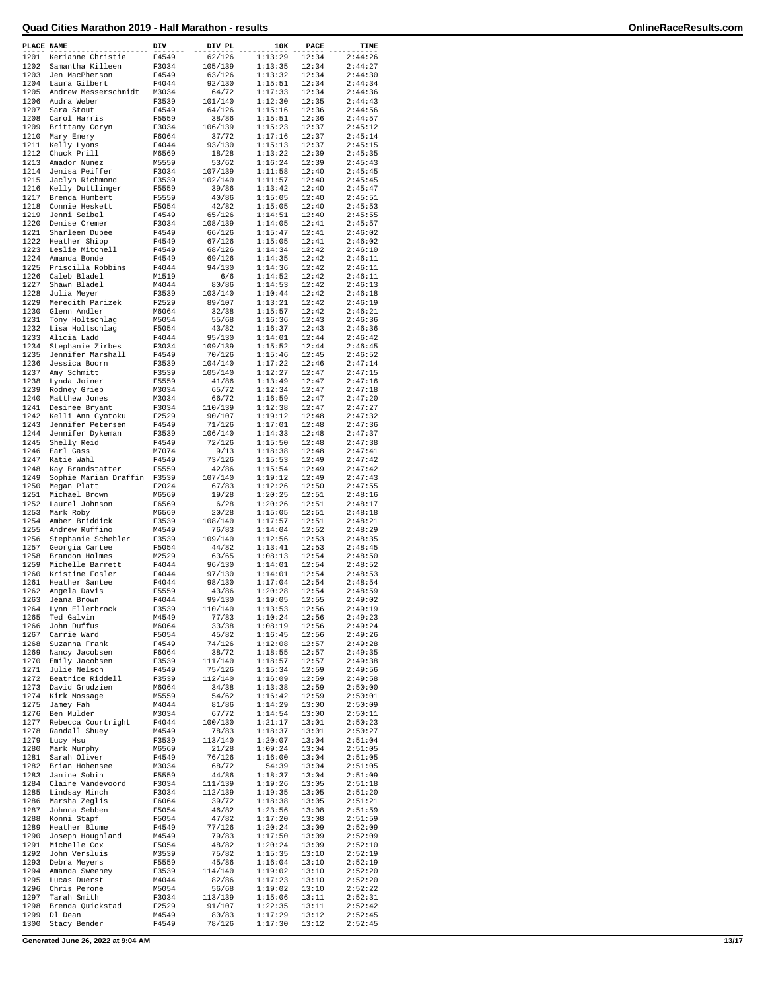| PLACE NAME   |                                  | DIV            | DIV PL            | 10K                | PACE           | TIME               |
|--------------|----------------------------------|----------------|-------------------|--------------------|----------------|--------------------|
| 1201         | Kerianne Christie                | F4549          | 62/126            | 1:13:29            | 12:34          | 2:44:26            |
| 1202         | Samantha Killeen                 | F3034          | 105/139           | 1:13:35            | 12:34          | 2:44:27            |
| 1203         | Jen MacPherson                   | F4549          | 63/126            | 1:13:32            | 12:34          | 2:44:30            |
| 1204         | Laura Gilbert                    | F4044          | 92/130            | 1:15:51            | 12:34          | 2:44:34            |
| 1205         | Andrew Messerschmidt             | M3034          | 64/72             | 1:17:33            | 12:34          | 2:44:36            |
| 1206         | Audra Weber                      | F3539          | 101/140           | 1:12:30            | 12:35          | 2:44:43            |
| 1207         | Sara Stout                       | F4549          | 64/126            | 1:15:16            | 12:36          | 2:44:56            |
| 1208         | Carol Harris                     | F5559          | 38/86             | 1:15:51            | 12:36          | 2:44:57            |
| 1209         | Brittany Coryn                   | F3034          | 106/139           | 1:15:23            | 12:37          | 2:45:12            |
| 1210         | Mary Emery                       | F6064          | 37/72             | 1:17:16            | 12:37          | 2:45:14            |
| 1211         | Kelly Lyons                      | F4044          | 93/130            | 1:15:13            | 12:37          | 2:45:15            |
| 1212         | Chuck Prill                      | M6569          | 18/28             | 1:13:22            | 12:39          | 2:45:35            |
| 1213         | Amador Nunez                     | M5559          | 53/62             | 1:16:24            | 12:39          | 2:45:43            |
| 1214         | Jenisa Peiffer                   | F3034          | 107/139           | 1:11:58            | 12:40          | 2:45:45            |
| 1215         | Jaclyn Richmond                  | F3539          | 102/140           | 1:11:57            | 12:40          | 2:45:45            |
| 1216         | Kelly Duttlinger                 | F5559          | 39/86             | 1:13:42            | 12:40          | 2:45:47            |
| 1217         | Brenda Humbert                   | F5559          | 40/86             | 1:15:05            | 12:40          | 2:45:51            |
| 1218         | Connie Heskett                   | F5054          | 42/82             | 1:15:05            | 12:40          | 2:45:53            |
| 1219         | Jenni Seibel                     | F4549          | 65/126            | 1:14:51            | 12:40          | 2:45:55            |
| 1220         | Denise Cremer                    | F3034          | 108/139           | 1:14:05            | 12:41          | 2:45:57            |
| 1221         | Sharleen Dupee                   | F4549          | 66/126            | 1:15:47            | 12:41          | 2:46:02            |
| 1222         | Heather Shipp                    | F4549          | 67/126            | 1:15:05            | 12:41          | 2:46:02            |
| 1223         | Leslie Mitchell                  | F4549          | 68/126            | 1:14:34            | 12:42          | 2:46:10            |
| 1224         | Amanda Bonde                     | F4549          | 69/126            | 1:14:35            | 12:42          | 2:46:11            |
| 1225         | Priscilla Robbins                | F4044          | 94/130            | 1:14:36            | 12:42          | 2:46:11            |
| 1226         |                                  |                | 6/6               |                    |                |                    |
| 1227         | Caleb Bladel<br>Shawn Bladel     | M1519<br>M4044 | 80/86             | 1:14:52            | 12:42<br>12:42 | 2:46:11<br>2:46:13 |
|              |                                  |                |                   | 1:14:53<br>1:10:44 |                |                    |
| 1228         | Julia Meyer                      | F3539          | 103/140           |                    | 12:42          | 2:46:18            |
| 1229<br>1230 | Meredith Parizek                 | F2529          | 89/107            | 1:13:21            | 12:42          | 2:46:19            |
|              | Glenn Andler                     | M6064          | 32/38             | 1:15:57            | 12:42          | 2:46:21<br>2:46:36 |
| 1231         | Tony Holtschlag                  | M5054          | 55/68             | 1:16:36            | 12:43          |                    |
| 1232         | Lisa Holtschlag                  | F5054          | 43/82             | 1:16:37            | 12:43          | 2:46:36            |
| 1233         | Alicia Ladd                      | F4044          | 95/130            | 1:14:01            | 12:44          | 2:46:42            |
| 1234         | Stephanie Zirbes                 | F3034          | 109/139           | 1:15:52            | 12:44          | 2:46:45            |
| 1235         | Jennifer Marshall                | F4549          | 70/126            | 1:15:46            | 12:45          | 2:46:52            |
| 1236         | Jessica Boorn                    | F3539          | 104/140           | 1:17:22            | 12:46          | 2:47:14            |
| 1237         | Amy Schmitt                      | F3539          | 105/140           | 1:12:27            | 12:47          | 2:47:15            |
| 1238         | Lynda Joiner                     | F5559          | 41/86             | 1:13:49            | 12:47          | 2:47:16            |
| 1239         | Rodney Griep                     | M3034          | 65/72             | 1:12:34            | 12:47          | 2:47:18            |
| 1240         | Matthew Jones                    | M3034          | 66/72             | 1:16:59            | 12:47          | 2:47:20            |
| 1241         | Desiree Bryant                   | F3034          | 110/139           | 1:12:38            | 12:47          | 2:47:27            |
| 1242         | Kelli Ann Gyotoku                | F2529          | 90/107            | 1:19:12            | 12:48          | 2:47:32            |
| 1243         | Jennifer Petersen                | F4549          | 71/126            | 1:17:01            | 12:48          | 2:47:36            |
| 1244         | Jennifer Dykeman                 | F3539          | 106/140           | 1:14:33            | 12:48          | 2:47:37            |
| 1245         | Shelly Reid                      | F4549          | 72/126            | 1:15:50            | 12:48          | 2:47:38            |
| 1246         | Earl Gass                        | M7074          | 9/13              | 1:18:38            | 12:48          | 2:47:41            |
| 1247         | Katie Wahl                       | F4549          | 73/126            | 1:15:53            | 12:49          | 2:47:42            |
| 1248         | Kay Brandstatter                 | F5559          | 42/86             | 1:15:54            | 12:49          | 2:47:42            |
| 1249         | Sophie Marian Draffin            | F3539          | 107/140           | 1:19:12            | 12:49          | 2:47:43            |
| 1250         | Megan Platt                      | F2024          | 67/83             | 1:12:26            | 12:50          | 2:47:55            |
| 1251         | Michael Brown                    | M6569          | 19/28             | 1:20:25            | 12:51          | 2:48:16            |
| 1252         | Laurel Johnson                   | F6569          | 6/28              | 1:20:26            | 12:51          | 2:48:17            |
| 1253         | Mark Roby                        | M6569          | 20/28             | 1:15:05            | 12:51          | 2:48:18            |
| 1254         | Amber Briddick                   | F3539          | 108/140           | 1:17:57            | 12:51          | 2:48:21            |
| 1255         | Andrew Ruffino                   | M4549          | 76/83             | 1:14:04            | 12:52          | 2:48:29            |
| 1256         | Stephanie Schebler               | F3539          | 109/140           | 1:12:56            | 12:53          | 2:48:35            |
| 1257         | Georgia Cartee                   | F5054          | 44/82             | 1:13:41            | 12:53          | 2:48:45            |
| 1258         | Brandon Holmes                   | M2529          | 63/65             | 1:08:13            | 12:54          | 2:48:50            |
| 1259         | Michelle Barrett                 | F4044          | 96/130            | 1:14:01            | 12:54          | 2:48:52            |
| 1260         | Kristine Fosler                  | F4044          | 97/130            | 1:14:01            | 12:54          | 2:48:53            |
| 1261         | Heather Santee                   | F4044          | 98/130            | 1:17:04            | 12:54          | 2:48:54            |
| 1262         | Angela Davis                     | F5559          | 43/86             | 1:20:28            | 12:54          | 2:48:59            |
| 1263         | Jeana Brown                      | F4044          | 99/130            | 1:19:05            | 12:55          | 2:49:02            |
| 1264         | Lynn Ellerbrock                  | F3539          | 110/140           | 1:13:53            | 12:56          | 2:49:19            |
| 1265         | Ted Galvin                       | M4549          | 77/83             | 1:10:24            | 12:56          | 2:49:23            |
| 1266         | John Duffus                      | M6064          | 33/38             | 1:08:19            | 12:56          | 2:49:24            |
| 1267         | Carrie Ward                      | F5054          | 45/82             | 1:16:45            | 12:56          | 2:49:26            |
| 1268         | Suzanna Frank                    | F4549          | 74/126            |                    | 12:57          | 2:49:28            |
| 1269         |                                  | F6064          |                   | 1:12:08<br>1:18:55 | 12:57          | 2:49:35            |
|              | Nancy Jacobsen<br>Emily Jacobsen |                | 38/72             |                    |                |                    |
| 1270<br>1271 | Julie Nelson                     | F3539<br>F4549 | 111/140<br>75/126 | 1:18:57<br>1:15:34 | 12:57<br>12:59 | 2:49:38<br>2:49:56 |
| 1272         | Beatrice Riddell                 | F3539          | 112/140           | 1:16:09            | 12:59          | 2:49:58            |
|              |                                  | M6064          |                   | 1:13:38            |                |                    |
| 1273         | David Grudzien                   |                | 34/38             |                    | 12:59          | 2:50:00            |
| 1274<br>1275 | Kirk Mossage                     | M5559          | 54/62             | 1:16:42            | 12:59          | 2:50:01            |
|              | Jamey Fah<br>Ben Mulder          | M4044          | 81/86             | 1:14:29            | 13:00          | 2:50:09<br>2:50:11 |
| 1276         |                                  | M3034          | 67/72             | 1:14:54            | 13:00          |                    |
| 1277         | Rebecca Courtright               | F4044          | 100/130           | 1:21:17            | 13:01          | 2:50:23<br>2:50:27 |
| 1278         | Randall Shuey                    | M4549          | 78/83             | 1:18:37            | 13:01          |                    |
| 1279         | Lucy Hsu                         | F3539          | 113/140           | 1:20:07            | 13:04          | 2:51:04            |
| 1280         | Mark Murphy                      | M6569          | 21/28             | 1:09:24            | 13:04          | 2:51:05            |
| 1281         | Sarah Oliver                     | F4549          | 76/126            | 1:16:00            | 13:04          | 2:51:05            |
| 1282         | Brian Hohensee                   | M3034          | 68/72             | 54:39              | 13:04          | 2:51:05            |
| 1283         | Janine Sobin                     | F5559          | 44/86             | 1:18:37            | 13:04          | 2:51:09            |
| 1284         | Claire Vandevoord                | F3034          | 111/139           | 1:19:26            | 13:05          | 2:51:18            |
| 1285         | Lindsay Minch                    | F3034          | 112/139           | 1:19:35            | 13:05          | 2:51:20            |
| 1286         | Marsha Zeglis                    | F6064          | 39/72             | 1:18:38            | 13:05          | 2:51:21            |
| 1287         | Johnna Sebben                    | F5054          | 46/82             | 1:23:56            | 13:08          | 2:51:59            |
| 1288         | Konni Stapf                      | F5054          | 47/82             | 1:17:20            | 13:08          | 2:51:59            |
| 1289         | Heather Blume                    | F4549          | 77/126            | 1:20:24            | 13:09          | 2:52:09            |
| 1290         | Joseph Houghland                 | M4549          | 79/83             | 1:17:50            | 13:09          | 2:52:09            |
| 1291         | Michelle Cox                     | F5054          | 48/82             | 1:20:24            | 13:09          | 2:52:10            |
| 1292         | John Versluis                    | M3539          | 75/82             | 1:15:35            | 13:10          | 2:52:19            |
| 1293         | Debra Meyers                     | F5559          | 45/86             | 1:16:04            | 13:10          | 2:52:19            |
| 1294         | Amanda Sweeney                   | F3539          | 114/140           | 1:19:02            | 13:10          | 2:52:20            |
| 1295         | Lucas Duerst                     | M4044          | 82/86             | 1:17:23            | 13:10          | 2:52:20            |
| 1296         | Chris Perone                     | M5054          | 56/68             | 1:19:02            | 13:10          | 2:52:22            |
| 1297         | Tarah Smith                      | F3034          | 113/139           | 1:15:06            | 13:11          | 2:52:31            |
| 1298         | Brenda Quickstad                 | F2529          | 91/107            | 1:22:35            | 13:11          | 2:52:42            |
| 1299         | Dl Dean                          | M4549          | 80/83             | 1:17:29            | 13:12          | 2:52:45            |
| 1300         | Stacy Bender                     | F4549          | 78/126            | 1:17:30            | 13:12          | 2:52:45            |

**Generated June 26, 2022 at 9:04 AM 13/17**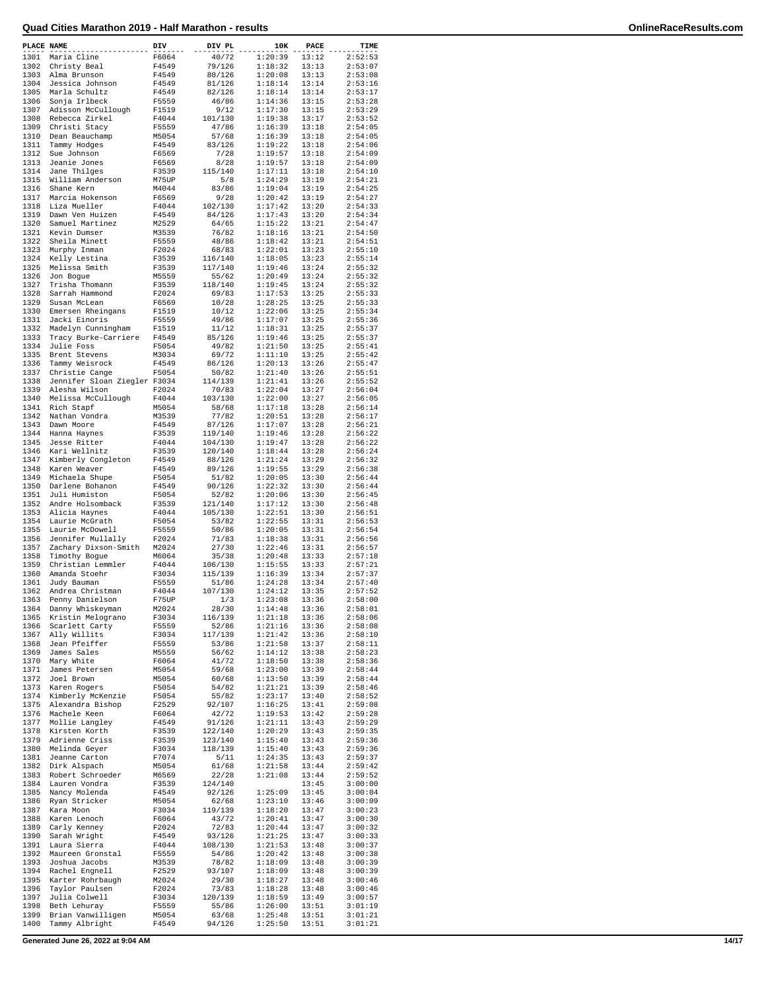| PLACE NAME |                                  | DIV            | DIV PL  | 10K     | PACE  | TIME    |
|------------|----------------------------------|----------------|---------|---------|-------|---------|
| 1301       | Maria Cline                      | F6064          | 40/72   | 1:20:39 | 13:12 | 2:52:53 |
| 1302       | Christy Beal                     | F4549          | 79/126  | 1:18:32 | 13:13 | 2:53:07 |
| 1303       | Alma Brunson                     | F4549          | 80/126  | 1:20:08 | 13:13 | 2:53:08 |
| 1304       | Jessica Johnson                  | F4549          | 81/126  | 1:18:14 | 13:14 | 2:53:16 |
| 1305       | Marla Schultz                    | F4549          | 82/126  | 1:18:14 | 13:14 | 2:53:17 |
| 1306       | Sonja Irlbeck                    | F5559          | 46/86   | 1:14:36 | 13:15 | 2:53:28 |
| 1307       | Adisson McCullough               | F1519          | 9/12    | 1:17:30 | 13:15 | 2:53:29 |
| 1308       | Rebecca Zirkel                   | F4044          | 101/130 | 1:19:38 | 13:17 | 2:53:52 |
| 1309       | Christi Stacy                    | F5559          | 47/86   | 1:16:39 | 13:18 | 2:54:05 |
| 1310       | Dean Beauchamp                   | M5054          | 57/68   | 1:16:39 | 13:18 | 2:54:05 |
| 1311       | Tammy Hodges                     | F4549          | 83/126  | 1:19:22 | 13:18 | 2:54:06 |
| 1312       | Sue Johnson                      | F6569          | 7/28    | 1:19:57 | 13:18 | 2:54:09 |
| 1313       | Jeanie Jones                     | F6569          | 8/28    | 1:19:57 | 13:18 | 2:54:09 |
| 1314       | Jane Thilges                     | F3539          | 115/140 | 1:17:11 | 13:18 | 2:54:10 |
| 1315       | William Anderson                 | M75UP          | 5/8     | 1:24:29 | 13:19 | 2:54:21 |
| 1316       | Shane Kern                       | M4044          | 83/86   | 1:19:04 | 13:19 | 2:54:25 |
| 1317       | Marcia Hokenson                  | F6569          | 9/28    | 1:20:42 | 13:19 | 2:54:27 |
| 1318       | Liza Mueller                     | F4044          | 102/130 | 1:17:42 | 13:20 | 2:54:33 |
| 1319       | Dawn Ven Huizen                  | F4549          | 84/126  | 1:17:43 | 13:20 | 2:54:34 |
| 1320       | Samuel Martinez                  | M2529          | 64/65   | 1:15:22 | 13:21 | 2:54:47 |
| 1321       | Kevin Dumser                     | M3539          | 76/82   | 1:18:16 | 13:21 | 2:54:50 |
| 1322       | Sheila Minett                    | F5559          | 48/86   | 1:18:42 | 13:21 | 2:54:51 |
| 1323       |                                  |                |         |         |       |         |
|            | Murphy Inman                     | F2024          | 68/83   | 1:22:01 | 13:23 | 2:55:10 |
| 1324       | Kelly Lestina                    | F3539          | 116/140 | 1:18:05 | 13:23 | 2:55:14 |
| 1325       | Melissa Smith                    | F3539          | 117/140 | 1:19:46 | 13:24 | 2:55:32 |
| 1326       | Jon Bogue                        | M5559          | 55/62   | 1:20:49 | 13:24 | 2:55:32 |
| 1327       | Trisha Thomann                   | F3539          | 118/140 | 1:19:45 | 13:24 | 2:55:32 |
| 1328       | Sarrah Hammond                   | F2024          | 69/83   | 1:17:53 | 13:25 | 2:55:33 |
| 1329       | Susan McLean                     | F6569          | 10/28   | 1:28:25 | 13:25 | 2:55:33 |
| 1330       | Emersen Rheingans                | F1519          | 10/12   | 1:22:06 | 13:25 | 2:55:34 |
| 1331       | Jacki Einoris                    | F5559          | 49/86   | 1:17:07 | 13:25 | 2:55:36 |
| 1332       | Madelyn Cunningham               | F1519          | 11/12   | 1:18:31 | 13:25 | 2:55:37 |
| 1333       | Tracy Burke-Carriere             | F4549          | 85/126  | 1:19:46 | 13:25 | 2:55:37 |
| 1334       | Julie Foss                       | F5054          | 49/82   | 1:21:50 | 13:25 | 2:55:41 |
| 1335       | Brent Stevens                    | M3034          | 69/72   | 1:11:10 | 13:25 | 2:55:42 |
| 1336       | Tammy Weisrock                   | F4549          | 86/126  | 1:20:13 | 13:26 | 2:55:47 |
| 1337       | Christie Cange                   | F5054          | 50/82   | 1:21:40 | 13:26 | 2:55:51 |
| 1338       | Jennifer Sloan Ziegler F3034     |                | 114/139 | 1:21:41 | 13:26 | 2:55:52 |
| 1339       | Alesha Wilson                    | F2024          | 70/83   | 1:22:04 | 13:27 | 2:56:04 |
| 1340       | Melissa McCullough               | F4044          | 103/130 | 1:22:00 | 13:27 | 2:56:05 |
| 1341       | Rich Stapf                       | M5054          | 58/68   | 1:17:18 | 13:28 | 2:56:14 |
| 1342       | Nathan Vondra                    | M3539          | 77/82   | 1:20:51 | 13:28 | 2:56:17 |
| 1343       | Dawn Moore                       | F4549          | 87/126  | 1:17:07 | 13:28 | 2:56:21 |
| 1344       | Hanna Haynes                     | F3539          | 119/140 | 1:19:46 | 13:28 | 2:56:22 |
| 1345       | Jesse Ritter                     | F4044          | 104/130 | 1:19:47 | 13:28 | 2:56:22 |
| 1346       | Kari Wellnitz                    | F3539          | 120/140 | 1:18:44 | 13:28 | 2:56:24 |
| 1347       | Kimberly Congleton               | F4549          | 88/126  | 1:21:24 | 13:29 | 2:56:32 |
| 1348       | Karen Weaver                     | F4549          | 89/126  | 1:19:55 | 13:29 | 2:56:38 |
| 1349       |                                  |                |         | 1:20:05 | 13:30 | 2:56:44 |
| 1350       | Michaela Shupe                   | F5054<br>F4549 | 51/82   | 1:22:32 | 13:30 | 2:56:44 |
| 1351       | Darlene Bohanon<br>Juli Humiston |                | 90/126  | 1:20:06 |       |         |
|            |                                  | F5054          | 52/82   |         | 13:30 | 2:56:45 |
| 1352       | Andre Holsomback                 | F3539          | 121/140 | 1:17:12 | 13:30 | 2:56:48 |
| 1353       | Alicia Haynes                    | F4044          | 105/130 | 1:22:51 | 13:30 | 2:56:51 |
| 1354       | Laurie McGrath                   | F5054          | 53/82   | 1:22:55 | 13:31 | 2:56:53 |
| 1355       | Laurie McDowell                  | F5559          | 50/86   | 1:20:05 | 13:31 | 2:56:54 |
| 1356       | Jennifer Mullally                | F2024          | 71/83   | 1:18:38 | 13:31 | 2:56:56 |
| 1357       | Zachary Dixson-Smith             | M2024          | 27/30   | 1:22:46 | 13:31 | 2:56:57 |
| 1358       | Timothy Bogue                    | M6064          | 35/38   | 1:20:48 | 13:33 | 2:57:18 |
| 1359       | Christian Lemmler                | F4044          | 106/130 | 1:15:55 | 13:33 | 2:57:21 |
| 1360       | Amanda Stoehr                    | F3034          | 115/139 | 1:16:39 | 13:34 | 2:57:37 |
| 1361       | Judy Bauman                      | F5559          | 51/86   | 1:24:28 | 13:34 | 2:57:40 |
| 1362       | Andrea Christman                 | F4044          | 107/130 | 1:24:12 | 13:35 | 2:57:52 |
| 1363       | Penny Danielson                  | F75UP          | 1/3     | 1:23:08 | 13:36 | 2:58:00 |
| 1364       | Danny Whiskeyman                 | M2024          | 28/30   | 1:14:48 | 13:36 | 2:58:01 |
| 1365       | Kristin Melograno                | F3034          | 116/139 | 1:21:18 | 13:36 | 2:58:06 |
| 1366       | Scarlett Carty                   | F5559          | 52/86   | 1:21:16 | 13:36 | 2:58:08 |
| 1367       | Ally Willits                     | F3034          | 117/139 | 1:21:42 | 13:36 | 2:58:10 |
| 1368       | Jean Pfeiffer                    | F5559          | 53/86   | 1:21:58 | 13:37 | 2:58:11 |
| 1369       | James Sales                      | M5559          | 56/62   | 1:14:12 | 13:38 | 2:58:23 |
| 1370       | Mary White                       | F6064          | 41/72   | 1:18:50 | 13:38 | 2:58:36 |
| 1371       | James Petersen                   | M5054          | 59/68   | 1:23:00 | 13:39 | 2:58:44 |
| 1372       | Joel Brown                       | M5054          | 60/68   | 1:13:50 | 13:39 | 2:58:44 |
| 1373       | Karen Rogers                     | F5054          | 54/82   | 1:21:21 | 13:39 | 2:58:46 |
| 1374       | Kimberly McKenzie                | F5054          | 55/82   | 1:23:17 | 13:40 | 2:58:52 |
| 1375       | Alexandra Bishop                 | F2529          | 92/107  | 1:16:25 | 13:41 | 2:59:08 |
| 1376       | Machele Keen                     | F6064          | 42/72   | 1:19:53 | 13:42 | 2:59:28 |
| 1377       | Mollie Langley                   | F4549          | 91/126  | 1:21:11 | 13:43 | 2:59:29 |
| 1378       | Kirsten Korth                    | F3539          | 122/140 | 1:20:29 | 13:43 | 2:59:35 |
| 1379       | Adrienne Criss                   | F3539          | 123/140 | 1:15:40 | 13:43 | 2:59:36 |
| 1380       | Melinda Geyer                    | F3034          | 118/139 | 1:15:40 | 13:43 | 2:59:36 |
| 1381       | Jeanne Carton                    | F7074          | 5/11    | 1:24:35 | 13:43 | 2:59:37 |
| 1382       | Dirk Alspach                     | M5054          | 61/68   | 1:21:58 | 13:44 | 2:59:42 |
| 1383       | Robert Schroeder                 | M6569          | 22/28   | 1:21:08 | 13:44 | 2:59:52 |
| 1384       | Lauren Vondra                    | F3539          | 124/140 |         | 13:45 | 3:00:00 |
| 1385       | Nancy Molenda                    | F4549          | 92/126  | 1:25:09 | 13:45 | 3:00:04 |
| 1386       | Ryan Stricker                    | M5054          | 62/68   | 1:23:10 | 13:46 | 3:00:09 |
| 1387       | Kara Moon                        | F3034          | 119/139 | 1:18:20 | 13:47 | 3:00:23 |
| 1388       | Karen Lenoch                     | F6064          | 43/72   | 1:20:41 | 13:47 | 3:00:30 |
| 1389       | Carly Kenney                     | F2024          | 72/83   | 1:20:44 | 13:47 | 3:00:32 |
| 1390       | Sarah Wright                     | F4549          | 93/126  | 1:21:25 | 13:47 | 3:00:33 |
| 1391       | Laura Sierra                     | F4044          | 108/130 | 1:21:53 | 13:48 | 3:00:37 |
| 1392       | Maureen Gronstal                 | F5559          | 54/86   | 1:20:42 | 13:48 | 3:00:38 |
| 1393       | Joshua Jacobs                    | M3539          | 78/82   | 1:18:09 | 13:48 | 3:00:39 |
| 1394       | Rachel Engnell                   | F2529          | 93/107  | 1:18:09 | 13:48 | 3:00:39 |
| 1395       | Karter Rohrbaugh                 | M2024          | 29/30   | 1:18:27 | 13:48 | 3:00:46 |
| 1396       | Taylor Paulsen                   | F2024          | 73/83   | 1:18:28 | 13:48 | 3:00:46 |
| 1397       | Julia Colwell                    | F3034          | 120/139 | 1:18:59 | 13:49 | 3:00:57 |
| 1398       | Beth Lehuray                     | F5559          | 55/86   | 1:26:00 | 13:51 | 3:01:19 |
| 1399       | Brian Vanwilligen                | M5054          | 63/68   | 1:25:48 | 13:51 | 3:01:21 |
| 1400       | Tammy Albright                   | F4549          | 94/126  | 1:25:50 | 13:51 | 3:01:21 |
|            |                                  |                |         |         |       |         |

**Generated June 26, 2022 at 9:04 AM 14/17**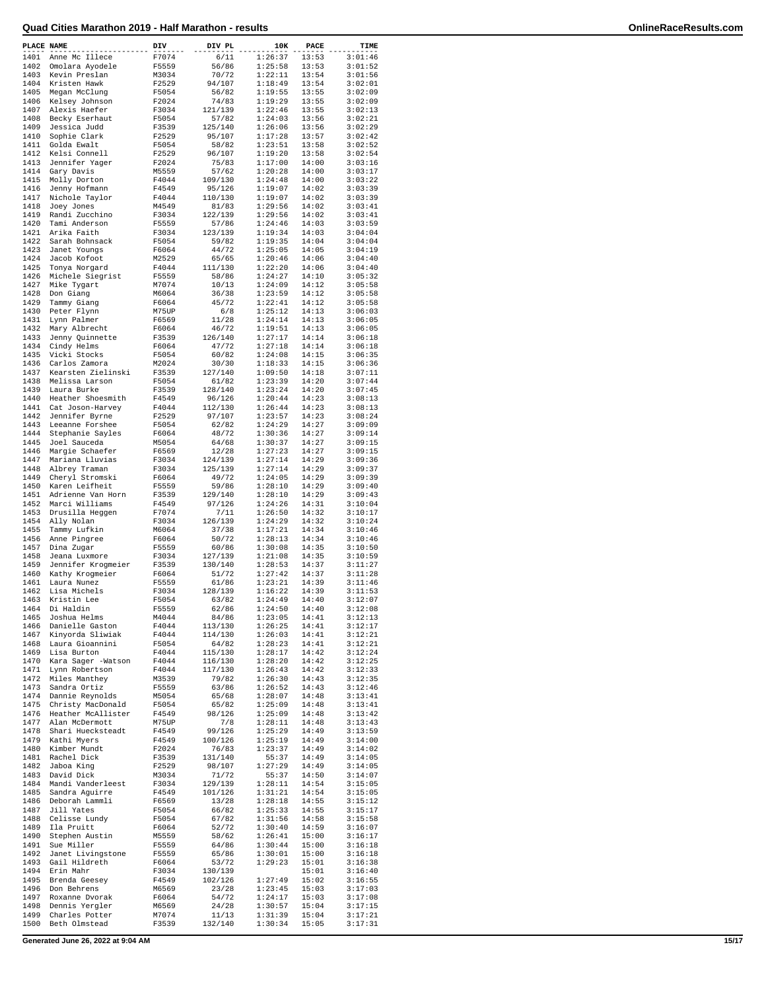| PLACE NAME   |                                      | DIV            | DIV PL             | 10K                | PACE           | TIME               |
|--------------|--------------------------------------|----------------|--------------------|--------------------|----------------|--------------------|
| 1401         | Anne Mc Illece                       | F7074          | 6/11               | 1:26:37            | 13:53          | 3:01:46            |
| 1402         | Omolara Ayodele                      | F5559          | 56/86              | 1:25:58            | 13:53          | 3:01:52            |
| 1403         | Kevin Preslan                        | M3034          | 70/72              | 1:22:11            | 13:54          | 3:01:56            |
| 1404         | Kristen Hawk                         | F2529          | 94/107             | 1:18:49            | 13:54          | 3:02:01            |
| 1405<br>1406 | Megan McClung<br>Kelsey Johnson      | F5054<br>F2024 | 56/82<br>74/83     | 1:19:55<br>1:19:29 | 13:55<br>13:55 | 3:02:09<br>3:02:09 |
| 1407         | Alexis Haefer                        | F3034          | 121/139            | 1:22:46            | 13:55          | 3:02:13            |
| 1408         | Becky Eserhaut                       | F5054          | 57/82              | 1:24:03            | 13:56          | 3:02:21            |
| 1409         | Jessica Judd                         | F3539          | 125/140            | 1:26:06            | 13:56          | 3:02:29            |
| 1410         | Sophie Clark                         | F2529          | 95/107             | 1:17:28            | 13:57          | 3:02:42            |
| 1411         | Golda Ewalt                          | F5054          | 58/82              | 1:23:51            | 13:58          | 3:02:52            |
| 1412         | Kelsi Connell                        | F2529          | 96/107             | 1:19:20            | 13:58          | 3:02:54            |
| 1413         | Jennifer Yager                       | F2024          | 75/83              | 1:17:00            | 14:00          | 3:03:16            |
| 1414         | Gary Davis                           | M5559          | 57/62              | 1:20:28            | 14:00          | 3:03:17            |
| 1415         | Molly Dorton                         | F4044          | 109/130            | 1:24:48            | 14:00          | 3:03:22            |
| 1416         | Jenny Hofmann                        | F4549          | 95/126<br>110/130  | 1:19:07            | 14:02          | 3:03:39            |
| 1417<br>1418 | Nichole Taylor<br>Joey Jones         | F4044<br>M4549 | 81/83              | 1:19:07<br>1:29:56 | 14:02<br>14:02 | 3:03:39<br>3:03:41 |
| 1419         | Randi Zucchino                       | F3034          | 122/139            | 1:29:56            | 14:02          | 3:03:41            |
| 1420         | Tami Anderson                        | F5559          | 57/86              | 1:24:46            | 14:03          | 3:03:59            |
| 1421         | Arika Faith                          | F3034          | 123/139            | 1:19:34            | 14:03          | 3:04:04            |
| 1422         | Sarah Bohnsack                       | F5054          | 59/82              | 1:19:35            | 14:04          | 3:04:04            |
| 1423         | Janet Youngs                         | F6064          | 44/72              | 1:25:05            | 14:05          | 3:04:19            |
| 1424         | Jacob Kofoot                         | M2529          | 65/65              | 1:20:46            | 14:06          | 3:04:40            |
| 1425         | Tonya Norgard                        | F4044          | 111/130            | 1:22:20            | 14:06          | 3:04:40            |
| 1426         | Michele Siegrist                     | F5559          | 58/86              | 1:24:27            | 14:10          | 3:05:32            |
| 1427         | Mike Tygart                          | M7074          | 10/13              | 1:24:09            | 14:12          | 3:05:58            |
| 1428         | Don Giang                            | M6064          | 36/38              | 1:23:59            | 14:12          | 3:05:58            |
| 1429<br>1430 | Tammy Giang<br>Peter Flynn           | F6064<br>M75UP | 45/72<br>6/8       | 1:22:41<br>1:25:12 | 14:12<br>14:13 | 3:05:58<br>3:06:03 |
| 1431         | Lynn Palmer                          | F6569          | 11/28              | 1:24:14            | 14:13          | 3:06:05            |
| 1432         | Mary Albrecht                        | F6064          | 46/72              | 1:19:51            | 14:13          | 3:06:05            |
| 1433         | Jenny Quinnette                      | F3539          | 126/140            | 1:27:17            | 14:14          | 3:06:18            |
| 1434         | Cindy Helms                          | F6064          | 47/72              | 1:27:18            | 14:14          | 3:06:18            |
| 1435         | Vicki Stocks                         | F5054          | 60/82              | 1:24:08            | 14:15          | 3:06:35            |
| 1436         | Carlos Zamora                        | M2024          | 30/30              | 1:18:33            | 14:15          | 3:06:36            |
| 1437         | Kearsten Zielinski                   | F3539          | 127/140            | 1:09:50            | 14:18          | 3:07:11            |
| 1438         | Melissa Larson                       | F5054          | 61/82              | 1:23:39            | 14:20          | 3:07:44            |
| 1439         | Laura Burke                          | F3539          | 128/140            | 1:23:24            | 14:20          | 3:07:45            |
| 1440         | Heather Shoesmith                    | F4549          | 96/126             | 1:20:44            | 14:23          | 3:08:13            |
| 1441         | Cat Joson-Harvey                     | F4044          | 112/130            | 1:26:44            | 14:23          | 3:08:13            |
| 1442         | Jennifer Byrne                       | F2529          | 97/107             | 1:23:57            | 14:23          | 3:08:24            |
| 1443         | Leeanne Forshee                      | F5054          | 62/82              | 1:24:29            | 14:27          | 3:09:09            |
| 1444         | Stephanie Sayles                     | F6064          | 48/72              | 1:30:36            | 14:27          | 3:09:14            |
| 1445         | Joel Sauceda                         | M5054          | 64/68              | 1:30:37            | 14:27          | 3:09:15            |
| 1446         | Margie Schaefer                      | F6569          | 12/28              | 1:27:23            | 14:27          | 3:09:15            |
| 1447<br>1448 | Mariana Lluvias<br>Albrey Traman     | F3034<br>F3034 | 124/139<br>125/139 | 1:27:14<br>1:27:14 | 14:29<br>14:29 | 3:09:36<br>3:09:37 |
| 1449         | Cheryl Stromski                      | F6064          | 49/72              | 1:24:05            | 14:29          | 3:09:39            |
| 1450         | Karen Leifheit                       | F5559          | 59/86              | 1:28:10            | 14:29          | 3:09:40            |
| 1451         | Adrienne Van Horn                    | F3539          | 129/140            | 1:28:10            | 14:29          | 3:09:43            |
| 1452         | Marci Williams                       | F4549          | 97/126             | 1:24:26            | 14:31          | 3:10:04            |
| 1453         | Drusilla Heggen                      | F7074          | 7/11               | 1:26:50            | 14:32          | 3:10:17            |
| 1454         | Ally Nolan                           | F3034          | 126/139            | 1:24:29            | 14:32          | 3:10:24            |
| 1455         | Tammy Lufkin                         | M6064          | 37/38              | 1:17:21            | 14:34          | 3:10:46            |
| 1456         | Anne Pingree                         | F6064          | 50/72              | 1:28:13            | 14:34          | 3:10:46            |
| 1457         | Dina Zugar                           | F5559          | 60/86              | 1:30:08            | 14:35          | 3:10:50            |
| 1458         | Jeana Luxmore                        | F3034          | 127/139            | 1:21:08            | 14:35          | 3:10:59            |
| 1459         | Jennifer Krogmeier                   | F3539          | 130/140            | 1:28:53            | 14:37          | 3:11:27            |
| 1460<br>1461 | Kathy Krogmeier                      | F6064<br>F5559 | 51/72<br>61/86     | 1:27:42<br>1:23:21 | 14:37<br>14:39 | 3:11:28<br>3:11:46 |
| 1462         | Laura Nunez<br>Lisa Michels          | F3034          | 128/139            | 1:16:22            | 14:39          | 3:11:53            |
| 1463         | Kristin Lee                          | F5054          | 63/82              | 1:24:49            | 14:40          | 3:12:07            |
| 1464         | Di Haldin                            | F5559          | 62/86              | 1:24:50            | 14:40          | 3:12:08            |
| 1465         | Joshua Helms                         | M4044          | 84/86              | 1:23:05            | 14:41          | 3:12:13            |
| 1466         | Danielle Gaston                      | F4044          | 113/130            | 1:26:25            | 14:41          | 3:12:17            |
| 1467         | Kinyorda Sliwiak                     | F4044          | 114/130            | 1:26:03            | 14:41          | 3:12:21            |
| 1468         | Laura Gioannini                      | F5054          | 64/82              | 1:28:23            | 14:41          | 3:12:21            |
| 1469         | Lisa Burton                          | F4044          | 115/130            | 1:28:17            | 14:42          | 3:12:24            |
| 1470         | Kara Sager -Watson                   | F4044          | 116/130            | 1:28:20            | 14:42          | 3:12:25            |
| 1471         | Lynn Robertson                       | F4044          | 117/130            | 1:26:43            | 14:42          | 3:12:33            |
| 1472         | Miles Manthey                        | M3539          | 79/82              | 1:26:30            | 14:43          | 3:12:35            |
| 1473<br>1474 | Sandra Ortiz                         | F5559          | 63/86<br>65/68     | 1:26:52<br>1:28:07 | 14:43<br>14:48 | 3:12:46<br>3:13:41 |
| 1475         | Dannie Reynolds<br>Christy MacDonald | M5054<br>F5054 | 65/82              | 1:25:09            | 14:48          | 3:13:41            |
| 1476         | Heather McAllister                   | F4549          | 98/126             | 1:25:09            | 14:48          | 3:13:42            |
| 1477         | Alan McDermott                       | M75UP          | 7/8                | 1:28:11            | 14:48          | 3:13:43            |
| 1478         | Shari Huecksteadt                    | F4549          | 99/126             | 1:25:29            | 14:49          | 3:13:59            |
| 1479         | Kathi Myers                          | F4549          | 100/126            | 1:25:19            | 14:49          | 3:14:00            |
| 1480         | Kimber Mundt                         | F2024          | 76/83              | 1:23:37            | 14:49          | 3:14:02            |
| 1481         | Rachel Dick                          | F3539          | 131/140            | 55:37              | 14:49          | 3:14:05            |
| 1482         | Jaboa King                           | F2529          | 98/107             | 1:27:29            | 14:49          | 3:14:05            |
| 1483         | David Dick                           | M3034          | 71/72              | 55:37              | 14:50          | 3:14:07            |
| 1484         | Mandi Vanderleest                    | F3034          | 129/139            | 1:28:11            | 14:54          | 3:15:05            |
| 1485         | Sandra Aguirre                       | F4549          | 101/126            | 1:31:21            | 14:54          | 3:15:05            |
| 1486         | Deborah Lammli                       | F6569          | 13/28              | 1:28:18            | 14:55          | 3:15:12            |
| 1487         | Jill Yates                           | F5054          | 66/82              | 1:25:33            | 14:55          | 3:15:17            |
| 1488         | Celisse Lundy                        | F5054          | 67/82              | 1:31:56            | 14:58          | 3:15:58            |
| 1489         | Ila Pruitt                           | F6064          | 52/72              | 1:30:40            | 14:59          | 3:16:07            |
| 1490<br>1491 | Stephen Austin<br>Sue Miller         | M5559<br>F5559 | 58/62<br>64/86     | 1:26:41<br>1:30:44 | 15:00<br>15:00 | 3:16:17<br>3:16:18 |
| 1492         | Janet Livingstone                    | F5559          | 65/86              | 1:30:01            | 15:00          | 3:16:18            |
| 1493         | Gail Hildreth                        | F6064          | 53/72              | 1:29:23            | 15:01          | 3:16:38            |
| 1494         | Erin Mahr                            | F3034          | 130/139            |                    | 15:01          | 3:16:40            |
| 1495         | Brenda Geesey                        | F4549          | 102/126            | 1:27:49            | 15:02          | 3:16:55            |
| 1496         | Don Behrens                          | M6569          | 23/28              | 1:23:45            | 15:03          | 3:17:03            |
| 1497         | Roxanne Dvorak                       | F6064          | 54/72              | 1:24:17            | 15:03          | 3:17:08            |
| 1498         | Dennis Yergler                       | M6569          | 24/28              | 1:30:57            | 15:04          | 3:17:15            |
| 1499         | Charles Potter                       | M7074          | 11/13              | 1:31:39            | 15:04          | 3:17:21            |
| 1500         | Beth Olmstead                        | F3539          | 132/140            | 1:30:34            | 15:05          | 3:17:31            |

**Generated June 26, 2022 at 9:04 AM 15/17**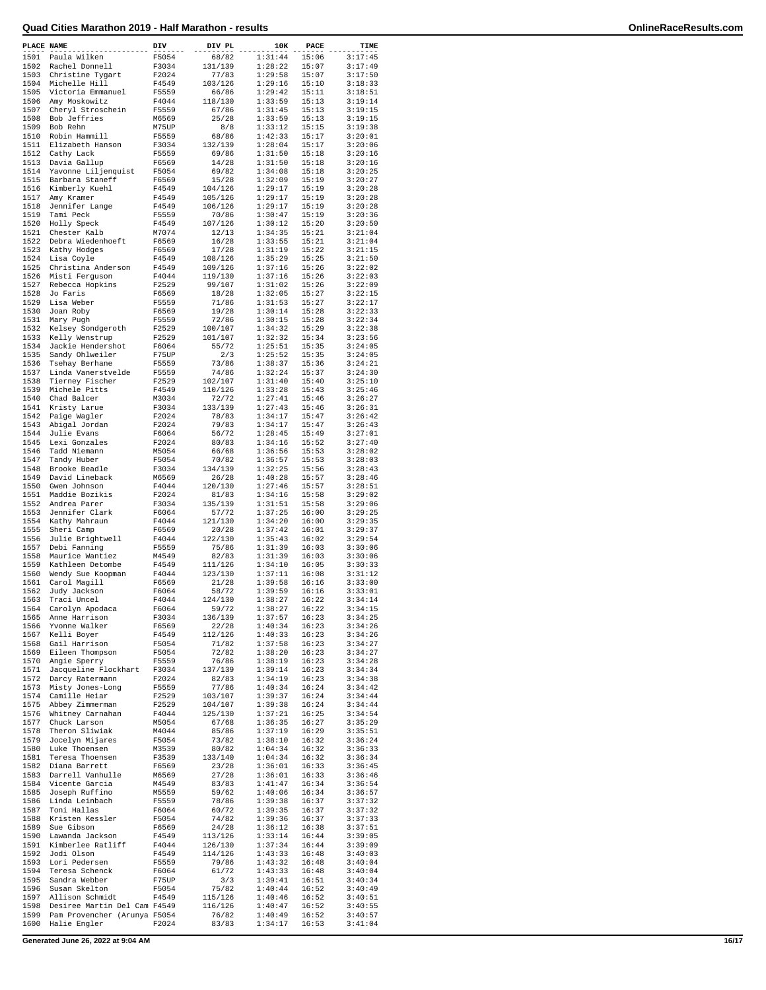| PLACE NAME   |                                     | DIV            | DIV PL           | 10K                | PACE           | TIME               |
|--------------|-------------------------------------|----------------|------------------|--------------------|----------------|--------------------|
| 1501         | Paula Wilken                        | F5054          | 68/82            | 1:31:44            | 15:06          | 3:17:45            |
| 1502         | Rachel Donnell                      | F3034          | 131/139          | 1:28:22            | 15:07          | 3:17:49            |
| 1503         | Christine Tygart                    | F2024          | 77/83            | 1:29:58            | 15:07          | 3:17:50            |
| 1504         | Michelle Hill                       | F4549          | 103/126          | 1:29:16            | 15:10          | 3:18:33            |
| 1505         | Victoria Emmanuel                   | F5559          | 66/86            | 1:29:42            | 15:11          | 3:18:51            |
| 1506         | Amy Moskowitz                       | F4044          | 118/130          | 1:33:59            | 15:13          | 3:19:14            |
| 1507         | Cheryl Stroschein                   | F5559          | 67/86            | 1:31:45            | 15:13          | 3:19:15            |
| 1508         | Bob Jeffries                        | M6569          | 25/28            | 1:33:59            | 15:13          | 3:19:15            |
| 1509         | Bob Rehn                            | M75UP          | 8/8              | 1:33:12            | 15:15          | 3:19:38            |
| 1510         | Robin Hammill                       | F5559          | 68/86            | 1:42:33            | 15:17          | 3:20:01            |
| 1511         | Elizabeth Hanson                    | F3034          | 132/139          | 1:28:04            | 15:17          | 3:20:06            |
| 1512         | Cathy Lack                          | F5559          | 69/86            | 1:31:50            | 15:18          | 3:20:16            |
| 1513         | Davia Gallup                        | F6569          | 14/28            | 1:31:50            | 15:18          | 3:20:16            |
| 1514         | Yavonne Liljenquist                 | F5054          | 69/82            | 1:34:08            | 15:18          | 3:20:25            |
| 1515         | Barbara Staneff                     | F6569          | 15/28            | 1:32:09            | 15:19          | 3:20:27            |
| 1516         | Kimberly Kuehl                      | F4549          | 104/126          | 1:29:17            | 15:19          | 3:20:28            |
| 1517         | Amy Kramer                          | F4549          | 105/126          | 1:29:17            | 15:19          | 3:20:28            |
| 1518         | Jennifer Lange                      | F4549          | 106/126          | 1:29:17            | 15:19          | 3:20:28            |
| 1519         | Tami Peck                           | F5559          | 70/86            | 1:30:47            | 15:19          | 3:20:36            |
| 1520         |                                     | F4549          |                  | 1:30:12            | 15:20          | 3:20:50            |
|              | Holly Speck                         |                | 107/126          |                    |                |                    |
| 1521         | Chester Kalb                        | M7074          | 12/13            | 1:34:35            | 15:21          | 3:21:04            |
| 1522         | Debra Wiedenhoeft                   | F6569          | 16/28            | 1:33:55            | 15:21          | 3:21:04            |
| 1523         | Kathy Hodges                        | F6569          | 17/28            | 1:31:19            | 15:22          | 3:21:15            |
| 1524         | Lisa Coyle                          | F4549          | 108/126          | 1:35:29            | 15:25          | 3:21:50            |
| 1525         | Christina Anderson                  | F4549          | 109/126          | 1:37:16            | 15:26          | 3:22:02            |
| 1526         | Misti Ferguson                      | F4044          | 119/130          | 1:37:16            | 15:26          | 3:22:03            |
| 1527         | Rebecca Hopkins                     | F2529          | 99/107           | 1:31:02            | 15:26          | 3:22:09            |
| 1528         | Jo Faris                            | F6569          | 18/28            | 1:32:05            | 15:27          | 3:22:15            |
| 1529         | Lisa Weber                          | F5559          | 71/86            | 1:31:53            | 15:27          | 3:22:17            |
| 1530         | Joan Roby                           | F6569          | 19/28            | 1:30:14            | 15:28          | 3:22:33            |
| 1531         | Mary Pugh                           | F5559          | 72/86            | 1:30:15            | 15:28          | 3:22:34            |
| 1532         | Kelsey Sondgeroth                   | F2529          | 100/107          | 1:34:32            | 15:29          | 3:22:38            |
| 1533         | Kelly Wenstrup                      | F2529          | 101/107          | 1:32:32            | 15:34          | 3:23:56            |
| 1534         | Jackie Hendershot                   | F6064          | 55/72            | 1:25:51            | 15:35          | 3:24:05            |
| 1535         | Sandy Ohlweiler                     | F75UP          | 2/3              | 1:25:52            | 15:35          | 3:24:05            |
| 1536         | Tsehay Berhane                      | F5559          | 73/86            | 1:38:37            | 15:36          | 3:24:21            |
| 1537         | Linda Vanerstvelde                  | F5559          | 74/86            | 1:32:24            | 15:37          | 3:24:30            |
| 1538         | Tierney Fischer                     | F2529          | 102/107          | 1:31:40            | 15:40          | 3:25:10            |
| 1539         | Michele Pitts                       | F4549          | 110/126          | 1:33:28            | 15:43          | 3:25:46            |
| 1540         | Chad Balcer                         | M3034          | 72/72            | 1:27:41            | 15:46          | 3:26:27            |
| 1541         | Kristy Larue                        | F3034          | 133/139          | 1:27:43            | 15:46          | 3:26:31            |
| 1542         | Paige Wagler                        | F2024          | 78/83            | 1:34:17            | 15:47          | 3:26:42            |
| 1543         | Abigal Jordan                       | F2024          | 79/83            | 1:34:17            | 15:47          | 3:26:43            |
| 1544         | Julie Evans                         | F6064          |                  | 1:28:45            | 15:49          | 3:27:01            |
| 1545         |                                     | F2024          | 56/72            | 1:34:16            |                | 3:27:40            |
|              | Lexi Gonzales                       |                | 80/83            |                    | 15:52          |                    |
| 1546         | Tadd Niemann                        | M5054          | 66/68            | 1:36:56            | 15:53          | 3:28:02            |
| 1547         | Tandy Huber                         | F5054          | 70/82            | 1:36:57            | 15:53          | 3:28:03            |
| 1548         | Brooke Beadle                       | F3034          | 134/139          | 1:32:25            | 15:56          | 3:28:43            |
| 1549         | David Lineback                      | M6569          | 26/28            | 1:40:28            | 15:57          | 3:28:46            |
| 1550         | Gwen Johnson                        | F4044          | 120/130          | 1:27:46            | 15:57          | 3:28:51            |
| 1551         | Maddie Bozikis                      | F2024          | 81/83            | 1:34:16            | 15:58          | 3:29:02            |
| 1552         | Andrea Parer                        | F3034          | 135/139          | 1:31:51            | 15:58          | 3:29:06            |
| 1553         | Jennifer Clark                      | F6064          | 57/72            | 1:37:25            | 16:00          | 3:29:25            |
| 1554         | Kathy Mahraun                       | F4044          | 121/130          | 1:34:20            | 16:00          | 3:29:35            |
| 1555         | Sheri Camp                          | F6569          | 20/28            | 1:37:42            | 16:01          | 3:29:37            |
| 1556         | Julie Brightwell                    | F4044          | 122/130          | 1:35:43            | 16:02          | 3:29:54            |
| 1557         | Debi Fanning                        | F5559          | 75/86            | 1:31:39            | 16:03          | 3:30:06            |
| 1558         | Maurice Wantiez                     | M4549          | 82/83            | 1:31:39            | 16:03          | 3:30:06            |
| 1559         | Kathleen Detombe                    | F4549          | 111/126          | 1:34:10            | 16:05          | 3:30:33            |
| 1560         | Wendy Sue Koopman                   | F4044          | 123/130          | 1:37:11            | 16:08          | 3:31:12            |
| 1561         | Carol Magill                        | F6569          | 21/28            | 1:39:58            | 16:16          | 3:33:00            |
| 1562         | Judy Jackson                        | F6064          | 58/72            | 1:39:59            | 16:16          | 3:33:01            |
| 1563         | Traci Uncel                         | F4044          | 124/130          | 1:38:27            | 16:22          | 3:34:14            |
| 1564         | Carolyn Apodaca                     | F6064          | 59/72            | 1:38:27            | 16:22          | 3:34:15            |
| 1565         | Anne Harrison                       | F3034          | 136/139          | 1:37:57            | 16:23          | 3:34:25            |
| 1566         | Yvonne Walker                       | F6569          | 22/28            | 1:40:34            | 16:23          | 3:34:26            |
| 1567         | Kelli Boyer                         | F4549          | 112/126          | 1:40:33            | 16:23          | 3:34:26            |
| 1568         | Gail Harrison                       | F5054          | 71/82            | 1:37:58            | 16:23          | 3:34:27            |
| 1569         | Eileen Thompson                     | F5054          | 72/82            | 1:38:20            | 16:23          | 3:34:27            |
|              | Angie Sperry                        |                |                  |                    |                |                    |
| 1570<br>1571 | Jacqueline Flockhart                | F5559<br>F3034 | 76/86<br>137/139 | 1:38:19<br>1:39:14 | 16:23<br>16:23 | 3:34:28<br>3:34:34 |
| 1572         |                                     |                |                  |                    |                |                    |
| 1573         | Darcy Ratermann<br>Misty Jones-Long | F2024<br>F5559 | 82/83<br>77/86   | 1:34:19<br>1:40:34 | 16:23<br>16:24 | 3:34:38<br>3:34:42 |
|              |                                     |                |                  |                    |                |                    |
| 1574         | Camille Heiar                       | F2529<br>F2529 | 103/107          | 1:39:37            | 16:24          | 3:34:44<br>3:34:44 |
| 1575         | Abbey Zimmerman                     |                | 104/107          | 1:39:38            | 16:24          |                    |
| 1576         | Whitney Carnahan                    | F4044          | 125/130          | 1:37:21            | 16:25          | 3:34:54            |
| 1577         | Chuck Larson                        | M5054          | 67/68            | 1:36:35            | 16:27          | 3:35:29            |
| 1578         | Theron Sliwiak                      | M4044          | 85/86            | 1:37:19            | 16:29          | 3:35:51            |
| 1579         | Jocelyn Mijares                     | F5054          | 73/82            | 1:38:10            | 16:32          | 3:36:24            |
| 1580         | Luke Thoensen                       | M3539          | 80/82            | 1:04:34            | 16:32          | 3:36:33            |
| 1581         | Teresa Thoensen                     | F3539          | 133/140          | 1:04:34            | 16:32          | 3:36:34            |
| 1582         | Diana Barrett                       | F6569          | 23/28            | 1:36:01            | 16:33          | 3:36:45            |
| 1583         | Darrell Vanhulle                    | M6569          | 27/28            | 1:36:01            | 16:33          | 3:36:46            |
| 1584         | Vicente Garcia                      | M4549          | 83/83            | 1:41:47            | 16:34          | 3:36:54            |
| 1585         | Joseph Ruffino                      | M5559          | 59/62            | 1:40:06            | 16:34          | 3:36:57            |
| 1586         | Linda Leinbach                      | F5559          | 78/86            | 1:39:38            | 16:37          | 3:37:32            |
| 1587         | Toni Hallas                         | F6064          | 60/72            | 1:39:35            | 16:37          | 3:37:32            |
| 1588         | Kristen Kessler                     | F5054          | 74/82            | 1:39:36            | 16:37          | 3:37:33            |
| 1589         | Sue Gibson                          | F6569          | 24/28            | 1:36:12            | 16:38          | 3:37:51            |
| 1590         | Lawanda Jackson                     | F4549          | 113/126          | 1:33:14            | 16:44          | 3:39:05            |
| 1591         | Kimberlee Ratliff                   | F4044          | 126/130          | 1:37:34            | 16:44          | 3:39:09            |
| 1592         | Jodi Olson                          | F4549          | 114/126          | 1:43:33            | 16:48          | 3:40:03            |
| 1593         | Lori Pedersen                       | F5559          | 79/86            | 1:43:32            | 16:48          | 3:40:04            |
| 1594         | Teresa Schenck                      | F6064          | 61/72            | 1:43:33            | 16:48          | 3:40:04            |
| 1595         | Sandra Webber                       | F75UP          | 3/3              | 1:39:41            | 16:51          | 3:40:34            |
| 1596         | Susan Skelton                       | F5054          | 75/82            | 1:40:44            | 16:52          | 3:40:49            |
| 1597         | Allison Schmidt                     | F4549          | 115/126          | 1:40:46            | 16:52          | 3:40:51            |
| 1598         | Desiree Martin Del Cam F4549        |                |                  |                    |                | 3:40:55            |
| 1599         | Pam Provencher (Arunya F5054        |                | 116/126<br>76/82 | 1:40:47<br>1:40:49 | 16:52<br>16:52 | 3:40:57            |
| 1600         | Halie Engler                        | F2024          | 83/83            | 1:34:17            | 16:53          | 3:41:04            |
|              |                                     |                |                  |                    |                |                    |

**Generated June 26, 2022 at 9:04 AM 16/17**